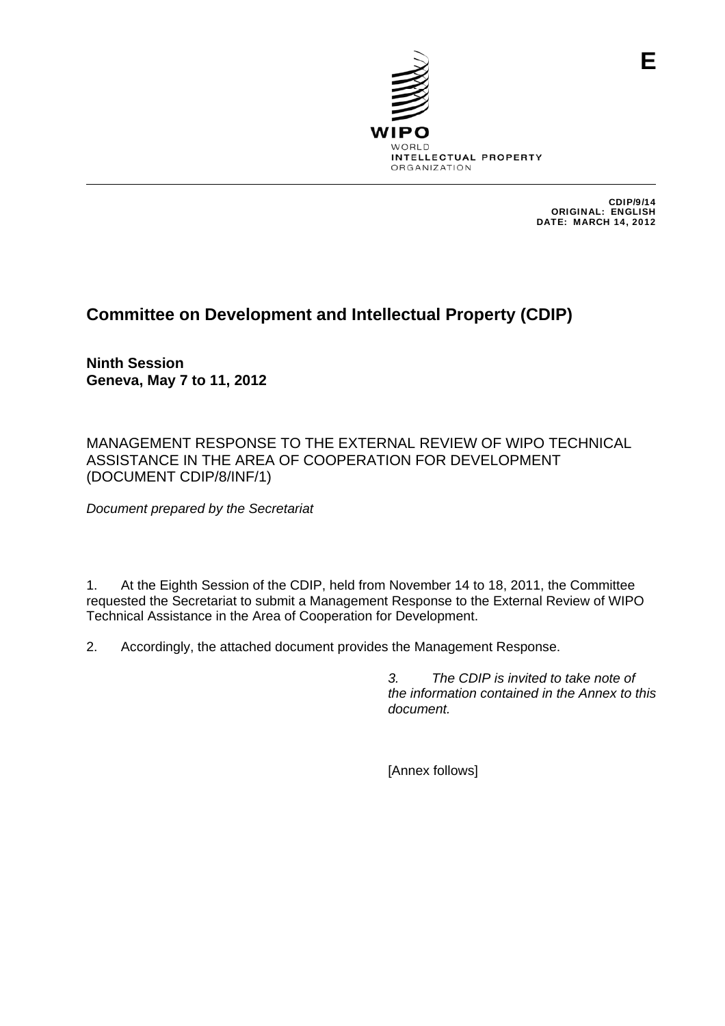

CDIP/9/14 ORIGINAL: ENGLISH DATE: MARCH 14, 2012

**E**

# **Committee on Development and Intellectual Property (CDIP)**

**Ninth Session Geneva, May 7 to 11, 2012** 

MANAGEMENT RESPONSE TO THE EXTERNAL REVIEW OF WIPO TECHNICAL ASSISTANCE IN THE AREA OF COOPERATION FOR DEVELOPMENT (DOCUMENT CDIP/8/INF/1)

*Document prepared by the Secretariat* 

1. At the Eighth Session of the CDIP, held from November 14 to 18, 2011, the Committee requested the Secretariat to submit a Management Response to the External Review of WIPO Technical Assistance in the Area of Cooperation for Development.

2. Accordingly, the attached document provides the Management Response.

*3. The CDIP is invited to take note of the information contained in the Annex to this document.* 

[Annex follows]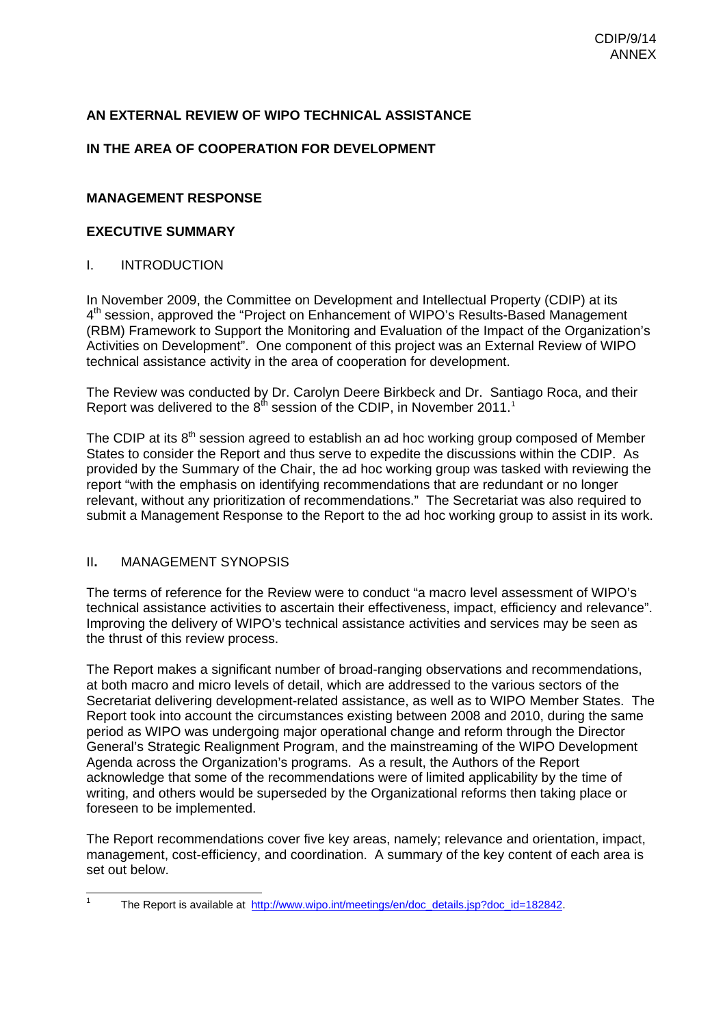# **AN EXTERNAL REVIEW OF WIPO TECHNICAL ASSISTANCE**

# **IN THE AREA OF COOPERATION FOR DEVELOPMENT**

# **MANAGEMENT RESPONSE**

# **EXECUTIVE SUMMARY**

# I. INTRODUCTION

In November 2009, the Committee on Development and Intellectual Property (CDIP) at its 4th session, approved the "Project on Enhancement of WIPO's Results-Based Management (RBM) Framework to Support the Monitoring and Evaluation of the Impact of the Organization's Activities on Development". One component of this project was an External Review of WIPO technical assistance activity in the area of cooperation for development.

The Review was conducted by Dr. Carolyn Deere Birkbeck and Dr. Santiago Roca, and their Report was delivered to the  $8<sup>th</sup>$  session of the CDIP, in November 20[1](#page-1-0)1.<sup>1</sup>

The CDIP at its  $8<sup>th</sup>$  session agreed to establish an ad hoc working group composed of Member States to consider the Report and thus serve to expedite the discussions within the CDIP. As provided by the Summary of the Chair, the ad hoc working group was tasked with reviewing the report "with the emphasis on identifying recommendations that are redundant or no longer relevant, without any prioritization of recommendations." The Secretariat was also required to submit a Management Response to the Report to the ad hoc working group to assist in its work.

# II**.** MANAGEMENT SYNOPSIS

<span id="page-1-0"></span>1

The terms of reference for the Review were to conduct "a macro level assessment of WIPO's technical assistance activities to ascertain their effectiveness, impact, efficiency and relevance". Improving the delivery of WIPO's technical assistance activities and services may be seen as the thrust of this review process.

The Report makes a significant number of broad-ranging observations and recommendations, at both macro and micro levels of detail, which are addressed to the various sectors of the Secretariat delivering development-related assistance, as well as to WIPO Member States. The Report took into account the circumstances existing between 2008 and 2010, during the same period as WIPO was undergoing major operational change and reform through the Director General's Strategic Realignment Program, and the mainstreaming of the WIPO Development Agenda across the Organization's programs. As a result, the Authors of the Report acknowledge that some of the recommendations were of limited applicability by the time of writing, and others would be superseded by the Organizational reforms then taking place or foreseen to be implemented.

The Report recommendations cover five key areas, namely; relevance and orientation, impact, management, cost-efficiency, and coordination. A summary of the key content of each area is set out below.

The Report is available at [http://www.wipo.int/meetings/en/doc\\_details.jsp?doc\\_id=182842.](http://www.wipo.int/meetings/en/doc_details.jsp?doc_id=182842)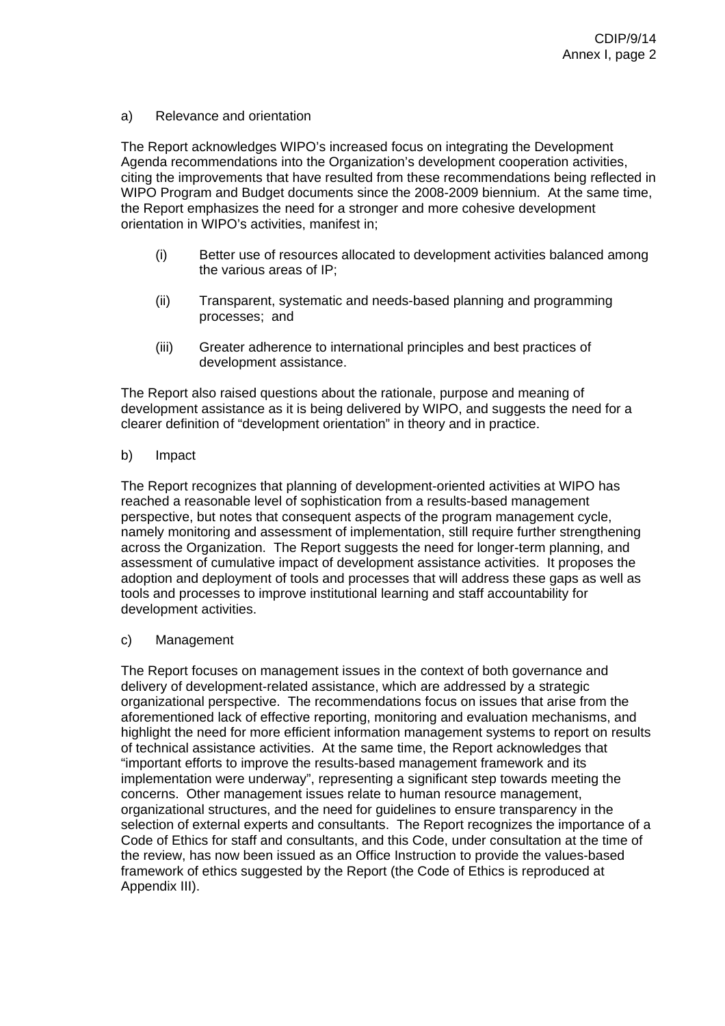#### a) Relevance and orientation

The Report acknowledges WIPO's increased focus on integrating the Development Agenda recommendations into the Organization's development cooperation activities, citing the improvements that have resulted from these recommendations being reflected in WIPO Program and Budget documents since the 2008-2009 biennium. At the same time, the Report emphasizes the need for a stronger and more cohesive development orientation in WIPO's activities, manifest in;

- (i) Better use of resources allocated to development activities balanced among the various areas of IP;
- (ii) Transparent, systematic and needs-based planning and programming processes; and
- (iii) Greater adherence to international principles and best practices of development assistance.

The Report also raised questions about the rationale, purpose and meaning of development assistance as it is being delivered by WIPO, and suggests the need for a clearer definition of "development orientation" in theory and in practice.

#### b) Impact

The Report recognizes that planning of development-oriented activities at WIPO has reached a reasonable level of sophistication from a results-based management perspective, but notes that consequent aspects of the program management cycle, namely monitoring and assessment of implementation, still require further strengthening across the Organization. The Report suggests the need for longer-term planning, and assessment of cumulative impact of development assistance activities. It proposes the adoption and deployment of tools and processes that will address these gaps as well as tools and processes to improve institutional learning and staff accountability for development activities.

#### c) Management

The Report focuses on management issues in the context of both governance and delivery of development-related assistance, which are addressed by a strategic organizational perspective. The recommendations focus on issues that arise from the aforementioned lack of effective reporting, monitoring and evaluation mechanisms, and highlight the need for more efficient information management systems to report on results of technical assistance activities. At the same time, the Report acknowledges that "important efforts to improve the results-based management framework and its implementation were underway", representing a significant step towards meeting the concerns. Other management issues relate to human resource management, organizational structures, and the need for guidelines to ensure transparency in the selection of external experts and consultants. The Report recognizes the importance of a Code of Ethics for staff and consultants, and this Code, under consultation at the time of the review, has now been issued as an Office Instruction to provide the values-based framework of ethics suggested by the Report (the Code of Ethics is reproduced at Appendix III).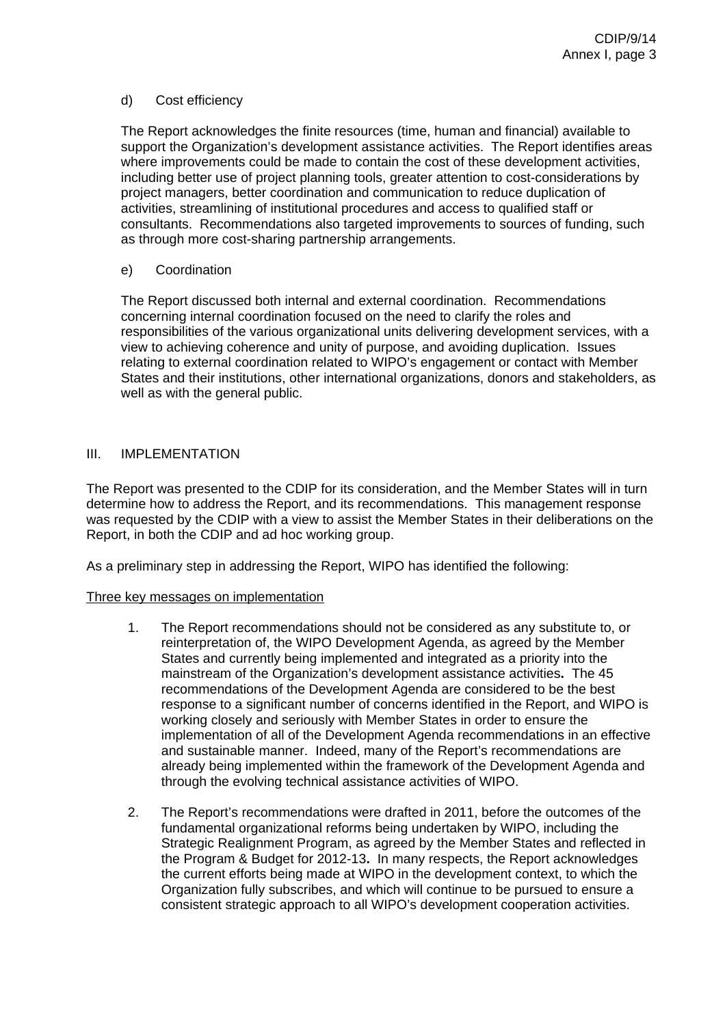#### d) Cost efficiency

The Report acknowledges the finite resources (time, human and financial) available to support the Organization's development assistance activities. The Report identifies areas where improvements could be made to contain the cost of these development activities, including better use of project planning tools, greater attention to cost-considerations by project managers, better coordination and communication to reduce duplication of activities, streamlining of institutional procedures and access to qualified staff or consultants. Recommendations also targeted improvements to sources of funding, such as through more cost-sharing partnership arrangements.

#### e) Coordination

The Report discussed both internal and external coordination. Recommendations concerning internal coordination focused on the need to clarify the roles and responsibilities of the various organizational units delivering development services, with a view to achieving coherence and unity of purpose, and avoiding duplication. Issues relating to external coordination related to WIPO's engagement or contact with Member States and their institutions, other international organizations, donors and stakeholders, as well as with the general public.

#### III. IMPLEMENTATION

The Report was presented to the CDIP for its consideration, and the Member States will in turn determine how to address the Report, and its recommendations. This management response was requested by the CDIP with a view to assist the Member States in their deliberations on the Report, in both the CDIP and ad hoc working group.

As a preliminary step in addressing the Report, WIPO has identified the following:

#### Three key messages on implementation

- 1. The Report recommendations should not be considered as any substitute to, or reinterpretation of, the WIPO Development Agenda, as agreed by the Member States and currently being implemented and integrated as a priority into the mainstream of the Organization's development assistance activities**.** The 45 recommendations of the Development Agenda are considered to be the best response to a significant number of concerns identified in the Report, and WIPO is working closely and seriously with Member States in order to ensure the implementation of all of the Development Agenda recommendations in an effective and sustainable manner. Indeed, many of the Report's recommendations are already being implemented within the framework of the Development Agenda and through the evolving technical assistance activities of WIPO.
- 2. The Report's recommendations were drafted in 2011, before the outcomes of the fundamental organizational reforms being undertaken by WIPO, including the Strategic Realignment Program, as agreed by the Member States and reflected in the Program & Budget for 2012-13**.** In many respects, the Report acknowledges the current efforts being made at WIPO in the development context, to which the Organization fully subscribes, and which will continue to be pursued to ensure a consistent strategic approach to all WIPO's development cooperation activities.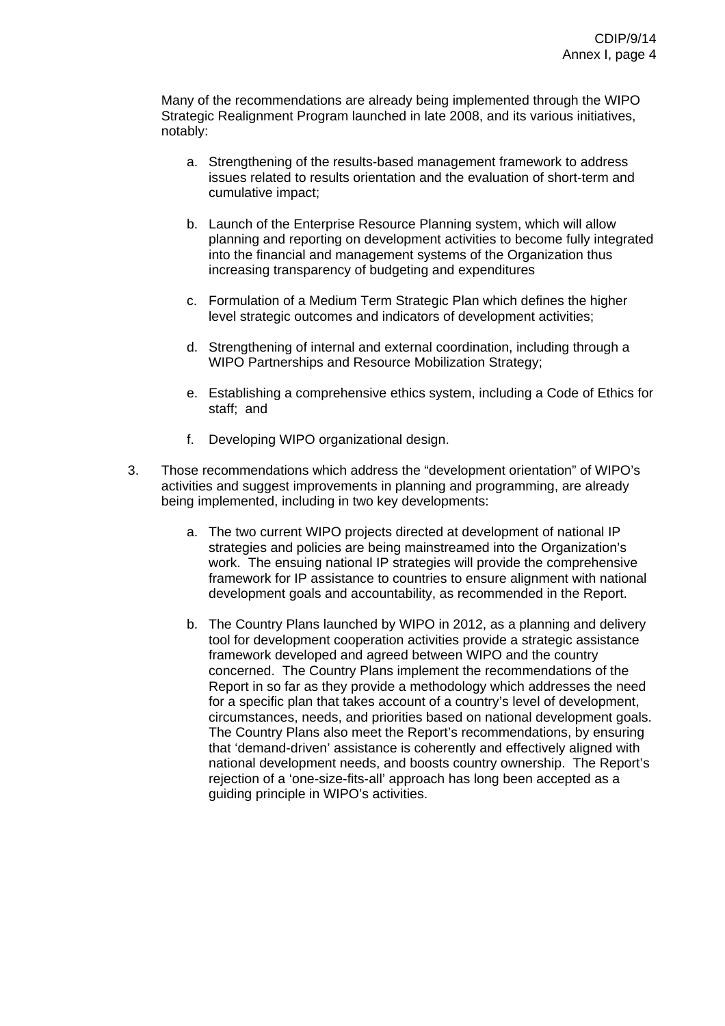Many of the recommendations are already being implemented through the WIPO Strategic Realignment Program launched in late 2008, and its various initiatives, notably:

- a. Strengthening of the results-based management framework to address issues related to results orientation and the evaluation of short-term and cumulative impact;
- b. Launch of the Enterprise Resource Planning system, which will allow planning and reporting on development activities to become fully integrated into the financial and management systems of the Organization thus increasing transparency of budgeting and expenditures
- c. Formulation of a Medium Term Strategic Plan which defines the higher level strategic outcomes and indicators of development activities;
- d. Strengthening of internal and external coordination, including through a WIPO Partnerships and Resource Mobilization Strategy;
- e. Establishing a comprehensive ethics system, including a Code of Ethics for staff; and
- f. Developing WIPO organizational design.
- 3. Those recommendations which address the "development orientation" of WIPO's activities and suggest improvements in planning and programming, are already being implemented, including in two key developments:
	- a. The two current WIPO projects directed at development of national IP strategies and policies are being mainstreamed into the Organization's work. The ensuing national IP strategies will provide the comprehensive framework for IP assistance to countries to ensure alignment with national development goals and accountability, as recommended in the Report.
	- b. The Country Plans launched by WIPO in 2012, as a planning and delivery tool for development cooperation activities provide a strategic assistance framework developed and agreed between WIPO and the country concerned. The Country Plans implement the recommendations of the Report in so far as they provide a methodology which addresses the need for a specific plan that takes account of a country's level of development, circumstances, needs, and priorities based on national development goals. The Country Plans also meet the Report's recommendations, by ensuring that 'demand-driven' assistance is coherently and effectively aligned with national development needs, and boosts country ownership. The Report's rejection of a 'one-size-fits-all' approach has long been accepted as a guiding principle in WIPO's activities.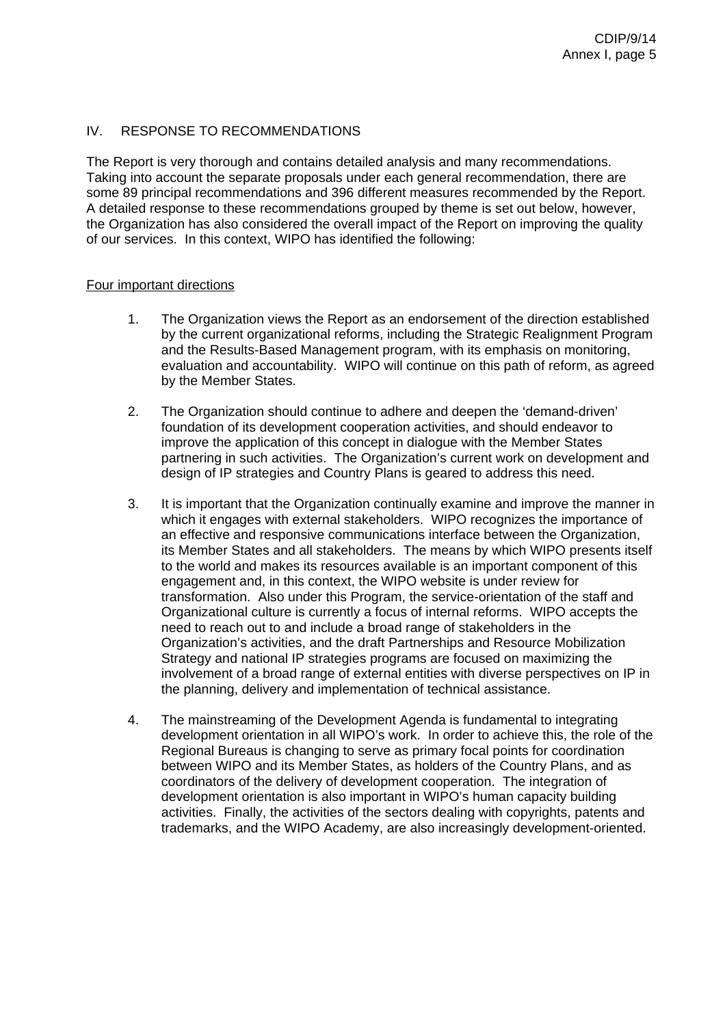# IV. RESPONSE TO RECOMMENDATIONS

The Report is very thorough and contains detailed analysis and many recommendations. Taking into account the separate proposals under each general recommendation, there are some 89 principal recommendations and 396 different measures recommended by the Report. A detailed response to these recommendations grouped by theme is set out below, however, the Organization has also considered the overall impact of the Report on improving the quality of our services. In this context, WIPO has identified the following:

# Four important directions

- 1. The Organization views the Report as an endorsement of the direction established by the current organizational reforms, including the Strategic Realignment Program and the Results-Based Management program, with its emphasis on monitoring, evaluation and accountability. WIPO will continue on this path of reform, as agreed by the Member States.
- 2. The Organization should continue to adhere and deepen the 'demand-driven' foundation of its development cooperation activities, and should endeavor to improve the application of this concept in dialogue with the Member States partnering in such activities. The Organization's current work on development and design of IP strategies and Country Plans is geared to address this need.
- 3. It is important that the Organization continually examine and improve the manner in which it engages with external stakeholders. WIPO recognizes the importance of an effective and responsive communications interface between the Organization, its Member States and all stakeholders. The means by which WIPO presents itself to the world and makes its resources available is an important component of this engagement and, in this context, the WIPO website is under review for transformation. Also under this Program, the service-orientation of the staff and Organizational culture is currently a focus of internal reforms. WIPO accepts the need to reach out to and include a broad range of stakeholders in the Organization's activities, and the draft Partnerships and Resource Mobilization Strategy and national IP strategies programs are focused on maximizing the involvement of a broad range of external entities with diverse perspectives on IP in the planning, delivery and implementation of technical assistance.
- 4. The mainstreaming of the Development Agenda is fundamental to integrating development orientation in all WIPO's work. In order to achieve this, the role of the Regional Bureaus is changing to serve as primary focal points for coordination between WIPO and its Member States, as holders of the Country Plans, and as coordinators of the delivery of development cooperation. The integration of development orientation is also important in WIPO's human capacity building activities. Finally, the activities of the sectors dealing with copyrights, patents and trademarks, and the WIPO Academy, are also increasingly development-oriented.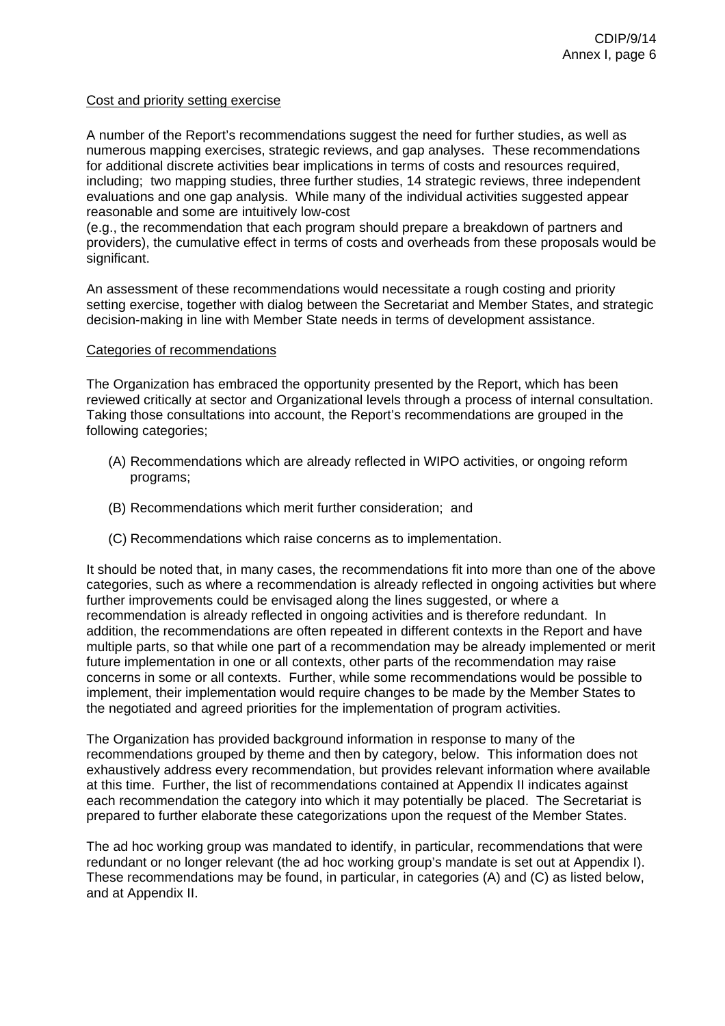#### Cost and priority setting exercise

A number of the Report's recommendations suggest the need for further studies, as well as numerous mapping exercises, strategic reviews, and gap analyses. These recommendations for additional discrete activities bear implications in terms of costs and resources required, including; two mapping studies, three further studies, 14 strategic reviews, three independent evaluations and one gap analysis. While many of the individual activities suggested appear reasonable and some are intuitively low-cost

(e.g., the recommendation that each program should prepare a breakdown of partners and providers), the cumulative effect in terms of costs and overheads from these proposals would be significant.

An assessment of these recommendations would necessitate a rough costing and priority setting exercise, together with dialog between the Secretariat and Member States, and strategic decision-making in line with Member State needs in terms of development assistance.

#### Categories of recommendations

The Organization has embraced the opportunity presented by the Report, which has been reviewed critically at sector and Organizational levels through a process of internal consultation. Taking those consultations into account, the Report's recommendations are grouped in the following categories;

- (A) Recommendations which are already reflected in WIPO activities, or ongoing reform programs;
- (B) Recommendations which merit further consideration; and
- (C) Recommendations which raise concerns as to implementation.

It should be noted that, in many cases, the recommendations fit into more than one of the above categories, such as where a recommendation is already reflected in ongoing activities but where further improvements could be envisaged along the lines suggested, or where a recommendation is already reflected in ongoing activities and is therefore redundant. In addition, the recommendations are often repeated in different contexts in the Report and have multiple parts, so that while one part of a recommendation may be already implemented or merit future implementation in one or all contexts, other parts of the recommendation may raise concerns in some or all contexts. Further, while some recommendations would be possible to implement, their implementation would require changes to be made by the Member States to the negotiated and agreed priorities for the implementation of program activities.

The Organization has provided background information in response to many of the recommendations grouped by theme and then by category, below. This information does not exhaustively address every recommendation, but provides relevant information where available at this time. Further, the list of recommendations contained at Appendix II indicates against each recommendation the category into which it may potentially be placed. The Secretariat is prepared to further elaborate these categorizations upon the request of the Member States.

The ad hoc working group was mandated to identify, in particular, recommendations that were redundant or no longer relevant (the ad hoc working group's mandate is set out at Appendix I). These recommendations may be found, in particular, in categories (A) and (C) as listed below, and at Appendix II.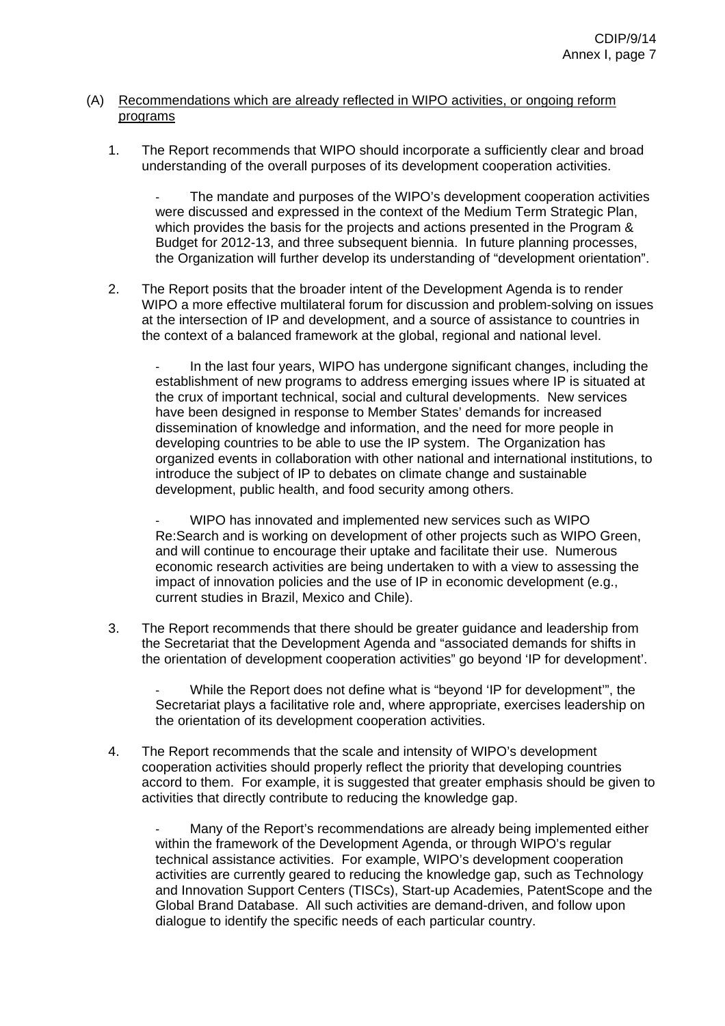# (A) Recommendations which are already reflected in WIPO activities, or ongoing reform programs

1. The Report recommends that WIPO should incorporate a sufficiently clear and broad understanding of the overall purposes of its development cooperation activities.

The mandate and purposes of the WIPO's development cooperation activities were discussed and expressed in the context of the Medium Term Strategic Plan, which provides the basis for the projects and actions presented in the Program & Budget for 2012-13, and three subsequent biennia. In future planning processes, the Organization will further develop its understanding of "development orientation".

2. The Report posits that the broader intent of the Development Agenda is to render WIPO a more effective multilateral forum for discussion and problem-solving on issues at the intersection of IP and development, and a source of assistance to countries in the context of a balanced framework at the global, regional and national level.

In the last four years, WIPO has undergone significant changes, including the establishment of new programs to address emerging issues where IP is situated at the crux of important technical, social and cultural developments. New services have been designed in response to Member States' demands for increased dissemination of knowledge and information, and the need for more people in developing countries to be able to use the IP system. The Organization has organized events in collaboration with other national and international institutions, to introduce the subject of IP to debates on climate change and sustainable development, public health, and food security among others.

WIPO has innovated and implemented new services such as WIPO Re:Search and is working on development of other projects such as WIPO Green, and will continue to encourage their uptake and facilitate their use. Numerous economic research activities are being undertaken to with a view to assessing the impact of innovation policies and the use of IP in economic development (e.g., current studies in Brazil, Mexico and Chile).

3. The Report recommends that there should be greater guidance and leadership from the Secretariat that the Development Agenda and "associated demands for shifts in the orientation of development cooperation activities" go beyond 'IP for development'.

While the Report does not define what is "beyond 'IP for development", the Secretariat plays a facilitative role and, where appropriate, exercises leadership on the orientation of its development cooperation activities.

4. The Report recommends that the scale and intensity of WIPO's development cooperation activities should properly reflect the priority that developing countries accord to them. For example, it is suggested that greater emphasis should be given to activities that directly contribute to reducing the knowledge gap.

Many of the Report's recommendations are already being implemented either within the framework of the Development Agenda, or through WIPO's regular technical assistance activities. For example, WIPO's development cooperation activities are currently geared to reducing the knowledge gap, such as Technology and Innovation Support Centers (TISCs), Start-up Academies, PatentScope and the Global Brand Database. All such activities are demand-driven, and follow upon dialogue to identify the specific needs of each particular country.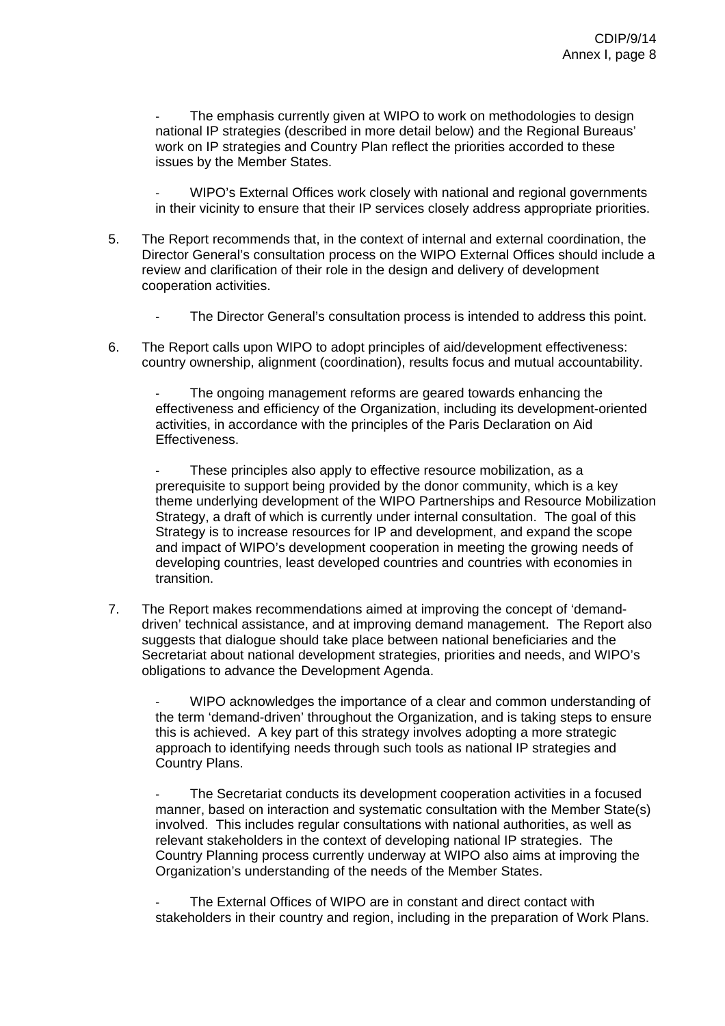The emphasis currently given at WIPO to work on methodologies to design national IP strategies (described in more detail below) and the Regional Bureaus' work on IP strategies and Country Plan reflect the priorities accorded to these issues by the Member States.

WIPO's External Offices work closely with national and regional governments in their vicinity to ensure that their IP services closely address appropriate priorities.

- 5. The Report recommends that, in the context of internal and external coordination, the Director General's consultation process on the WIPO External Offices should include a review and clarification of their role in the design and delivery of development cooperation activities.
	- The Director General's consultation process is intended to address this point.
- 6. The Report calls upon WIPO to adopt principles of aid/development effectiveness: country ownership, alignment (coordination), results focus and mutual accountability.

The ongoing management reforms are geared towards enhancing the effectiveness and efficiency of the Organization, including its development-oriented activities, in accordance with the principles of the Paris Declaration on Aid Effectiveness.

These principles also apply to effective resource mobilization, as a prerequisite to support being provided by the donor community, which is a key theme underlying development of the WIPO Partnerships and Resource Mobilization Strategy, a draft of which is currently under internal consultation. The goal of this Strategy is to increase resources for IP and development, and expand the scope and impact of WIPO's development cooperation in meeting the growing needs of developing countries, least developed countries and countries with economies in transition.

7. The Report makes recommendations aimed at improving the concept of 'demanddriven' technical assistance, and at improving demand management. The Report also suggests that dialogue should take place between national beneficiaries and the Secretariat about national development strategies, priorities and needs, and WIPO's obligations to advance the Development Agenda.

- WIPO acknowledges the importance of a clear and common understanding of the term 'demand-driven' throughout the Organization, and is taking steps to ensure this is achieved. A key part of this strategy involves adopting a more strategic approach to identifying needs through such tools as national IP strategies and Country Plans.

The Secretariat conducts its development cooperation activities in a focused manner, based on interaction and systematic consultation with the Member State(s) involved. This includes regular consultations with national authorities, as well as relevant stakeholders in the context of developing national IP strategies. The Country Planning process currently underway at WIPO also aims at improving the Organization's understanding of the needs of the Member States.

The External Offices of WIPO are in constant and direct contact with stakeholders in their country and region, including in the preparation of Work Plans.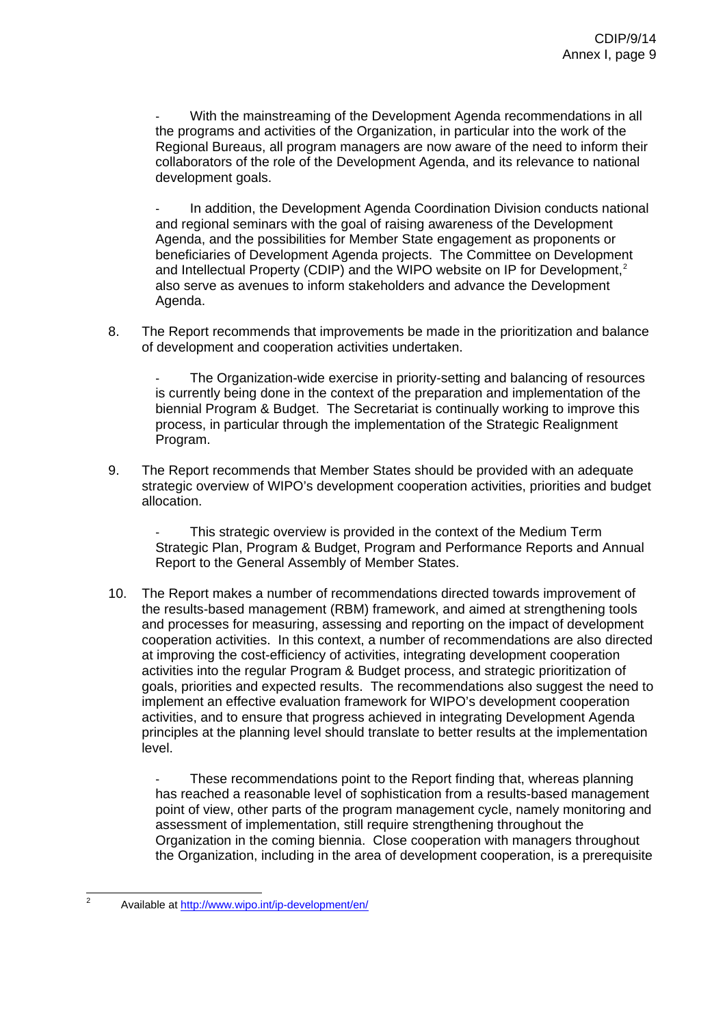With the mainstreaming of the Development Agenda recommendations in all the programs and activities of the Organization, in particular into the work of the Regional Bureaus, all program managers are now aware of the need to inform their collaborators of the role of the Development Agenda, and its relevance to national development goals.

Agenda. In addition, the Development Agenda Coordination Division conducts national and regional seminars with the goal of raising awareness of the Development Agenda, and the possibilities for Member State engagement as proponents or beneficiaries of Development Agenda projects. The Committee on Development and Intellectual Property (CDIP) and the WIPO website on IP for Development, $2$ also serve as avenues to inform stakeholders and advance the Development

8. The Report recommends that improvements be made in the prioritization and balance of development and cooperation activities undertaken.

biennial Program & Budget. The Secretariat is continually working to improve this process, in particular through the implementation of the Strategic Realignment Program. - The Organization-wide exercise in priority-setting and balancing of resources is currently being done in the context of the preparation and implementation of the

strategic overview of WIPO's development cooperation activities, priorities and budget allocation. 9. The Report recommends that Member States should be provided with an adequate

Strategic Plan, Program & Budget, Program and Performance Reports and Annual Report to the General Assembly of Member States. This strategic overview is provided in the context of the Medium Term

cooperation activities. In this context, a number of recommendations are also directed goals, priorities and expected results. The recommendations also suggest the need to principles at the planning level should translate to better results at the implementation level. 10. The Report makes a number of recommendations directed towards improvement of the results-based management (RBM) framework, and aimed at strengthening tools and processes for measuring, assessing and reporting on the impact of development at improving the cost-efficiency of activities, integrating development cooperation activities into the regular Program & Budget process, and strategic prioritization of implement an effective evaluation framework for WIPO's development cooperation activities, and to ensure that progress achieved in integrating Development Agenda

point of view, other parts of the program management cycle, namely monitoring and the Organization, including in the area of development cooperation, is a prerequisite These recommendations point to the Report finding that, whereas planning has reached a reasonable level of sophistication from a results-based management assessment of implementation, still require strengthening throughout the Organization in the coming biennia. Close cooperation with managers throughout

<span id="page-9-0"></span> $\frac{1}{2}$ Available at<http://www.wipo.int/ip-development/en/>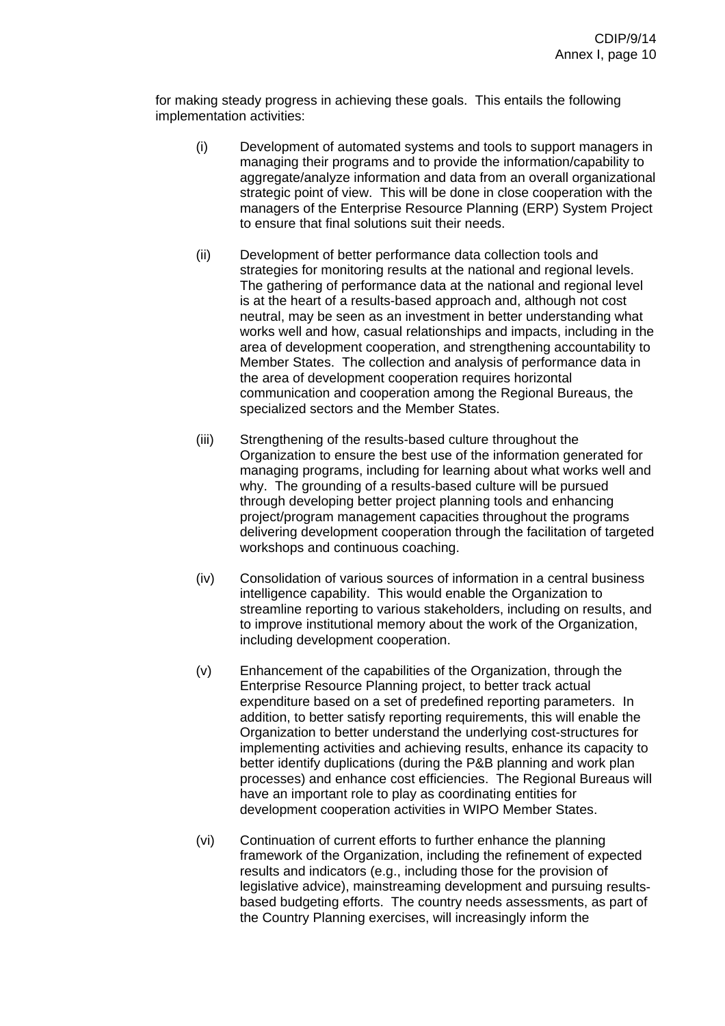for making steady progress in achieving these goals. This entails the following implementation activities:

- strategic point of view. This will be done in close cooperation with the managers of the Enterprise Resource Planning (ERP) System Project (i) Development of automated systems and tools to support managers in managing their programs and to provide the information/capability to aggregate/analyze information and data from an overall organizational to ensure that final solutions suit their needs.
- strategies for monitoring results at the national and regional levels. works well and how, casual relationships and impacts, including in the area of development cooperation, and strengthening accountability to the area of development cooperation requires horizontal communication and cooperation among the Regional Bureaus, the (ii) Development of better performance data collection tools and The gathering of performance data at the national and regional level is at the heart of a results-based approach and, although not cost neutral, may be seen as an investment in better understanding what Member States. The collection and analysis of performance data in specialized sectors and the Member States.
- Organization to ensure the best use of the information generated for managing programs, including for learning about what works well and project/program management capacities throughout the programs delivering development cooperation through the facilitation of targeted (iii) Strengthening of the results-based culture throughout the why. The grounding of a results-based culture will be pursued through developing better project planning tools and enhancing workshops and continuous coaching.
- streamline reporting to various stakeholders, including on results, and to improve institutional memory about the work of the Organization, (iv) Consolidation of various sources of information in a central business intelligence capability. This would enable the Organization to including development cooperation.
- better identify duplications (during the P&B planning and work plan processes) and enhance cost efficiencies. The Regional Bureaus will have an important role to play as coordinating entities for (v) Enhancement of the capabilities of the Organization, through the Enterprise Resource Planning project, to better track actual expenditure based on a set of predefined reporting parameters. In addition, to better satisfy reporting requirements, this will enable the Organization to better understand the underlying cost-structures for implementing activities and achieving results, enhance its capacity to development cooperation activities in WIPO Member States.
- legislative advice), mainstreaming development and pursuing resultsbased budgeting efforts. The country needs assessments, as part of (vi) Continuation of current efforts to further enhance the planning framework of the Organization, including the refinement of expected results and indicators (e.g., including those for the provision of the Country Planning exercises, will increasingly inform the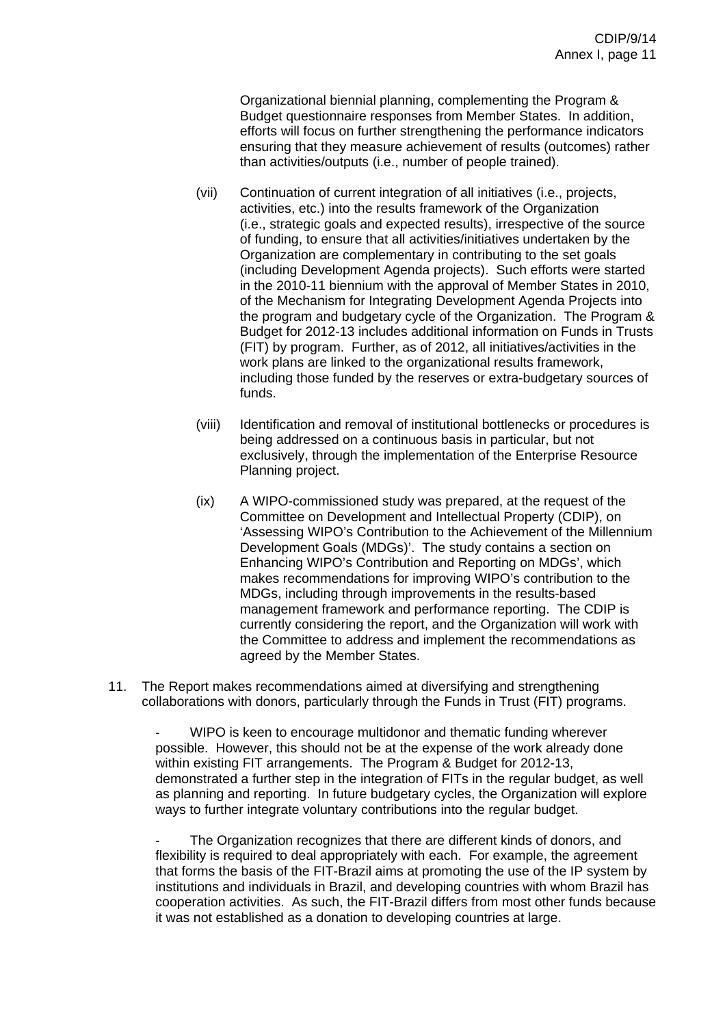efforts will focus on further strengthening the performance indicators ensuring that they measure achievement of results (outcomes) rather Organizational biennial planning, complementing the Program & Budget questionnaire responses from Member States. In addition, than activities/outputs (i.e., number of people trained).

- (vii) (i.e., strategic goals and expected results), irrespective of the source the program and budgetary cycle of the Organization. The Program & Budget for 2012-13 includes additional information on Funds in Trusts work plans are linked to the organizational results framework, including those funded by the reserves or extra-budgetary sources of Continuation of current integration of all initiatives (i.e., projects, activities, etc.) into the results framework of the Organization of funding, to ensure that all activities/initiatives undertaken by the Organization are complementary in contributing to the set goals (including Development Agenda projects). Such efforts were started in the 2010-11 biennium with the approval of Member States in 2010, of the Mechanism for Integrating Development Agenda Projects into (FIT) by program. Further, as of 2012, all initiatives/activities in the funds.
- being addressed on a continuous basis in particular, but not exclusively, through the implementation of the Enterprise Resource (viii) Identification and removal of institutional bottlenecks or procedures is Planning project.
- 'Assessing WIPO's Contribution to the Achievement of the Millennium Enhancing WIPO's Contribution and Reporting on MDGs', which currently considering the report, and the Organization will work with the Committee to address and implement the recommendations as (ix) A WIPO-commissioned study was prepared, at the request of the Committee on Development and Intellectual Property (CDIP), on Development Goals (MDGs)'. The study contains a section on makes recommendations for improving WIPO's contribution to the MDGs, including through improvements in the results-based management framework and performance reporting. The CDIP is agreed by the Member States.
- 11. The Report makes recommendations aimed at diversifying and strengthening collaborations with donors, particularly through the Funds in Trust (FIT) programs.

- WIPO is keen to encourage multidonor and thematic funding wherever demonstrated a further step in the integration of FITs in the regular budget, as well as planning and reporting. In future budgetary cycles, the Organization will explore possible. However, this should not be at the expense of the work already done within existing FIT arrangements. The Program & Budget for 2012-13, ways to further integrate voluntary contributions into the regular budget.

institutions and individuals in Brazil, and developing countries with whom Brazil has cooperation activities. As such, the FIT-Brazil differs from most other funds because it was not established as a donation to developing countries at large. The Organization recognizes that there are different kinds of donors, and flexibility is required to deal appropriately with each. For example, the agreement that forms the basis of the FIT-Brazil aims at promoting the use of the IP system by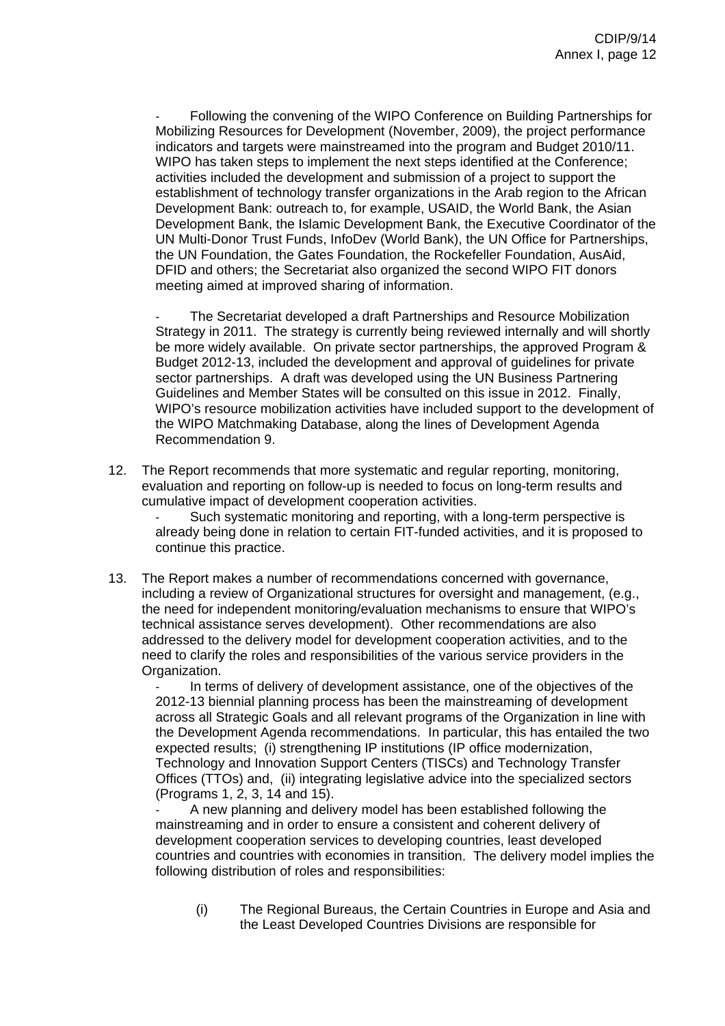WIPO has taken steps to implement the next steps identified at the Conference; establishment of technology transfer organizations in the Arab region to the African UN Multi-Donor Trust Funds, InfoDev (World Bank), the UN Office for Partnerships, DFID and others; the Secretariat also organized the second WIPO FIT donors meeting aimed at improved sharing of information. Following the convening of the WIPO Conference on Building Partnerships for Mobilizing Resources for Development (November, 2009), the project performance indicators and targets were mainstreamed into the program and Budget 2010/11. activities included the development and submission of a project to support the Development Bank: outreach to, for example, USAID, the World Bank, the Asian Development Bank, the Islamic Development Bank, the Executive Coordinator of the the UN Foundation, the Gates Foundation, the Rockefeller Foundation, AusAid,

Budget 2012-13, included the development and approval of guidelines for private WIPO's resource mobilization activities have included support to the development of the WIPO Matchmaking Database, along the lines of Development Agenda Recommendation 9. The Secretariat developed a draft Partnerships and Resource Mobilization Strategy in 2011. The strategy is currently being reviewed internally and will shortly be more widely available. On private sector partnerships, the approved Program & sector partnerships. A draft was developed using the UN Business Partnering Guidelines and Member States will be consulted on this issue in 2012. Finally,

evaluation and reporting on follow-up is needed to focus on long-term results and 12. The Report recommends that more systematic and regular reporting, monitoring, cumulative impact of development cooperation activities.

already being done in relation to certain FIT-funded activities, and it is proposed to continue this practice. Such systematic monitoring and reporting, with a long-term perspective is

the need for independent monitoring/evaluation mechanisms to ensure that WIPO's need to clarify the roles and responsibilities of the various service providers in the 13. The Report makes a number of recommendations concerned with governance, including a review of Organizational structures for oversight and management, (e.g., technical assistance serves development). Other recommendations are also addressed to the delivery model for development cooperation activities, and to the Organization.

the Development Agenda recommendations. In particular, this has entailed the two Offices (TTOs) and, (ii) integrating legislative advice into the specialized sectors In terms of delivery of development assistance, one of the objectives of the 2012-13 biennial planning process has been the mainstreaming of development across all Strategic Goals and all relevant programs of the Organization in line with expected results; (i) strengthening IP institutions (IP office modernization, Technology and Innovation Support Centers (TISCs) and Technology Transfer (Programs 1, 2, 3, 14 and 15).

countries and countries with economies in transition. The delivery model implies the following distribution of roles and responsibilities: A new planning and delivery model has been established following the mainstreaming and in order to ensure a consistent and coherent delivery of development cooperation services to developing countries, least developed

(i) The Regional Bureaus, the Certain Countries in Europe and Asia and the Least Developed Countries Divisions are responsible for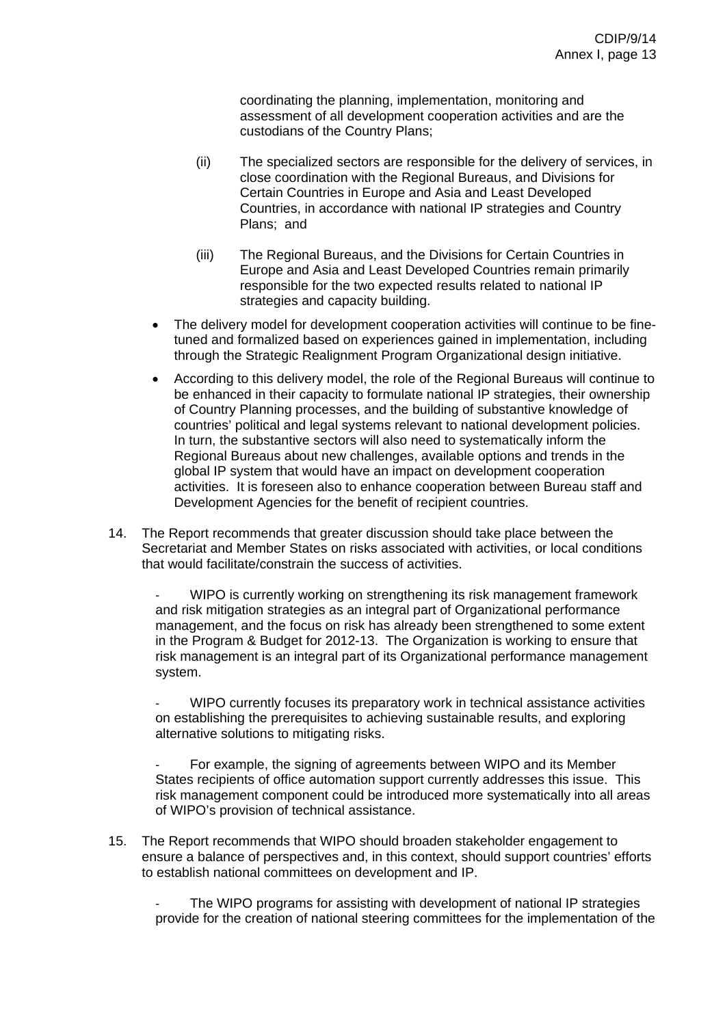assessment of all development cooperation activities and are the custodians of the Country Plans; coordinating the planning, implementation, monitoring and

- (ii) The specialized sectors are responsible for the delivery of services, in close coordination with the Regional Bureaus, and Divisions for Countries, in accordance with national IP strategies and Country Plans; and Certain Countries in Europe and Asia and Least Developed
- Europe and Asia and Least Developed Countries remain primarily responsible for the two expected results related to national IP (iii) The Regional Bureaus, and the Divisions for Certain Countries in strategies and capacity building.
- tuned and formalized based on experiences gained in implementation, including • The delivery model for development cooperation activities will continue to be finethrough the Strategic Realignment Program Organizational design initiative.
- be enhanced in their capacity to formulate national IP strategies, their ownership countries' political and legal systems relevant to national development policies. activities. It is foreseen also to enhance cooperation between Bureau staff and Development Agencies for the benefit of recipient countries. • According to this delivery model, the role of the Regional Bureaus will continue to of Country Planning processes, and the building of substantive knowledge of In turn, the substantive sectors will also need to systematically inform the Regional Bureaus about new challenges, available options and trends in the global IP system that would have an impact on development cooperation
- Secretariat and Member States on risks associated with activities, or local conditions that would facilitate/constrain the success of activities. 14. The Report recommends that greater discussion should take place between the

- WIPO is currently working on strengthening its risk management framework risk management is an integral part of its Organizational performance management system. and risk mitigation strategies as an integral part of Organizational performance management, and the focus on risk has already been strengthened to some extent in the Program & Budget for 2012-13. The Organization is working to ensure that

- WIPO currently focuses its preparatory work in technical assistance activities on establishing the prerequisites to achieving sustainable results, and exploring alternative solutions to mitigating risks.

risk management component could be introduced more systematically into all areas of WIPO's provision of technical assistance. For example, the signing of agreements between WIPO and its Member States recipients of office automation support currently addresses this issue. This

ensure a balance of perspectives and, in this context, should support countries' efforts to establish national committees on development and IP. 15. The Report recommends that WIPO should broaden stakeholder engagement to

The WIPO programs for assisting with development of national IP strategies provide for the creation of national steering committees for the implementation of the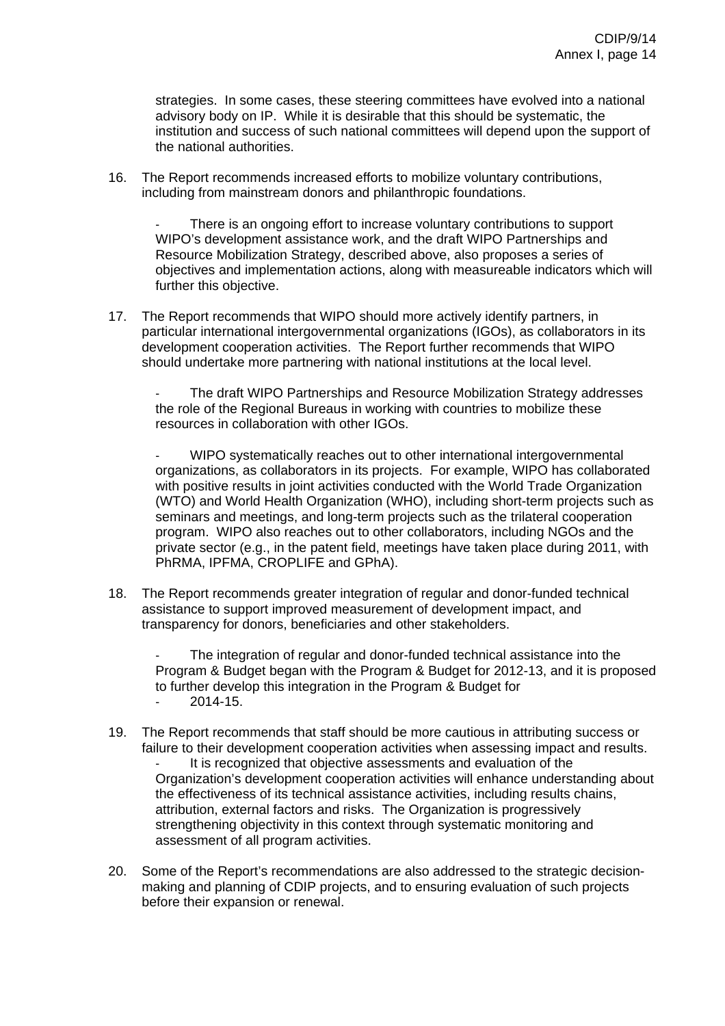strategies. In some cases, these steering committees have evolved into a national institution and success of such national committees will depend upon the support of the national authorities. advisory body on IP. While it is desirable that this should be systematic, the

16. The Report recommends increased efforts to mobilize voluntary contributions, including from mainstream donors and philanthropic foundations.

objectives and implementation actions, along with measureable indicators which will further this objective. There is an ongoing effort to increase voluntary contributions to support WIPO's development assistance work, and the draft WIPO Partnerships and Resource Mobilization Strategy, described above, also proposes a series of

particular international intergovernmental organizations (IGOs), as collaborators in its development cooperation activities. The Report further recommends that WIPO should undertake more partnering with national institutions at the local level. 17. The Report recommends that WIPO should more actively identify partners, in

- The draft WIPO Partnerships and Resource Mobilization Strategy addresses the role of the Regional Bureaus in working with countries to mobilize these resources in collaboration with other IGOs.

(WTO) and World Health Organization (WHO), including short-term projects such as private sector (e.g., in the patent field, meetings have taken place during 2011, with PhRMA, IPFMA, CROPLIFE and GPhA). - WIPO systematically reaches out to other international intergovernmental organizations, as collaborators in its projects. For example, WIPO has collaborated with positive results in joint activities conducted with the World Trade Organization seminars and meetings, and long-term projects such as the trilateral cooperation program. WIPO also reaches out to other collaborators, including NGOs and the

18. The Report recommends greater integration of regular and donor-funded technical assistance to support improved measurement of development impact, and transparency for donors, beneficiaries and other stakeholders.

Program & Budget began with the Program & Budget for 2012-13, and it is proposed to further develop this integration in the Program & Budget for The integration of regular and donor-funded technical assistance into the

- $2014 15$ .
- Organization's development cooperation activities will enhance understanding about the effectiveness of its technical assistance activities, including results chains, strengthening objectivity in this context through systematic monitoring and assessment of all program activities. 19. The Report recommends that staff should be more cautious in attributing success or failure to their development cooperation activities when assessing impact and results. It is recognized that objective assessments and evaluation of the attribution, external factors and risks. The Organization is progressively
- 20. Some of the Report's recommendations are also addressed to the strategic decisionmaking and planning of CDIP projects, and to ensuring evaluation of such projects before their expansion or renewal.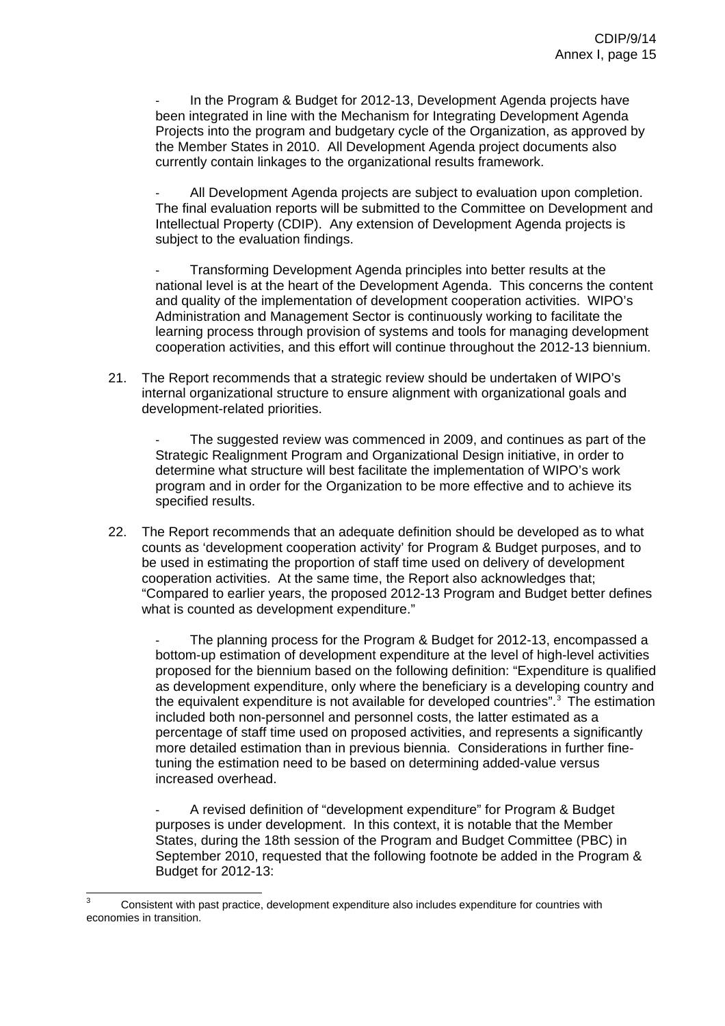Projects into the program and budgetary cycle of the Organization, as approved by the Member States in 2010. All Development Agenda project documents also In the Program & Budget for 2012-13, Development Agenda projects have been integrated in line with the Mechanism for Integrating Development Agenda currently contain linkages to the organizational results framework.

- All Development Agenda projects are subject to evaluation upon completion. The final evaluation reports will be submitted to the Committee on Development and Intellectual Property (CDIP). Any extension of Development Agenda projects is subject to the evaluation findings.

national level is at the heart of the Development Agenda. This concerns the content learning process through provision of systems and tools for managing development cooperation activities, and this effort will continue throughout the 2012-13 biennium. - Transforming Development Agenda principles into better results at the and quality of the implementation of development cooperation activities. WIPO's Administration and Management Sector is continuously working to facilitate the

21. The Report recommends that a strategic review should be undertaken of WIPO's internal organizational structure to ensure alignment with organizational goals and development-related priorities.

determine what structure will best facilitate the implementation of WIPO's work program and in order for the Organization to be more effective and to achieve its The suggested review was commenced in 2009, and continues as part of the Strategic Realignment Program and Organizational Design initiative, in order to specified results.

22. The Report recommends that an adequate definition should be developed as to what counts as 'development cooperation activity' for Program & Budget purposes, and to cooperation activities. At the same time, the Report also acknowledges that; "Compared to earlier years, the proposed 2012-13 Program and Budget better defines be used in estimating the proportion of staff time used on delivery of development what is counted as development expenditure."

as development expenditure, only where the beneficiary is a developing country and percentage of staff time used on proposed activities, and represents a significantly more detailed estimation than in previous biennia. Considerations in further finetuning the estimation need to be based on determining added-value versus The planning process for the Program & Budget for 2012-13, encompassed a bottom-up estimation of development expenditure at the level of high-level activities proposed for the biennium based on the following definition: "Expenditure is qualified the equivalent expenditure is not available for developed countries".[3](#page-15-0) The estimation included both non-personnel and personnel costs, the latter estimated as a increased overhead.

States, during the 18th session of the Program and Budget Committee (PBC) in September 2010, requested that the following footnote be added in the Program & Budget for 2012-13: - A revised definition of "development expenditure" for Program & Budget purposes is under development. In this context, it is notable that the Member

<span id="page-15-0"></span> 3 Consistent with past practice, development expenditure also includes expenditure for countries with economies in transition.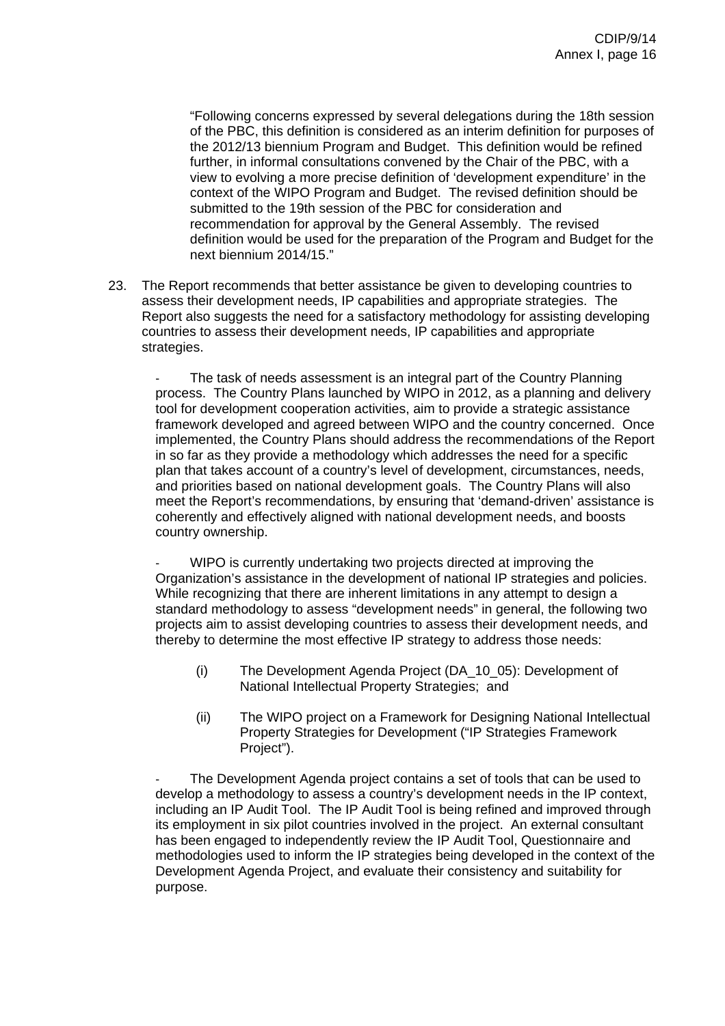of the PBC, this definition is considered as an interim definition for purposes of context of the WIPO Program and Budget. The revised definition should be definition would be used for the preparation of the Program and Budget for the next biennium 2014/15." "Following concerns expressed by several delegations during the 18th session the 2012/13 biennium Program and Budget. This definition would be refined further, in informal consultations convened by the Chair of the PBC, with a view to evolving a more precise definition of 'development expenditure' in the submitted to the 19th session of the PBC for consideration and recommendation for approval by the General Assembly. The revised

23. The Report recommends that better assistance be given to developing countries to Report also suggests the need for a satisfactory methodology for assisting developing countries to assess their development needs, IP capabilities and appropriate strategies. assess their development needs, IP capabilities and appropriate strategies. The

process. The Country Plans launched by WIPO in 2012, as a planning and delivery implemented, the Country Plans should address the recommendations of the Report plan that takes account of a country's level of development, circumstances, needs, meet the Report's recommendations, by ensuring that 'demand-driven' assistance is coherently and effectively aligned with national development needs, and boosts country ownership. The task of needs assessment is an integral part of the Country Planning tool for development cooperation activities, aim to provide a strategic assistance framework developed and agreed between WIPO and the country concerned. Once in so far as they provide a methodology which addresses the need for a specific and priorities based on national development goals. The Country Plans will also

Organization's assistance in the development of national IP strategies and policies. projects aim to assist developing countries to assess their development needs, and thereby to determine the most effective IP strategy to address those needs: WIPO is currently undertaking two projects directed at improving the While recognizing that there are inherent limitations in any attempt to design a standard methodology to assess "development needs" in general, the following two

- (i) The Development Agenda Project (DA\_10\_05): Development of National Intellectual Property Strategies; and
- (ii) The WIPO project on a Framework for Designing National Intellectual Property Strategies for Development ("IP Strategies Framework Project").

its employment in six pilot countries involved in the project. An external consultant methodologies used to inform the IP strategies being developed in the context of the Development Agenda Project, and evaluate their consistency and suitability for purpose. The Development Agenda project contains a set of tools that can be used to develop a methodology to assess a country's development needs in the IP context, including an IP Audit Tool. The IP Audit Tool is being refined and improved through has been engaged to independently review the IP Audit Tool, Questionnaire and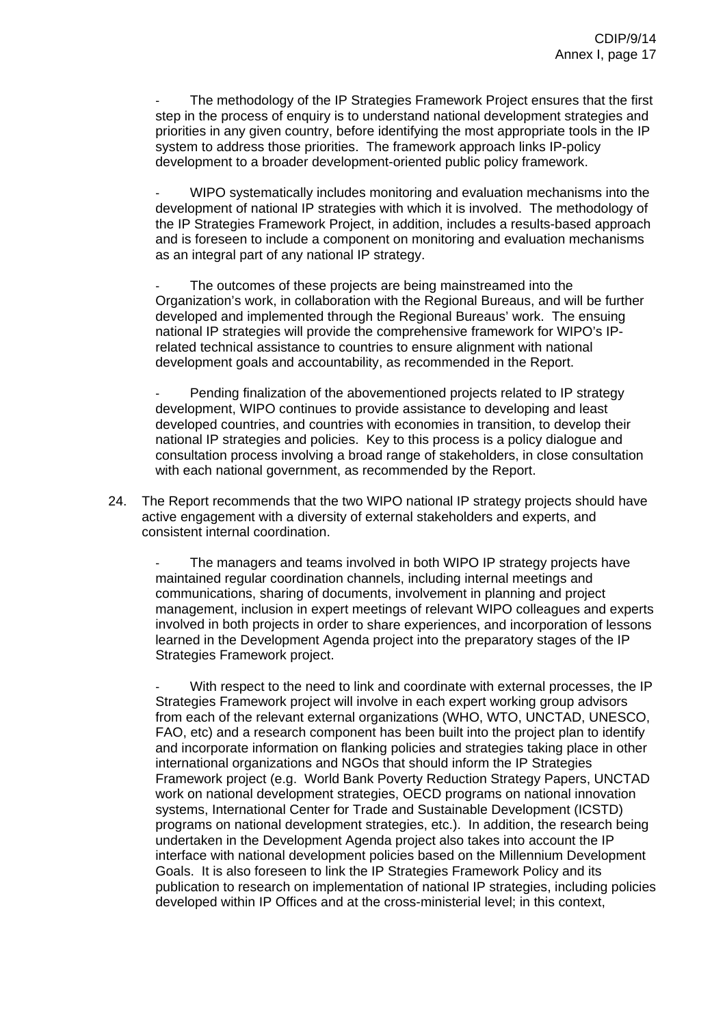step in the process of enquiry is to understand national development strategies and priorities in any given country, before identifying the most appropriate tools in the IP system to address those priorities. The framework approach links IP-policy The methodology of the IP Strategies Framework Project ensures that the first development to a broader development-oriented public policy framework.

the IP Strategies Framework Project, in addition, includes a results-based approach and is foreseen to include a component on monitoring and evaluation mechanisms WIPO systematically includes monitoring and evaluation mechanisms into the development of national IP strategies with which it is involved. The methodology of as an integral part of any national IP strategy.

Organization's work, in collaboration with the Regional Bureaus, and will be further developed and implemented through the Regional Bureaus' work. The ensuing national IP strategies will provide the comprehensive framework for WIPO's IPrelated technical assistance to countries to ensure alignment with national The outcomes of these projects are being mainstreamed into the development goals and accountability, as recommended in the Report.

national IP strategies and policies. Key to this process is a policy dialogue and consultation process involving a broad range of stakeholders, in close consultation Pending finalization of the abovementioned projects related to IP strategy development, WIPO continues to provide assistance to developing and least developed countries, and countries with economies in transition, to develop their with each national government, as recommended by the Report.

24. The Report recommends that the two WIPO national IP strategy projects should have active engagement with a diversity of external stakeholders and experts, and consistent internal coordination.

- The managers and teams involved in both WIPO IP strategy projects have management, inclusion in expert meetings of relevant WIPO colleagues and experts involved in both projects in order to share experiences, and incorporation of lessons learned in the Development Agenda project into the preparatory stages of the IP maintained regular coordination channels, including internal meetings and communications, sharing of documents, involvement in planning and project Strategies Framework project.

FAO, etc) and a research component has been built into the project plan to identify Framework project (e.g. World Bank Poverty Reduction Strategy Papers, UNCTAD publication to research on implementation of national IP strategies, including policies developed within IP Offices and at the cross-ministerial level; in this context, With respect to the need to link and coordinate with external processes, the IP Strategies Framework project will involve in each expert working group advisors from each of the relevant external organizations (WHO, WTO, UNCTAD, UNESCO, and incorporate information on flanking policies and strategies taking place in other international organizations and NGOs that should inform the IP Strategies work on national development strategies, OECD programs on national innovation systems, International Center for Trade and Sustainable Development (ICSTD) programs on national development strategies, etc.). In addition, the research being undertaken in the Development Agenda project also takes into account the IP interface with national development policies based on the Millennium Development Goals. It is also foreseen to link the IP Strategies Framework Policy and its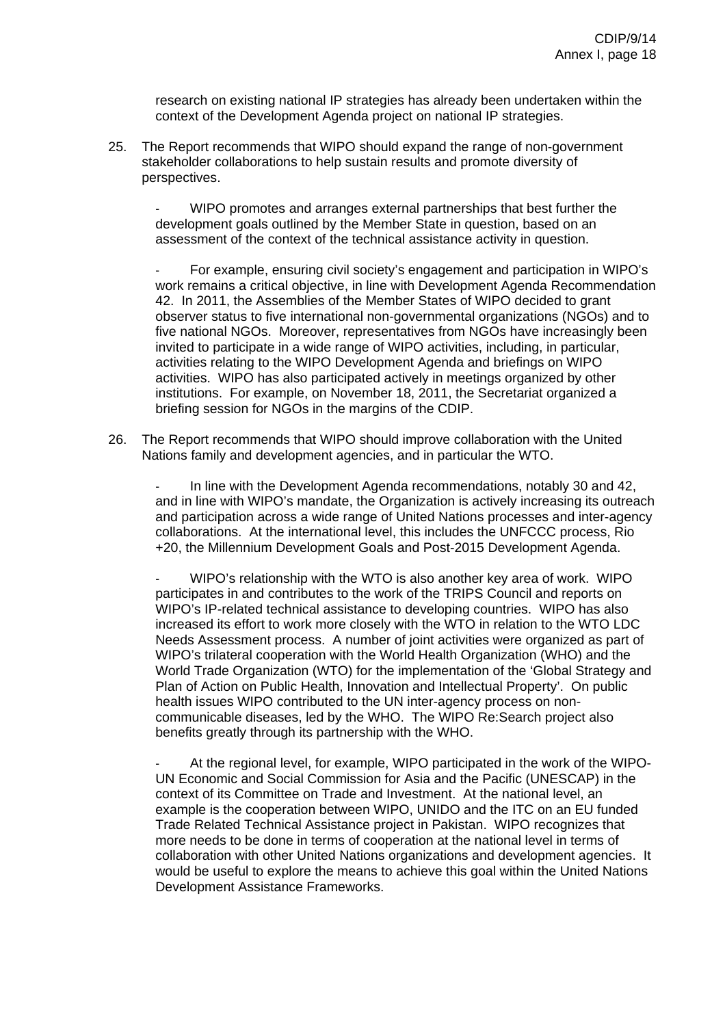research on existing national IP strategies has already been undertaken within the context of the Development Agenda project on national IP strategies.

25. The Report recommends that WIPO should expand the range of non-government stakeholder collaborations to help sustain results and promote diversity of perspectives.

- WIPO promotes and arranges external partnerships that best further the development goals outlined by the Member State in question, based on an assessment of the context of the technical assistance activity in question.

observer status to five international non-governmental organizations (NGOs) and to five national NGOs. Moreover, representatives from NGOs have increasingly been activities relating to the WIPO Development Agenda and briefings on WIPO activities. WIPO has also participated actively in meetings organized by other - For example, ensuring civil society's engagement and participation in WIPO's work remains a critical objective, in line with Development Agenda Recommendation 42. In 2011, the Assemblies of the Member States of WIPO decided to grant invited to participate in a wide range of WIPO activities, including, in particular, institutions. For example, on November 18, 2011, the Secretariat organized a briefing session for NGOs in the margins of the CDIP.

26. The Report recommends that WIPO should improve collaboration with the United Nations family and development agencies, and in particular the WTO.

and in line with WIPO's mandate, the Organization is actively increasing its outreach and participation across a wide range of United Nations processes and inter-agency - In line with the Development Agenda recommendations, notably 30 and 42, collaborations. At the international level, this includes the UNFCCC process, Rio +20, the Millennium Development Goals and Post-2015 Development Agenda.

Needs Assessment process. A number of joint activities were organized as part of WIPO's trilateral cooperation with the World Health Organization (WHO) and the World Trade Organization (WTO) for the implementation of the 'Global Strategy and Plan of Action on Public Health, Innovation and Intellectual Property'. On public health issues WIPO contributed to the UN inter-agency process on non- - WIPO's relationship with the WTO is also another key area of work. WIPO participates in and contributes to the work of the TRIPS Council and reports on WIPO's IP-related technical assistance to developing countries. WIPO has also increased its effort to work more closely with the WTO in relation to the WTO LDC communicable diseases, led by the WHO. The WIPO Re:Search project also benefits greatly through its partnership with the WHO.

- At the regional level, for example, WIPO participated in the work of the WIPOmore needs to be done in terms of cooperation at the national level in terms of collaboration with other United Nations organizations and development agencies. It would be useful to explore the means to achieve this goal within the United Nations Development Assistance Frameworks. UN Economic and Social Commission for Asia and the Pacific (UNESCAP) in the context of its Committee on Trade and Investment. At the national level, an example is the cooperation between WIPO, UNIDO and the ITC on an EU funded Trade Related Technical Assistance project in Pakistan. WIPO recognizes that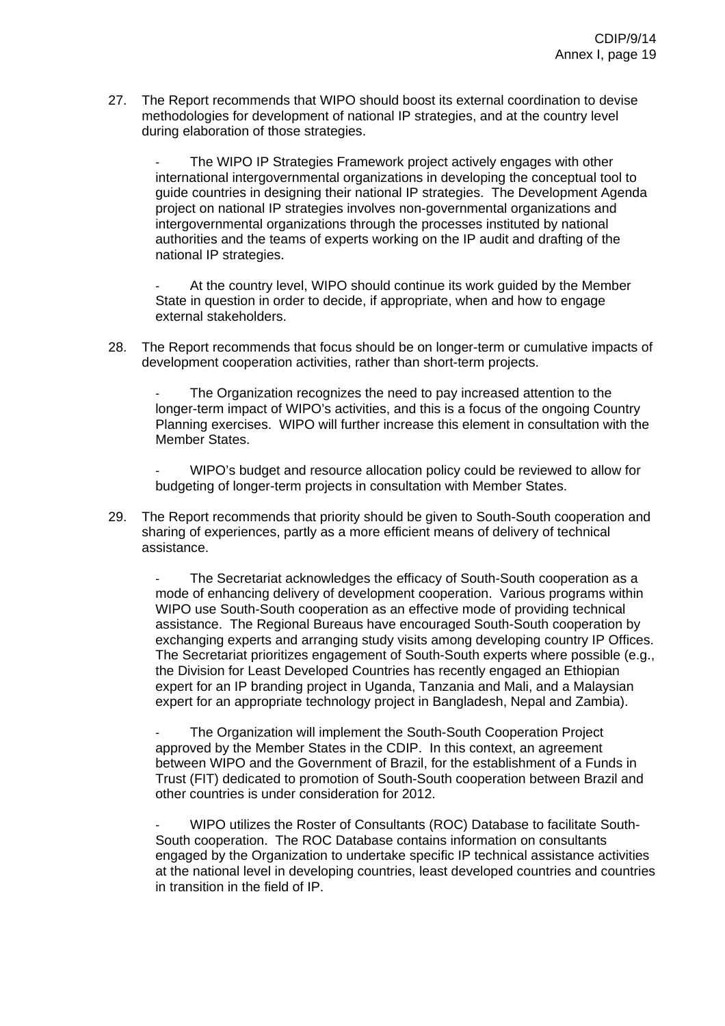27. The Report recommends that WIPO should boost its external coordination to devise methodologies for development of national IP strategies, and at the country level during elaboration of those strategies.

The WIPO IP Strategies Framework project actively engages with other international intergovernmental organizations in developing the conceptual tool to guide countries in designing their national IP strategies. The Development Agenda project on national IP strategies involves non-governmental organizations and intergovernmental organizations through the processes instituted by national authorities and the teams of experts working on the IP audit and drafting of the national IP strategies.

At the country level, WIPO should continue its work guided by the Member State in question in order to decide, if appropriate, when and how to engage external stakeholders.

28. The Report recommends that focus should be on longer-term or cumulative impacts of development cooperation activities, rather than short-term projects.

The Organization recognizes the need to pay increased attention to the longer-term impact of WIPO's activities, and this is a focus of the ongoing Country Planning exercises. WIPO will further increase this element in consultation with the Member States.

WIPO's budget and resource allocation policy could be reviewed to allow for budgeting of longer-term projects in consultation with Member States.

29. The Report recommends that priority should be given to South-South cooperation and sharing of experiences, partly as a more efficient means of delivery of technical assistance.

The Secretariat acknowledges the efficacy of South-South cooperation as a mode of enhancing delivery of development cooperation. Various programs within WIPO use South-South cooperation as an effective mode of providing technical assistance. The Regional Bureaus have encouraged South-South cooperation by exchanging experts and arranging study visits among developing country IP Offices. The Secretariat prioritizes engagement of South-South experts where possible (e.g., the Division for Least Developed Countries has recently engaged an Ethiopian expert for an IP branding project in Uganda, Tanzania and Mali, and a Malaysian expert for an appropriate technology project in Bangladesh, Nepal and Zambia).

The Organization will implement the South-South Cooperation Project approved by the Member States in the CDIP. In this context, an agreement between WIPO and the Government of Brazil, for the establishment of a Funds in Trust (FIT) dedicated to promotion of South-South cooperation between Brazil and other countries is under consideration for 2012.

- WIPO utilizes the Roster of Consultants (ROC) Database to facilitate South-South cooperation. The ROC Database contains information on consultants engaged by the Organization to undertake specific IP technical assistance activities at the national level in developing countries, least developed countries and countries in transition in the field of IP.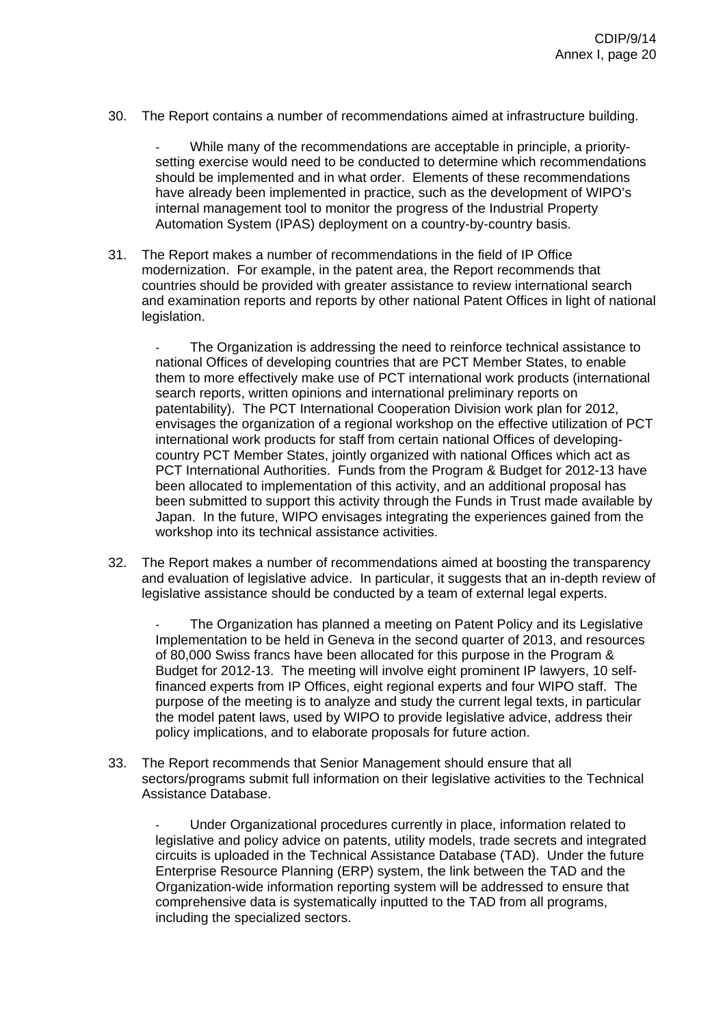30. The Report contains a number of recommendations aimed at infrastructure building.

- While many of the recommendations are acceptable in principle, a prioritysetting exercise would need to be conducted to determine which recommendations should be implemented and in what order. Elements of these recommendations have already been implemented in practice, such as the development of WIPO's internal management tool to monitor the progress of the Industrial Property Automation System (IPAS) deployment on a country-by-country basis.

31. The Report makes a number of recommendations in the field of IP Office modernization. For example, in the patent area, the Report recommends that countries should be provided with greater assistance to review international search and examination reports and reports by other national Patent Offices in light of national legislation.

The Organization is addressing the need to reinforce technical assistance to national Offices of developing countries that are PCT Member States, to enable them to more effectively make use of PCT international work products (international search reports, written opinions and international preliminary reports on patentability). The PCT International Cooperation Division work plan for 2012, envisages the organization of a regional workshop on the effective utilization of PCT international work products for staff from certain national Offices of developingcountry PCT Member States, jointly organized with national Offices which act as PCT International Authorities. Funds from the Program & Budget for 2012-13 have been allocated to implementation of this activity, and an additional proposal has been submitted to support this activity through the Funds in Trust made available by Japan. In the future, WIPO envisages integrating the experiences gained from the workshop into its technical assistance activities.

32. The Report makes a number of recommendations aimed at boosting the transparency and evaluation of legislative advice. In particular, it suggests that an in-depth review of legislative assistance should be conducted by a team of external legal experts.

The Organization has planned a meeting on Patent Policy and its Legislative Implementation to be held in Geneva in the second quarter of 2013, and resources of 80,000 Swiss francs have been allocated for this purpose in the Program & Budget for 2012-13. The meeting will involve eight prominent IP lawyers, 10 selffinanced experts from IP Offices, eight regional experts and four WIPO staff. The purpose of the meeting is to analyze and study the current legal texts, in particular the model patent laws, used by WIPO to provide legislative advice, address their policy implications, and to elaborate proposals for future action.

33. The Report recommends that Senior Management should ensure that all sectors/programs submit full information on their legislative activities to the Technical Assistance Database.

Under Organizational procedures currently in place, information related to legislative and policy advice on patents, utility models, trade secrets and integrated circuits is uploaded in the Technical Assistance Database (TAD). Under the future Enterprise Resource Planning (ERP) system, the link between the TAD and the Organization-wide information reporting system will be addressed to ensure that comprehensive data is systematically inputted to the TAD from all programs, including the specialized sectors.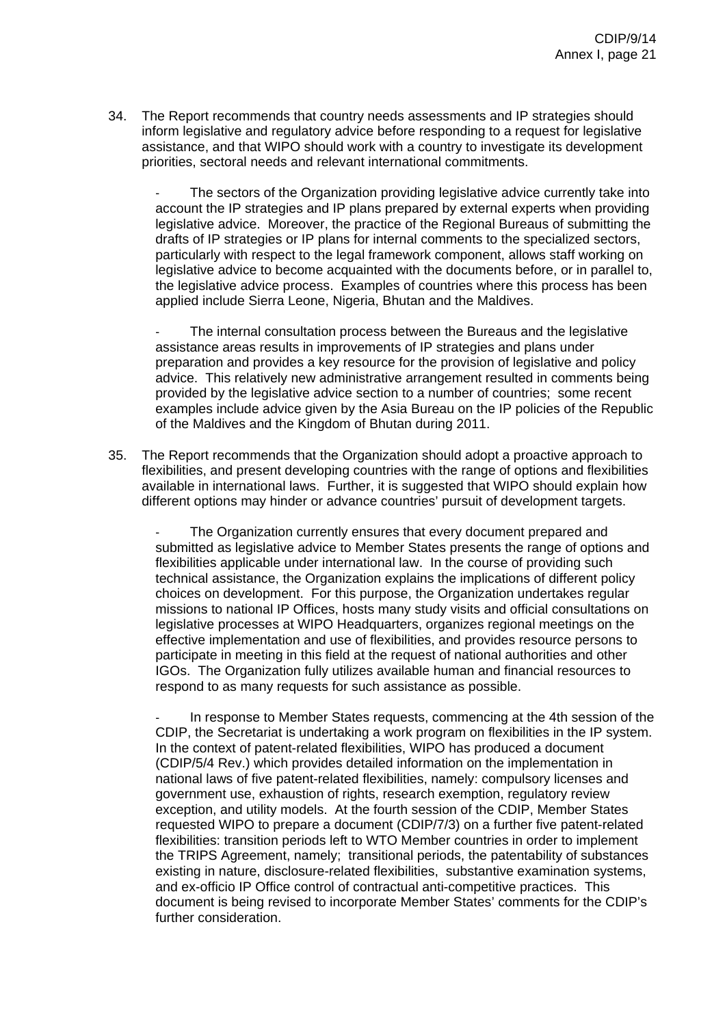34. The Report recommends that country needs assessments and IP strategies should inform legislative and regulatory advice before responding to a request for legislative assistance, and that WIPO should work with a country to investigate its development priorities, sectoral needs and relevant international commitments.

The sectors of the Organization providing legislative advice currently take into account the IP strategies and IP plans prepared by external experts when providing legislative advice. Moreover, the practice of the Regional Bureaus of submitting the drafts of IP strategies or IP plans for internal comments to the specialized sectors, particularly with respect to the legal framework component, allows staff working on legislative advice to become acquainted with the documents before, or in parallel to, the legislative advice process. Examples of countries where this process has been applied include Sierra Leone, Nigeria, Bhutan and the Maldives.

The internal consultation process between the Bureaus and the legislative assistance areas results in improvements of IP strategies and plans under preparation and provides a key resource for the provision of legislative and policy advice. This relatively new administrative arrangement resulted in comments being provided by the legislative advice section to a number of countries; some recent examples include advice given by the Asia Bureau on the IP policies of the Republic of the Maldives and the Kingdom of Bhutan during 2011.

35. The Report recommends that the Organization should adopt a proactive approach to flexibilities, and present developing countries with the range of options and flexibilities available in international laws. Further, it is suggested that WIPO should explain how different options may hinder or advance countries' pursuit of development targets.

The Organization currently ensures that every document prepared and submitted as legislative advice to Member States presents the range of options and flexibilities applicable under international law. In the course of providing such technical assistance, the Organization explains the implications of different policy choices on development. For this purpose, the Organization undertakes regular missions to national IP Offices, hosts many study visits and official consultations on legislative processes at WIPO Headquarters, organizes regional meetings on the effective implementation and use of flexibilities, and provides resource persons to participate in meeting in this field at the request of national authorities and other IGOs. The Organization fully utilizes available human and financial resources to respond to as many requests for such assistance as possible.

In response to Member States requests, commencing at the 4th session of the CDIP, the Secretariat is undertaking a work program on flexibilities in the IP system. In the context of patent-related flexibilities, WIPO has produced a document (CDIP/5/4 Rev.) which provides detailed information on the implementation in national laws of five patent-related flexibilities, namely: compulsory licenses and government use, exhaustion of rights, research exemption, regulatory review exception, and utility models. At the fourth session of the CDIP, Member States requested WIPO to prepare a document (CDIP/7/3) on a further five patent-related flexibilities: transition periods left to WTO Member countries in order to implement the TRIPS Agreement, namely; transitional periods, the patentability of substances existing in nature, disclosure-related flexibilities, substantive examination systems, and ex-officio IP Office control of contractual anti-competitive practices. This document is being revised to incorporate Member States' comments for the CDIP's further consideration.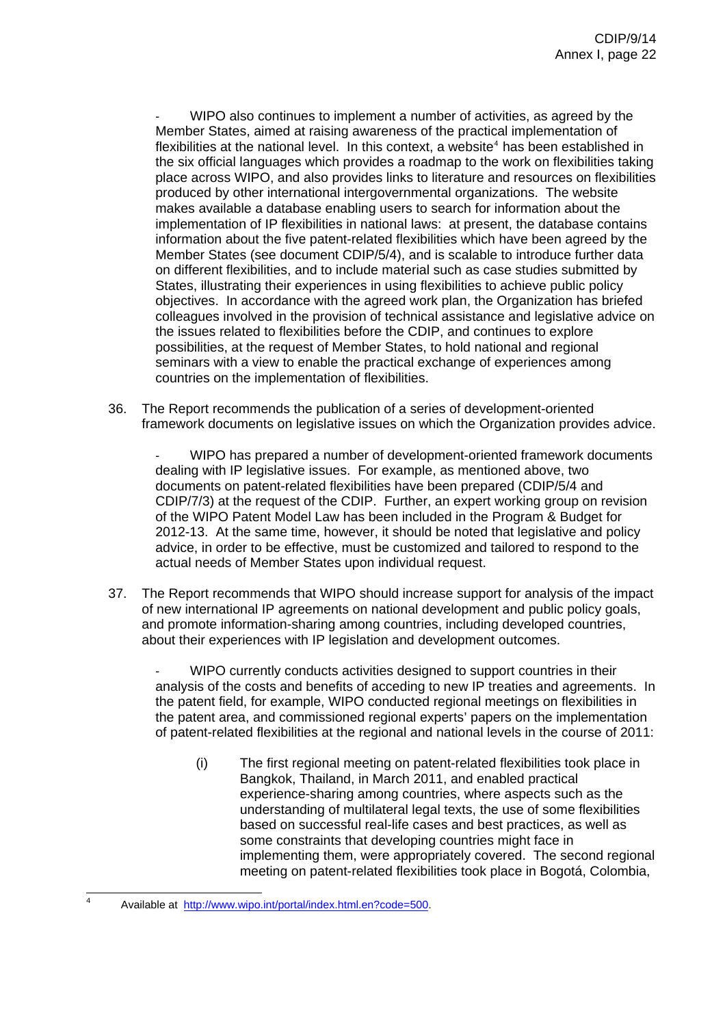WIPO also continues to implement a number of activities, as agreed by the Member States, aimed at raising awareness of the practical implementation of flexibilities at the national level. In this context, a website<sup>[4](#page-22-0)</sup> has been established in the six official languages which provides a roadmap to the work on flexibilities taking place across WIPO, and also provides links to literature and resources on flexibilities produced by other international intergovernmental organizations. The website makes available a database enabling users to search for information about the implementation of IP flexibilities in national laws: at present, the database contains information about the five patent-related flexibilities which have been agreed by the Member States (see document CDIP/5/4), and is scalable to introduce further data on different flexibilities, and to include material such as case studies submitted by States, illustrating their experiences in using flexibilities to achieve public policy objectives. In accordance with the agreed work plan, the Organization has briefed colleagues involved in the provision of technical assistance and legislative advice on the issues related to flexibilities before the CDIP, and continues to explore possibilities, at the request of Member States, to hold national and regional seminars with a view to enable the practical exchange of experiences among countries on the implementation of flexibilities.

36. The Report recommends the publication of a series of development-oriented framework documents on legislative issues on which the Organization provides advice.

- WIPO has prepared a number of development-oriented framework documents dealing with IP legislative issues. For example, as mentioned above, two documents on patent-related flexibilities have been prepared (CDIP/5/4 and CDIP/7/3) at the request of the CDIP. Further, an expert working group on revision of the WIPO Patent Model Law has been included in the Program & Budget for 2012-13. At the same time, however, it should be noted that legislative and policy advice, in order to be effective, must be customized and tailored to respond to the actual needs of Member States upon individual request.

37. The Report recommends that WIPO should increase support for analysis of the impact of new international IP agreements on national development and public policy goals, and promote information-sharing among countries, including developed countries, about their experiences with IP legislation and development outcomes.

WIPO currently conducts activities designed to support countries in their analysis of the costs and benefits of acceding to new IP treaties and agreements. In the patent field, for example, WIPO conducted regional meetings on flexibilities in the patent area, and commissioned regional experts' papers on the implementation of patent-related flexibilities at the regional and national levels in the course of 2011:

(i) The first regional meeting on patent-related flexibilities took place in Bangkok, Thailand, in March 2011, and enabled practical experience-sharing among countries, where aspects such as the understanding of multilateral legal texts, the use of some flexibilities based on successful real-life cases and best practices, as well as some constraints that developing countries might face in implementing them, were appropriately covered. The second regional meeting on patent-related flexibilities took place in Bogotá, Colombia,

<span id="page-22-0"></span> $\frac{1}{4}$ Available at [http://www.wipo.int/portal/index.html.en?code=500.](http://www.wipo.int/portal/index.html.en?code=500)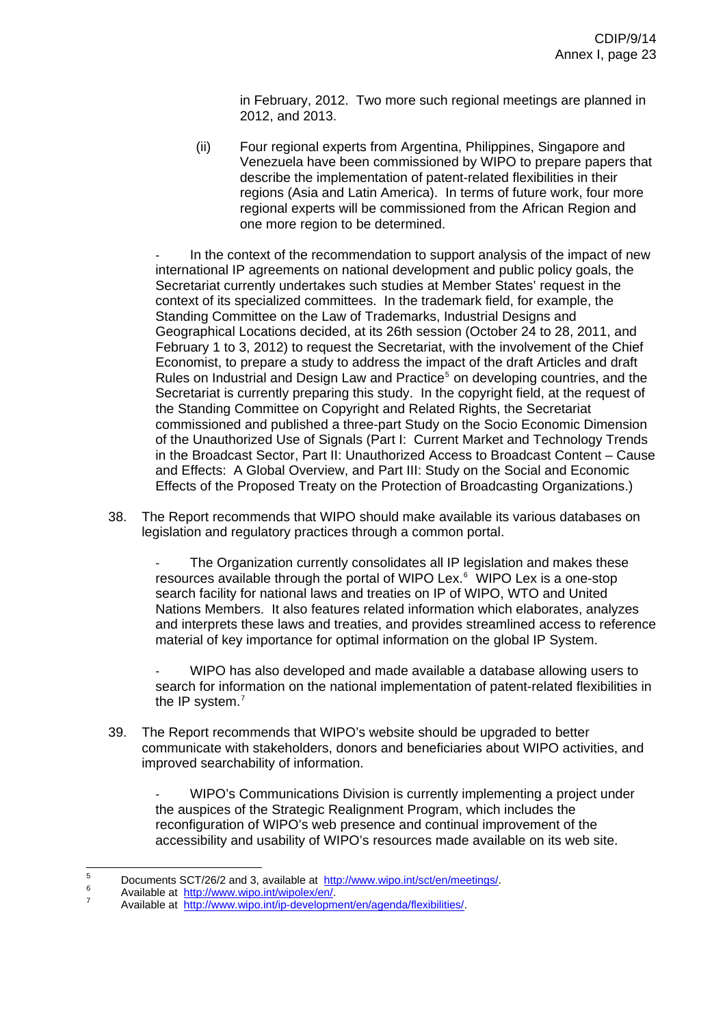in February, 2012. Two more such regional meetings are planned in 2012, and 2013.

(ii) Four regional experts from Argentina, Philippines, Singapore and Venezuela have been commissioned by WIPO to prepare papers that describe the implementation of patent-related flexibilities in their regions (Asia and Latin America). In terms of future work, four more regional experts will be commissioned from the African Region and one more region to be determined.

In the context of the recommendation to support analysis of the impact of new international IP agreements on national development and public policy goals, the Secretariat currently undertakes such studies at Member States' request in the context of its specialized committees. In the trademark field, for example, the Standing Committee on the Law of Trademarks, Industrial Designs and Geographical Locations decided, at its 26th session (October 24 to 28, 2011, and February 1 to 3, 2012) to request the Secretariat, with the involvement of the Chief Economist, to prepare a study to address the impact of the draft Articles and draft Rules on Industrial and Design Law and Practice<sup>[5](#page-23-0)</sup> on developing countries, and the Secretariat is currently preparing this study. In the copyright field, at the request of the Standing Committee on Copyright and Related Rights, the Secretariat commissioned and published a three-part Study on the Socio Economic Dimension of the Unauthorized Use of Signals (Part I: Current Market and Technology Trends in the Broadcast Sector, Part II: Unauthorized Access to Broadcast Content – Cause and Effects: A Global Overview, and Part III: Study on the Social and Economic Effects of the Proposed Treaty on the Protection of Broadcasting Organizations.)

38. The Report recommends that WIPO should make available its various databases on legislation and regulatory practices through a common portal.

The Organization currently consolidates all IP legislation and makes these resources available through the portal of WIPO Lex.<sup>[6](#page-23-1)</sup> WIPO Lex is a one-stop search facility for national laws and treaties on IP of WIPO, WTO and United Nations Members. It also features related information which elaborates, analyzes and interprets these laws and treaties, and provides streamlined access to reference material of key importance for optimal information on the global IP System.

- WIPO has also developed and made available a database allowing users to search for information on the national implementation of patent-related flexibilities in the IP system.<sup>[7](#page-23-2)</sup>

39. The Report recommends that WIPO's website should be upgraded to better communicate with stakeholders, donors and beneficiaries about WIPO activities, and improved searchability of information.

- WIPO's Communications Division is currently implementing a project under the auspices of the Strategic Realignment Program, which includes the reconfiguration of WIPO's web presence and continual improvement of the accessibility and usability of WIPO's resources made available on its web site.

<span id="page-23-0"></span><sup>—&</sup>lt;br>5 5 Documents SCT/26/2 and 3, available at [http://www.wipo.int/sct/en/meetings/.](http://www.wipo.int/sct/en/meetings/)

<span id="page-23-1"></span> $\frac{6}{7}$  Available at  $\frac{http://www.wipo.int/wipolex/en/7}{http://www.wipo.int/wipolex/en/7}$  $\frac{http://www.wipo.int/wipolex/en/7}{http://www.wipo.int/wipolex/en/7}$  $\frac{http://www.wipo.int/wipolex/en/7}{http://www.wipo.int/wipolex/en/7}$ 

<span id="page-23-2"></span>Available at [http://www.wipo.int/ip-development/en/agenda/flexibilities/.](http://www.wipo.int/ip-development/en/agenda/flexibilities/)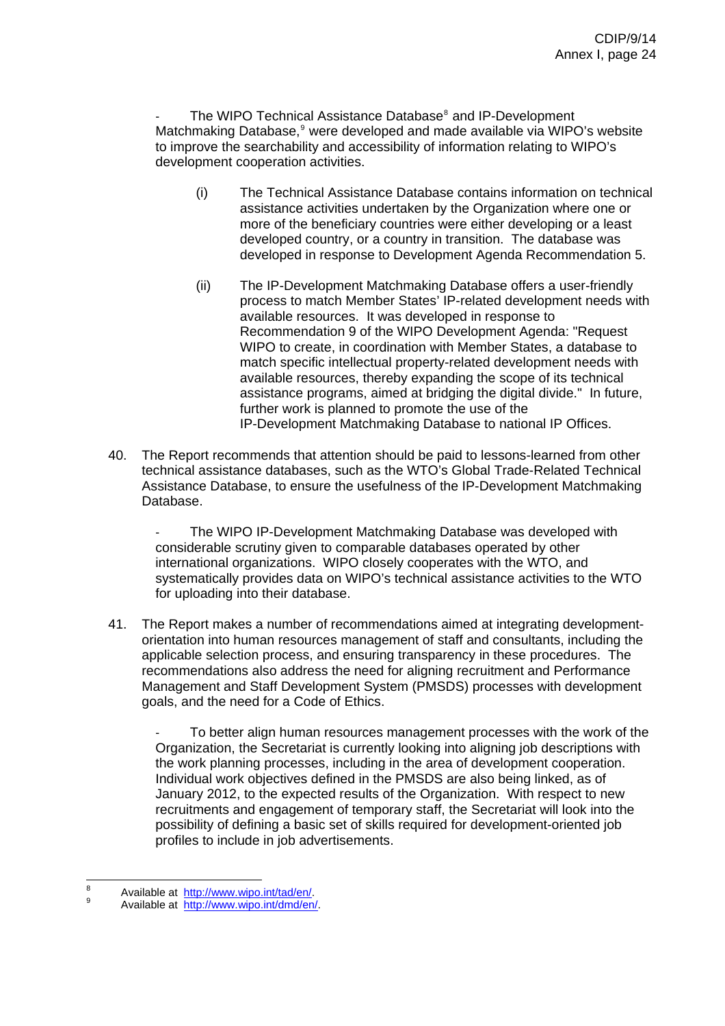- The WIPO Technical Assistance Database<sup>[8](#page-24-0)</sup> and IP-Development Matchmaking Database,<sup>[9](#page-24-1)</sup> were developed and made available via WIPO's website to improve the searchability and accessibility of information relating to WIPO's development cooperation activities.

- (i) The Technical Assistance Database contains information on technical assistance activities undertaken by the Organization where one or more of the beneficiary countries were either developing or a least developed country, or a country in transition. The database was developed in response to Development Agenda Recommendation 5.
- (ii) The IP-Development Matchmaking Database offers a user-friendly process to match Member States' IP-related development needs with available resources. It was developed in response to Recommendation 9 of the WIPO Development Agenda: "Request WIPO to create, in coordination with Member States, a database to match specific intellectual property-related development needs with available resources, thereby expanding the scope of its technical assistance programs, aimed at bridging the digital divide." In future, further work is planned to promote the use of the IP-Development Matchmaking Database to national IP Offices.
- 40. The Report recommends that attention should be paid to lessons-learned from other technical assistance databases, such as the WTO's Global Trade-Related Technical Assistance Database, to ensure the usefulness of the IP-Development Matchmaking Database.

The WIPO IP-Development Matchmaking Database was developed with considerable scrutiny given to comparable databases operated by other international organizations. WIPO closely cooperates with the WTO, and systematically provides data on WIPO's technical assistance activities to the WTO for uploading into their database.

41. The Report makes a number of recommendations aimed at integrating developmentorientation into human resources management of staff and consultants, including the applicable selection process, and ensuring transparency in these procedures. The recommendations also address the need for aligning recruitment and Performance Management and Staff Development System (PMSDS) processes with development goals, and the need for a Code of Ethics.

To better align human resources management processes with the work of the Organization, the Secretariat is currently looking into aligning job descriptions with the work planning processes, including in the area of development cooperation. Individual work objectives defined in the PMSDS are also being linked, as of January 2012, to the expected results of the Organization. With respect to new recruitments and engagement of temporary staff, the Secretariat will look into the possibility of defining a basic set of skills required for development-oriented job profiles to include in job advertisements.

<span id="page-24-0"></span><sup>-&</sup>lt;br>8  $^8$  Available at  $\frac{http://www.wipo.int/tad/en/}{http://www.wipo.int/tad/en/}.$ 

<span id="page-24-1"></span>Available at [http://www.wipo.int/dmd/en/.](http://www.wipo.int/dmd/en/)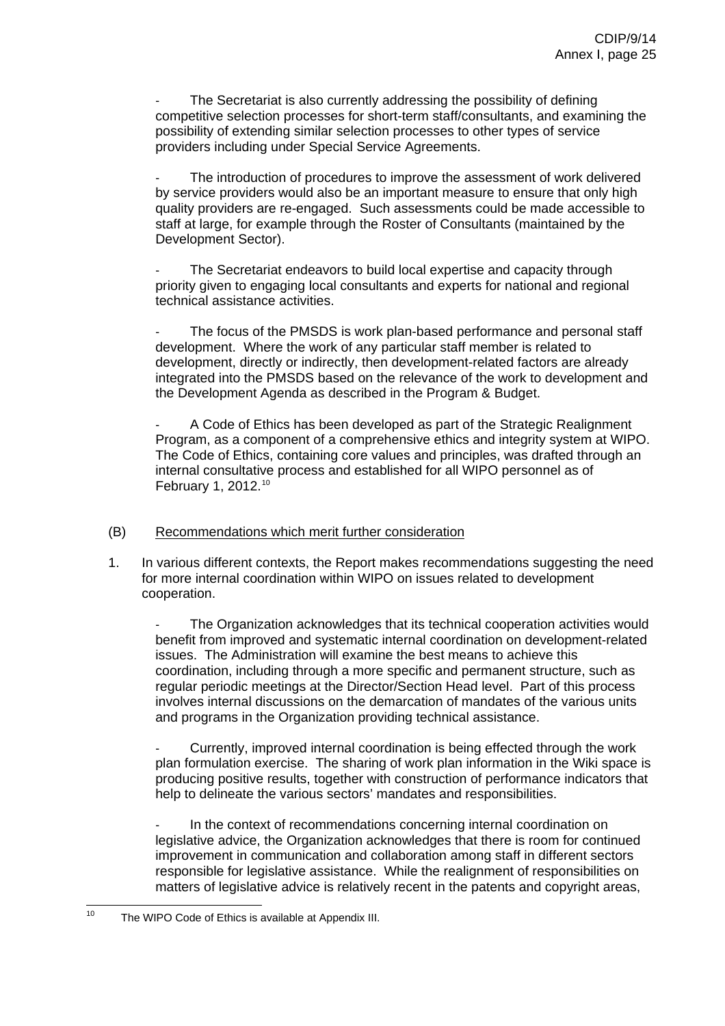The Secretariat is also currently addressing the possibility of defining competitive selection processes for short-term staff/consultants, and examining the possibility of extending similar selection processes to other types of service providers including under Special Service Agreements.

The introduction of procedures to improve the assessment of work delivered by service providers would also be an important measure to ensure that only high quality providers are re-engaged. Such assessments could be made accessible to staff at large, for example through the Roster of Consultants (maintained by the Development Sector).

The Secretariat endeavors to build local expertise and capacity through priority given to engaging local consultants and experts for national and regional technical assistance activities.

The focus of the PMSDS is work plan-based performance and personal staff development. Where the work of any particular staff member is related to development, directly or indirectly, then development-related factors are already integrated into the PMSDS based on the relevance of the work to development and the Development Agenda as described in the Program & Budget.

A Code of Ethics has been developed as part of the Strategic Realignment Program, as a component of a comprehensive ethics and integrity system at WIPO. The Code of Ethics, containing core values and principles, was drafted through an internal consultative process and established for all WIPO personnel as of February 1, 2012.[10](#page-25-0)

# (B) Recommendations which merit further consideration

1. In various different contexts, the Report makes recommendations suggesting the need for more internal coordination within WIPO on issues related to development cooperation.

The Organization acknowledges that its technical cooperation activities would benefit from improved and systematic internal coordination on development-related issues. The Administration will examine the best means to achieve this coordination, including through a more specific and permanent structure, such as regular periodic meetings at the Director/Section Head level. Part of this process involves internal discussions on the demarcation of mandates of the various units and programs in the Organization providing technical assistance.

- Currently, improved internal coordination is being effected through the work plan formulation exercise. The sharing of work plan information in the Wiki space is producing positive results, together with construction of performance indicators that help to delineate the various sectors' mandates and responsibilities.

In the context of recommendations concerning internal coordination on legislative advice, the Organization acknowledges that there is room for continued improvement in communication and collaboration among staff in different sectors responsible for legislative assistance. While the realignment of responsibilities on matters of legislative advice is relatively recent in the patents and copyright areas,

<span id="page-25-0"></span> $10$ The WIPO Code of Ethics is available at Appendix III.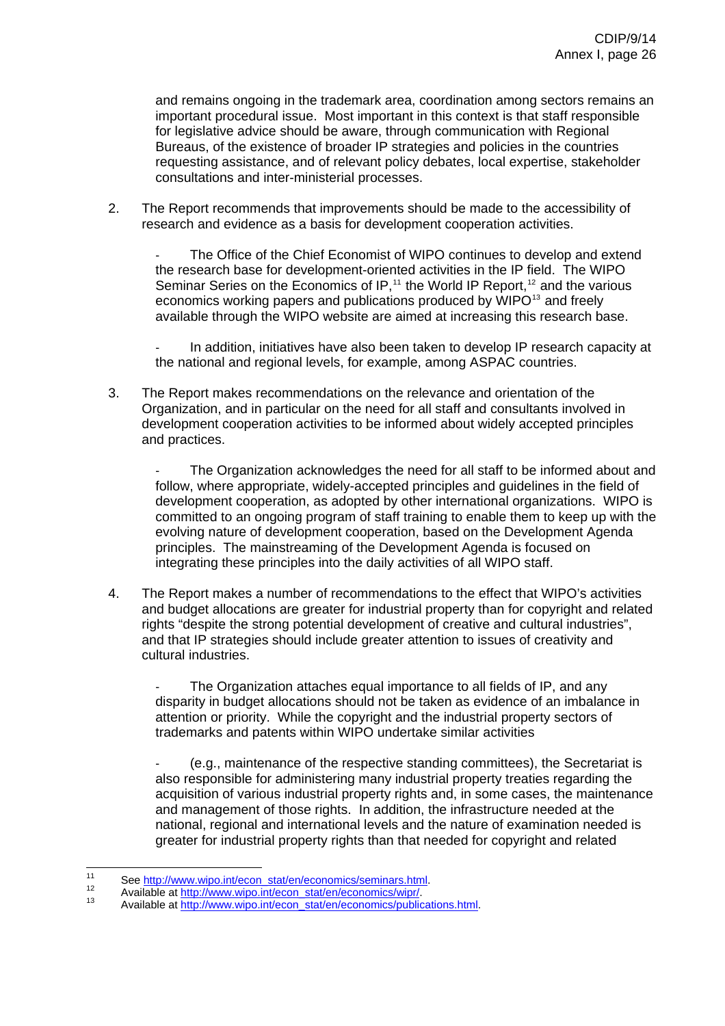and remains ongoing in the trademark area, coordination among sectors remains an important procedural issue. Most important in this context is that staff responsible for legislative advice should be aware, through communication with Regional Bureaus, of the existence of broader IP strategies and policies in the countries requesting assistance, and of relevant policy debates, local expertise, stakeholder consultations and inter-ministerial processes.

2. The Report recommends that improvements should be made to the accessibility of research and evidence as a basis for development cooperation activities.

The Office of the Chief Economist of WIPO continues to develop and extend the research base for development-oriented activities in the IP field. The WIPO Seminar Series on the Economics of IP,<sup>[11](#page-26-0)</sup> the World IP Report,<sup>[12](#page-26-1)</sup> and the various economics working papers and publications produced by WIPO<sup>[13](#page-26-2)</sup> and freely available through the WIPO website are aimed at increasing this research base.

In addition, initiatives have also been taken to develop IP research capacity at the national and regional levels, for example, among ASPAC countries.

3. The Report makes recommendations on the relevance and orientation of the Organization, and in particular on the need for all staff and consultants involved in development cooperation activities to be informed about widely accepted principles and practices.

The Organization acknowledges the need for all staff to be informed about and follow, where appropriate, widely-accepted principles and guidelines in the field of development cooperation, as adopted by other international organizations. WIPO is committed to an ongoing program of staff training to enable them to keep up with the evolving nature of development cooperation, based on the Development Agenda principles. The mainstreaming of the Development Agenda is focused on integrating these principles into the daily activities of all WIPO staff.

4. The Report makes a number of recommendations to the effect that WIPO's activities and budget allocations are greater for industrial property than for copyright and related rights "despite the strong potential development of creative and cultural industries", and that IP strategies should include greater attention to issues of creativity and cultural industries.

The Organization attaches equal importance to all fields of IP, and any disparity in budget allocations should not be taken as evidence of an imbalance in attention or priority. While the copyright and the industrial property sectors of trademarks and patents within WIPO undertake similar activities

- (e.g., maintenance of the respective standing committees), the Secretariat is also responsible for administering many industrial property treaties regarding the acquisition of various industrial property rights and, in some cases, the maintenance and management of those rights. In addition, the infrastructure needed at the national, regional and international levels and the nature of examination needed is greater for industrial property rights than that needed for copyright and related

<span id="page-26-0"></span> $11$ 11 See [http://www.wipo.int/econ\\_stat/en/economics/seminars.html.](http://www.wipo.int/econ_stat/en/economics/seminars.html)<br>
12 Available at [http://www.wipo.int/econ\\_stat/en/economics/wipr/](http://www.wipo.int/econ_stat/en/economics/wipr/).<br>
13 Available at [http://www.wipo.int/econ\\_stat/en/economics/publications.html](http://www.wipo.int/econ_stat/en/economics/publications.html).

<span id="page-26-1"></span>

<span id="page-26-2"></span>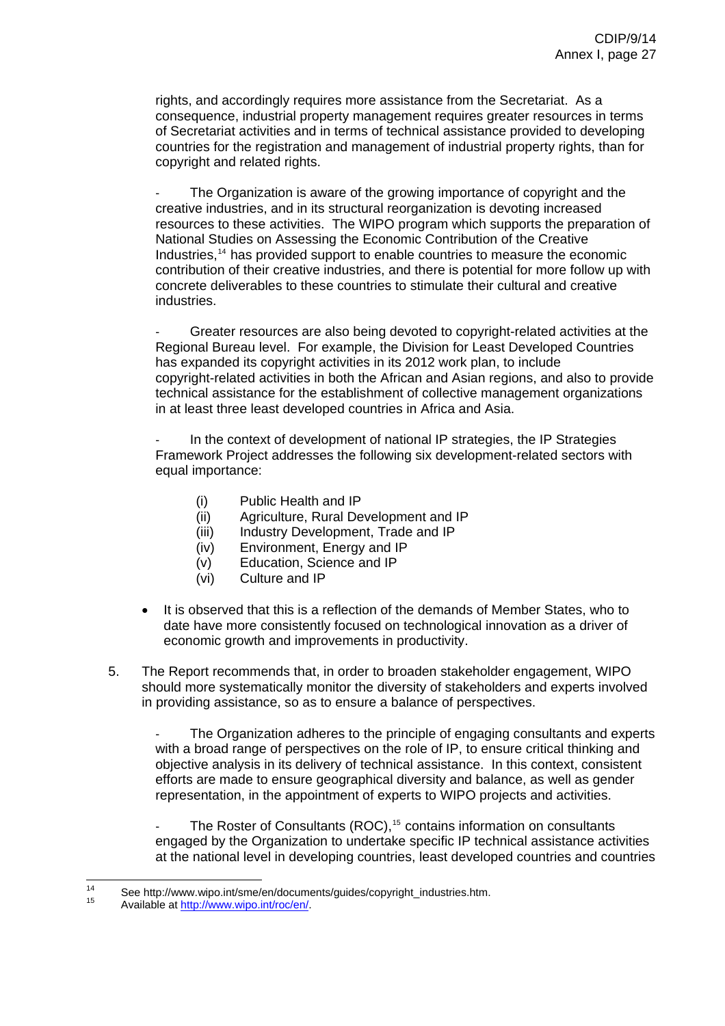rights, and accordingly requires more assistance from the Secretariat. As a consequence, industrial property management requires greater resources in terms of Secretariat activities and in terms of technical assistance provided to developing countries for the registration and management of industrial property rights, than for copyright and related rights.

The Organization is aware of the growing importance of copyright and the creative industries, and in its structural reorganization is devoting increased resources to these activities. The WIPO program which supports the preparation of National Studies on Assessing the Economic Contribution of the Creative Industries,[14](#page-27-0) has provided support to enable countries to measure the economic contribution of their creative industries, and there is potential for more follow up with concrete deliverables to these countries to stimulate their cultural and creative industries.

Greater resources are also being devoted to copyright-related activities at the Regional Bureau level. For example, the Division for Least Developed Countries has expanded its copyright activities in its 2012 work plan, to include copyright-related activities in both the African and Asian regions, and also to provide technical assistance for the establishment of collective management organizations in at least three least developed countries in Africa and Asia.

In the context of development of national IP strategies, the IP Strategies Framework Project addresses the following six development-related sectors with equal importance:

- (i) Public Health and IP
- (ii) Agriculture, Rural Development and IP
- (iii) Industry Development, Trade and IP
- (iv) Environment, Energy and IP
- (v) Education, Science and IP
- (vi) Culture and IP
- It is observed that this is a reflection of the demands of Member States, who to date have more consistently focused on technological innovation as a driver of economic growth and improvements in productivity.
- 5. The Report recommends that, in order to broaden stakeholder engagement, WIPO should more systematically monitor the diversity of stakeholders and experts involved in providing assistance, so as to ensure a balance of perspectives.

The Organization adheres to the principle of engaging consultants and experts with a broad range of perspectives on the role of IP, to ensure critical thinking and objective analysis in its delivery of technical assistance. In this context, consistent efforts are made to ensure geographical diversity and balance, as well as gender representation, in the appointment of experts to WIPO projects and activities.

The Roster of Consultants (ROC),<sup>[15](#page-27-1)</sup> contains information on consultants engaged by the Organization to undertake specific IP technical assistance activities at the national level in developing countries, least developed countries and countries

<span id="page-27-1"></span><span id="page-27-0"></span> $\overline{14}$ <sup>14</sup> See http://w[ww.wipo.int/sme/en/docum](http://www.wipo.int/roc/en/)ents/guides/copyright\_industries.htm.<br><sup>15</sup> Available at <u>http://www.wipo.int/roc/en/</u>.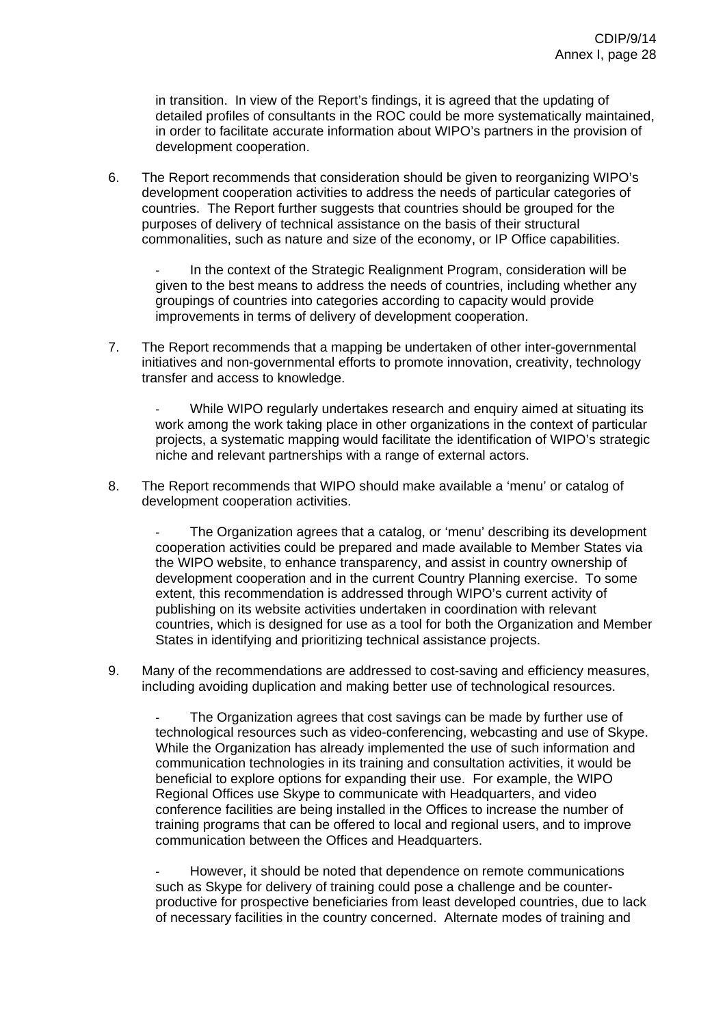in transition. In view of the Report's findings, it is agreed that the updating of detailed profiles of consultants in the ROC could be more systematically maintained, in order to facilitate accurate information about WIPO's partners in the provision of development cooperation.

6. The Report recommends that consideration should be given to reorganizing WIPO's development cooperation activities to address the needs of particular categories of countries. The Report further suggests that countries should be grouped for the purposes of delivery of technical assistance on the basis of their structural commonalities, such as nature and size of the economy, or IP Office capabilities.

In the context of the Strategic Realignment Program, consideration will be given to the best means to address the needs of countries, including whether any groupings of countries into categories according to capacity would provide improvements in terms of delivery of development cooperation.

7. The Report recommends that a mapping be undertaken of other inter-governmental initiatives and non-governmental efforts to promote innovation, creativity, technology transfer and access to knowledge.

While WIPO regularly undertakes research and enquiry aimed at situating its work among the work taking place in other organizations in the context of particular projects, a systematic mapping would facilitate the identification of WIPO's strategic niche and relevant partnerships with a range of external actors.

8. The Report recommends that WIPO should make available a 'menu' or catalog of development cooperation activities.

The Organization agrees that a catalog, or 'menu' describing its development cooperation activities could be prepared and made available to Member States via the WIPO website, to enhance transparency, and assist in country ownership of development cooperation and in the current Country Planning exercise. To some extent, this recommendation is addressed through WIPO's current activity of publishing on its website activities undertaken in coordination with relevant countries, which is designed for use as a tool for both the Organization and Member States in identifying and prioritizing technical assistance projects.

9. Many of the recommendations are addressed to cost-saving and efficiency measures, including avoiding duplication and making better use of technological resources.

The Organization agrees that cost savings can be made by further use of technological resources such as video-conferencing, webcasting and use of Skype. While the Organization has already implemented the use of such information and communication technologies in its training and consultation activities, it would be beneficial to explore options for expanding their use. For example, the WIPO Regional Offices use Skype to communicate with Headquarters, and video conference facilities are being installed in the Offices to increase the number of training programs that can be offered to local and regional users, and to improve communication between the Offices and Headquarters.

However, it should be noted that dependence on remote communications such as Skype for delivery of training could pose a challenge and be counterproductive for prospective beneficiaries from least developed countries, due to lack of necessary facilities in the country concerned. Alternate modes of training and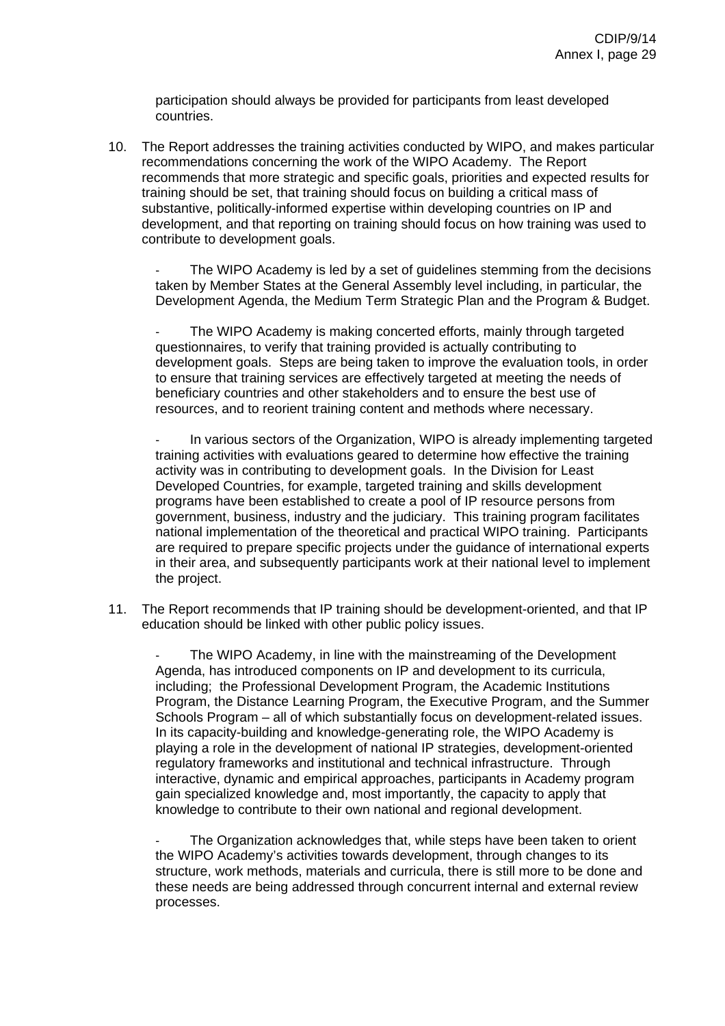participation should always be provided for participants from least developed countries.

10. The Report addresses the training activities conducted by WIPO, and makes particular recommendations concerning the work of the WIPO Academy. The Report recommends that more strategic and specific goals, priorities and expected results for training should be set, that training should focus on building a critical mass of substantive, politically-informed expertise within developing countries on IP and development, and that reporting on training should focus on how training was used to contribute to development goals.

The WIPO Academy is led by a set of guidelines stemming from the decisions taken by Member States at the General Assembly level including, in particular, the Development Agenda, the Medium Term Strategic Plan and the Program & Budget.

The WIPO Academy is making concerted efforts, mainly through targeted questionnaires, to verify that training provided is actually contributing to development goals. Steps are being taken to improve the evaluation tools, in order to ensure that training services are effectively targeted at meeting the needs of beneficiary countries and other stakeholders and to ensure the best use of resources, and to reorient training content and methods where necessary.

In various sectors of the Organization, WIPO is already implementing targeted training activities with evaluations geared to determine how effective the training activity was in contributing to development goals. In the Division for Least Developed Countries, for example, targeted training and skills development programs have been established to create a pool of IP resource persons from government, business, industry and the judiciary. This training program facilitates national implementation of the theoretical and practical WIPO training. Participants are required to prepare specific projects under the guidance of international experts in their area, and subsequently participants work at their national level to implement the project.

11. The Report recommends that IP training should be development-oriented, and that IP education should be linked with other public policy issues.

The WIPO Academy, in line with the mainstreaming of the Development Agenda, has introduced components on IP and development to its curricula, including; the Professional Development Program, the Academic Institutions Program, the Distance Learning Program, the Executive Program, and the Summer Schools Program – all of which substantially focus on development-related issues. In its capacity-building and knowledge-generating role, the WIPO Academy is playing a role in the development of national IP strategies, development-oriented regulatory frameworks and institutional and technical infrastructure. Through interactive, dynamic and empirical approaches, participants in Academy program gain specialized knowledge and, most importantly, the capacity to apply that knowledge to contribute to their own national and regional development.

The Organization acknowledges that, while steps have been taken to orient the WIPO Academy's activities towards development, through changes to its structure, work methods, materials and curricula, there is still more to be done and these needs are being addressed through concurrent internal and external review processes.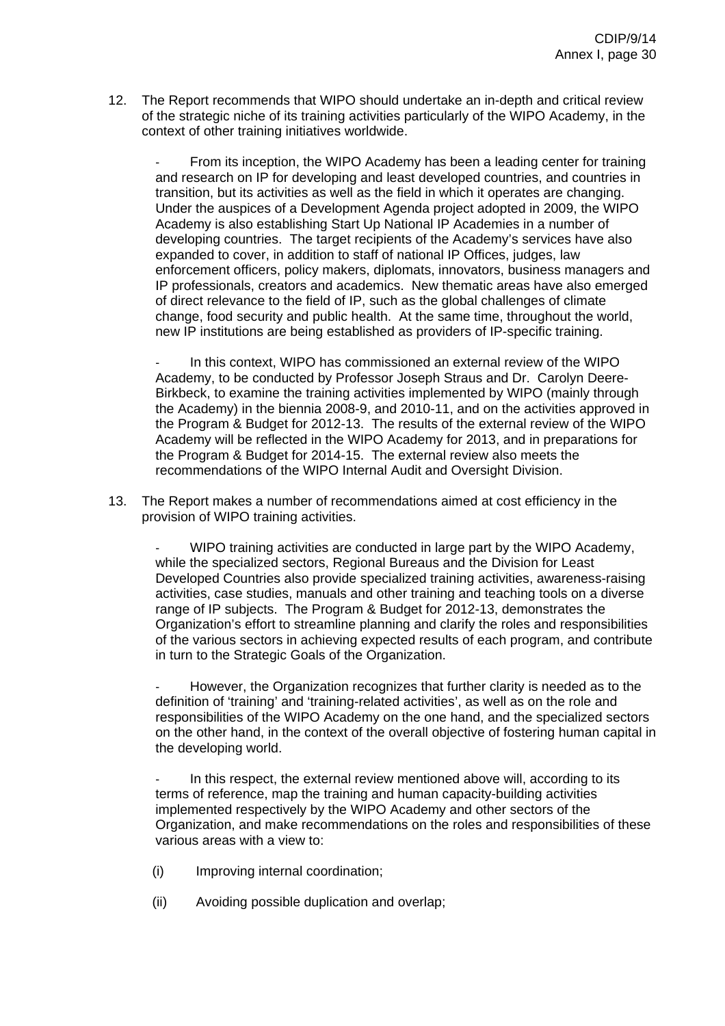12. The Report recommends that WIPO should undertake an in-depth and critical review of the strategic niche of its training activities particularly of the WIPO Academy, in the context of other training initiatives worldwide.

From its inception, the WIPO Academy has been a leading center for training and research on IP for developing and least developed countries, and countries in transition, but its activities as well as the field in which it operates are changing. Under the auspices of a Development Agenda project adopted in 2009, the WIPO Academy is also establishing Start Up National IP Academies in a number of developing countries. The target recipients of the Academy's services have also expanded to cover, in addition to staff of national IP Offices, judges, law enforcement officers, policy makers, diplomats, innovators, business managers and IP professionals, creators and academics. New thematic areas have also emerged of direct relevance to the field of IP, such as the global challenges of climate change, food security and public health. At the same time, throughout the world, new IP institutions are being established as providers of IP-specific training.

In this context, WIPO has commissioned an external review of the WIPO Academy, to be conducted by Professor Joseph Straus and Dr. Carolyn Deere-Birkbeck, to examine the training activities implemented by WIPO (mainly through the Academy) in the biennia 2008-9, and 2010-11, and on the activities approved in the Program & Budget for 2012-13. The results of the external review of the WIPO Academy will be reflected in the WIPO Academy for 2013, and in preparations for the Program & Budget for 2014-15. The external review also meets the recommendations of the WIPO Internal Audit and Oversight Division.

13. The Report makes a number of recommendations aimed at cost efficiency in the provision of WIPO training activities.

- WIPO training activities are conducted in large part by the WIPO Academy, while the specialized sectors, Regional Bureaus and the Division for Least Developed Countries also provide specialized training activities, awareness-raising activities, case studies, manuals and other training and teaching tools on a diverse range of IP subjects. The Program & Budget for 2012-13, demonstrates the Organization's effort to streamline planning and clarify the roles and responsibilities of the various sectors in achieving expected results of each program, and contribute in turn to the Strategic Goals of the Organization.

However, the Organization recognizes that further clarity is needed as to the definition of 'training' and 'training-related activities', as well as on the role and responsibilities of the WIPO Academy on the one hand, and the specialized sectors on the other hand, in the context of the overall objective of fostering human capital in the developing world.

In this respect, the external review mentioned above will, according to its terms of reference, map the training and human capacity-building activities implemented respectively by the WIPO Academy and other sectors of the Organization, and make recommendations on the roles and responsibilities of these various areas with a view to:

- (i) Improving internal coordination;
- (ii) Avoiding possible duplication and overlap;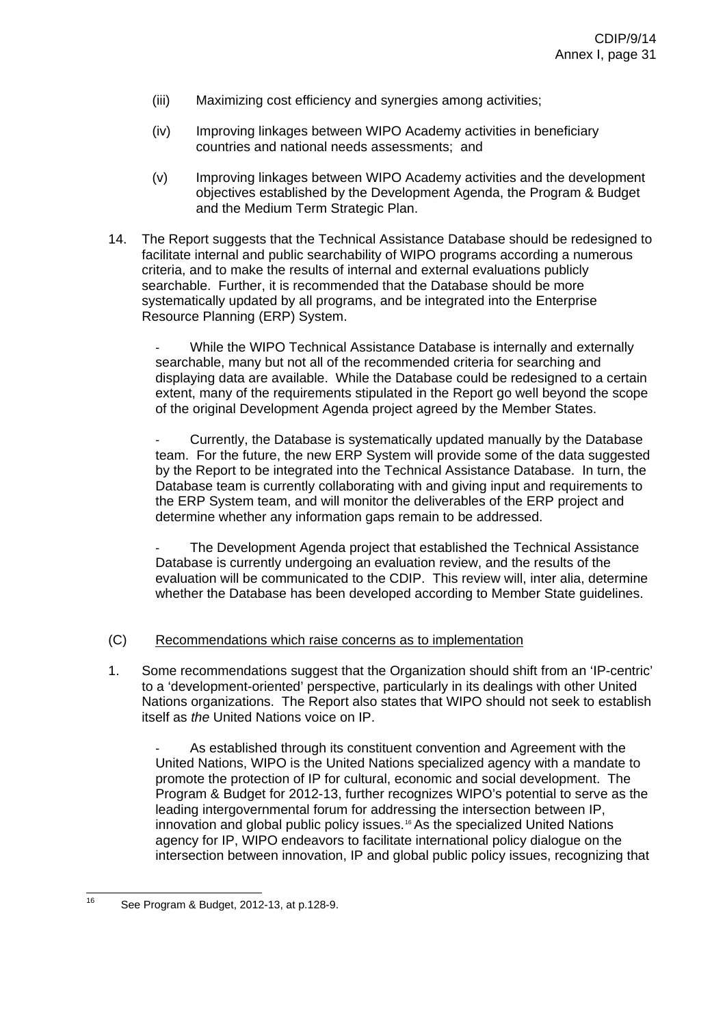- (iii) Maximizing cost efficiency and synergies among activities;
- (iv) Improving linkages between WIPO Academy activities in beneficiary countries and national needs assessments; and
- (v) Improving linkages between WIPO Academy activities and the development objectives established by the Development Agenda, the Program & Budget and the Medium Term Strategic Plan.
- 14. The Report suggests that the Technical Assistance Database should be redesigned to facilitate internal and public searchability of WIPO programs according a numerous criteria, and to make the results of internal and external evaluations publicly searchable. Further, it is recommended that the Database should be more systematically updated by all programs, and be integrated into the Enterprise Resource Planning (ERP) System.

While the WIPO Technical Assistance Database is internally and externally searchable, many but not all of the recommended criteria for searching and displaying data are available. While the Database could be redesigned to a certain extent, many of the requirements stipulated in the Report go well beyond the scope of the original Development Agenda project agreed by the Member States.

Currently, the Database is systematically updated manually by the Database team. For the future, the new ERP System will provide some of the data suggested by the Report to be integrated into the Technical Assistance Database. In turn, the Database team is currently collaborating with and giving input and requirements to the ERP System team, and will monitor the deliverables of the ERP project and determine whether any information gaps remain to be addressed.

The Development Agenda project that established the Technical Assistance Database is currently undergoing an evaluation review, and the results of the evaluation will be communicated to the CDIP. This review will, inter alia, determine whether the Database has been developed according to Member State guidelines.

# (C) Recommendations which raise concerns as to implementation

1. Some recommendations suggest that the Organization should shift from an 'IP-centric' to a 'development-oriented' perspective, particularly in its dealings with other United Nations organizations. The Report also states that WIPO should not seek to establish itself as *the* United Nations voice on IP.

As established through its constituent convention and Agreement with the United Nations, WIPO is the United Nations specialized agency with a mandate to promote the protection of IP for cultural, economic and social development. The Program & Budget for 2012-13, further recognizes WIPO's potential to serve as the leading intergovernmental forum for addressing the intersection between IP, innovation and global public policy issues.<sup>[16](#page-31-0)</sup> As the specialized United Nations agency for IP, WIPO endeavors to facilitate international policy dialogue on the intersection between innovation, IP and global public policy issues, recognizing that

<span id="page-31-0"></span> $16$ See Program & Budget, 2012-13, at p.128-9.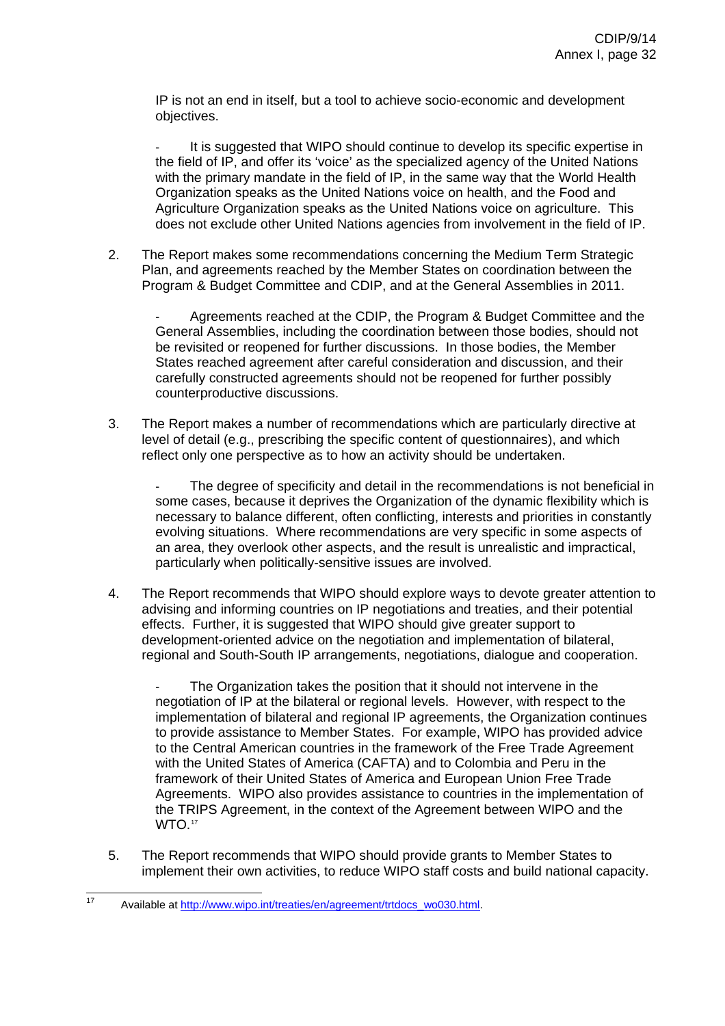IP is not an end in itself, but a tool to achieve socio-economic and development objectives.

It is suggested that WIPO should continue to develop its specific expertise in the field of IP, and offer its 'voice' as the specialized agency of the United Nations with the primary mandate in the field of IP, in the same way that the World Health Organization speaks as the United Nations voice on health, and the Food and Agriculture Organization speaks as the United Nations voice on agriculture. This does not exclude other United Nations agencies from involvement in the field of IP.

2. The Report makes some recommendations concerning the Medium Term Strategic Plan, and agreements reached by the Member States on coordination between the Program & Budget Committee and CDIP, and at the General Assemblies in 2011.

- Agreements reached at the CDIP, the Program & Budget Committee and the General Assemblies, including the coordination between those bodies, should not be revisited or reopened for further discussions. In those bodies, the Member States reached agreement after careful consideration and discussion, and their carefully constructed agreements should not be reopened for further possibly counterproductive discussions.

3. The Report makes a number of recommendations which are particularly directive at level of detail (e.g., prescribing the specific content of questionnaires), and which reflect only one perspective as to how an activity should be undertaken.

The degree of specificity and detail in the recommendations is not beneficial in some cases, because it deprives the Organization of the dynamic flexibility which is necessary to balance different, often conflicting, interests and priorities in constantly evolving situations. Where recommendations are very specific in some aspects of an area, they overlook other aspects, and the result is unrealistic and impractical, particularly when politically-sensitive issues are involved.

4. The Report recommends that WIPO should explore ways to devote greater attention to advising and informing countries on IP negotiations and treaties, and their potential effects. Further, it is suggested that WIPO should give greater support to development-oriented advice on the negotiation and implementation of bilateral, regional and South-South IP arrangements, negotiations, dialogue and cooperation.

The Organization takes the position that it should not intervene in the negotiation of IP at the bilateral or regional levels. However, with respect to the implementation of bilateral and regional IP agreements, the Organization continues to provide assistance to Member States. For example, WIPO has provided advice to the Central American countries in the framework of the Free Trade Agreement with the United States of America (CAFTA) and to Colombia and Peru in the framework of their United States of America and European Union Free Trade Agreements. WIPO also provides assistance to countries in the implementation of the TRIPS Agreement, in the context of the Agreement between WIPO and the WTO.<sup>[17](#page-32-0)</sup>

5. The Report recommends that WIPO should provide grants to Member States to implement their own activities, to reduce WIPO staff costs and build national capacity.

<span id="page-32-0"></span> $17$ Available at [http://www.wipo.int/treaties/en/agreement/trtdocs\\_wo030.html.](http://www.wipo.int/treaties/en/agreement/trtdocs_wo030.html)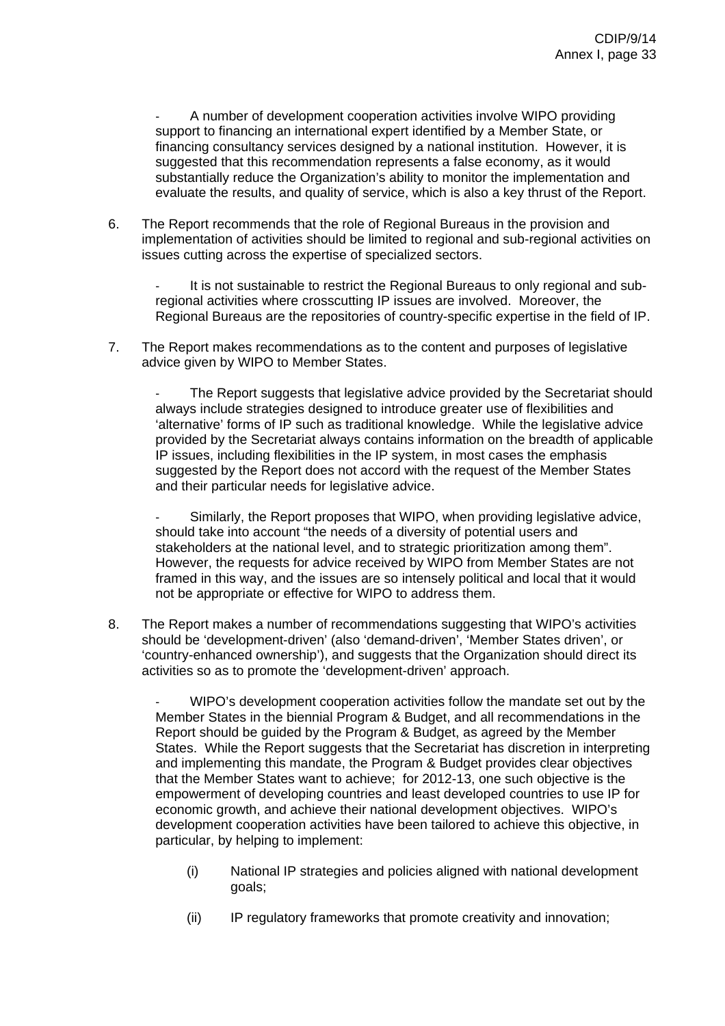A number of development cooperation activities involve WIPO providing support to financing an international expert identified by a Member State, or financing consultancy services designed by a national institution. However, it is suggested that this recommendation represents a false economy, as it would substantially reduce the Organization's ability to monitor the implementation and evaluate the results, and quality of service, which is also a key thrust of the Report.

6. The Report recommends that the role of Regional Bureaus in the provision and implementation of activities should be limited to regional and sub-regional activities on issues cutting across the expertise of specialized sectors.

It is not sustainable to restrict the Regional Bureaus to only regional and subregional activities where crosscutting IP issues are involved. Moreover, the Regional Bureaus are the repositories of country-specific expertise in the field of IP.

7. The Report makes recommendations as to the content and purposes of legislative advice given by WIPO to Member States.

The Report suggests that legislative advice provided by the Secretariat should always include strategies designed to introduce greater use of flexibilities and 'alternative' forms of IP such as traditional knowledge. While the legislative advice provided by the Secretariat always contains information on the breadth of applicable IP issues, including flexibilities in the IP system, in most cases the emphasis suggested by the Report does not accord with the request of the Member States and their particular needs for legislative advice.

Similarly, the Report proposes that WIPO, when providing legislative advice, should take into account "the needs of a diversity of potential users and stakeholders at the national level, and to strategic prioritization among them". However, the requests for advice received by WIPO from Member States are not framed in this way, and the issues are so intensely political and local that it would not be appropriate or effective for WIPO to address them.

8. The Report makes a number of recommendations suggesting that WIPO's activities should be 'development-driven' (also 'demand-driven', 'Member States driven', or 'country-enhanced ownership'), and suggests that the Organization should direct its activities so as to promote the 'development-driven' approach.

- WIPO's development cooperation activities follow the mandate set out by the Member States in the biennial Program & Budget, and all recommendations in the Report should be guided by the Program & Budget, as agreed by the Member States. While the Report suggests that the Secretariat has discretion in interpreting and implementing this mandate, the Program & Budget provides clear objectives that the Member States want to achieve; for 2012-13, one such objective is the empowerment of developing countries and least developed countries to use IP for economic growth, and achieve their national development objectives. WIPO's development cooperation activities have been tailored to achieve this objective, in particular, by helping to implement:

- (i) National IP strategies and policies aligned with national development goals;
- (ii) IP regulatory frameworks that promote creativity and innovation;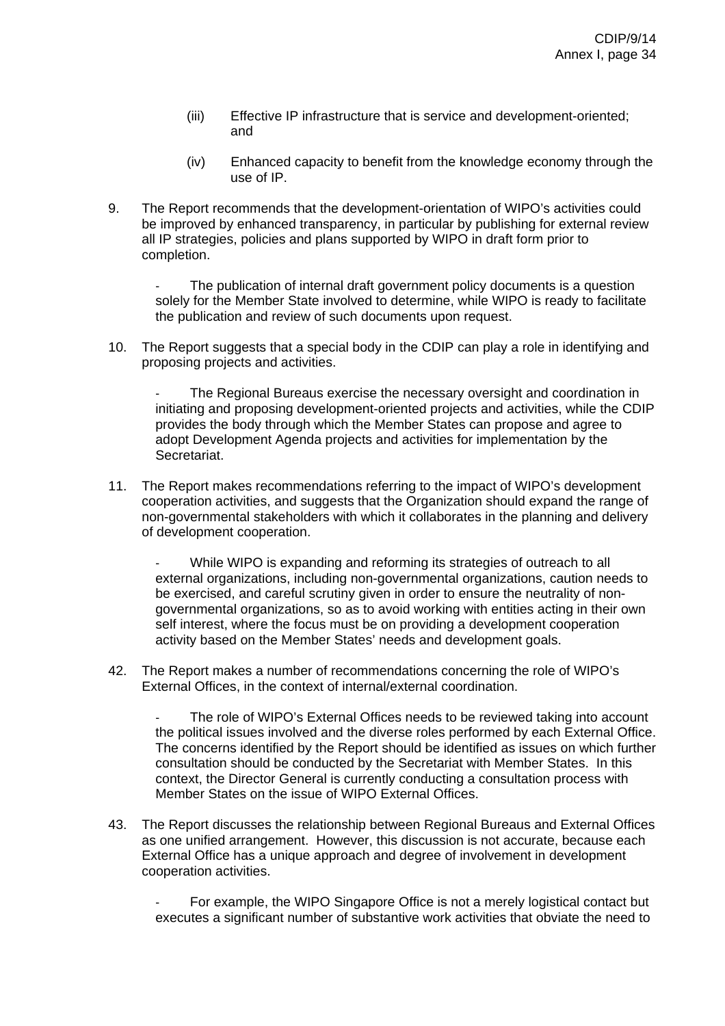- (iii) Effective IP infrastructure that is service and development-oriented; and
- (iv) Enhanced capacity to benefit from the knowledge economy through the use of IP.
- 9. The Report recommends that the development-orientation of WIPO's activities could be improved by enhanced transparency, in particular by publishing for external review all IP strategies, policies and plans supported by WIPO in draft form prior to completion.

The publication of internal draft government policy documents is a question solely for the Member State involved to determine, while WIPO is ready to facilitate the publication and review of such documents upon request.

10. The Report suggests that a special body in the CDIP can play a role in identifying and proposing projects and activities.

The Regional Bureaus exercise the necessary oversight and coordination in initiating and proposing development-oriented projects and activities, while the CDIP provides the body through which the Member States can propose and agree to adopt Development Agenda projects and activities for implementation by the Secretariat.

11. The Report makes recommendations referring to the impact of WIPO's development cooperation activities, and suggests that the Organization should expand the range of non-governmental stakeholders with which it collaborates in the planning and delivery of development cooperation.

While WIPO is expanding and reforming its strategies of outreach to all external organizations, including non-governmental organizations, caution needs to be exercised, and careful scrutiny given in order to ensure the neutrality of nongovernmental organizations, so as to avoid working with entities acting in their own self interest, where the focus must be on providing a development cooperation activity based on the Member States' needs and development goals.

42. The Report makes a number of recommendations concerning the role of WIPO's External Offices, in the context of internal/external coordination.

The role of WIPO's External Offices needs to be reviewed taking into account the political issues involved and the diverse roles performed by each External Office. The concerns identified by the Report should be identified as issues on which further consultation should be conducted by the Secretariat with Member States. In this context, the Director General is currently conducting a consultation process with Member States on the issue of WIPO External Offices.

43. The Report discusses the relationship between Regional Bureaus and External Offices as one unified arrangement. However, this discussion is not accurate, because each External Office has a unique approach and degree of involvement in development cooperation activities.

For example, the WIPO Singapore Office is not a merely logistical contact but executes a significant number of substantive work activities that obviate the need to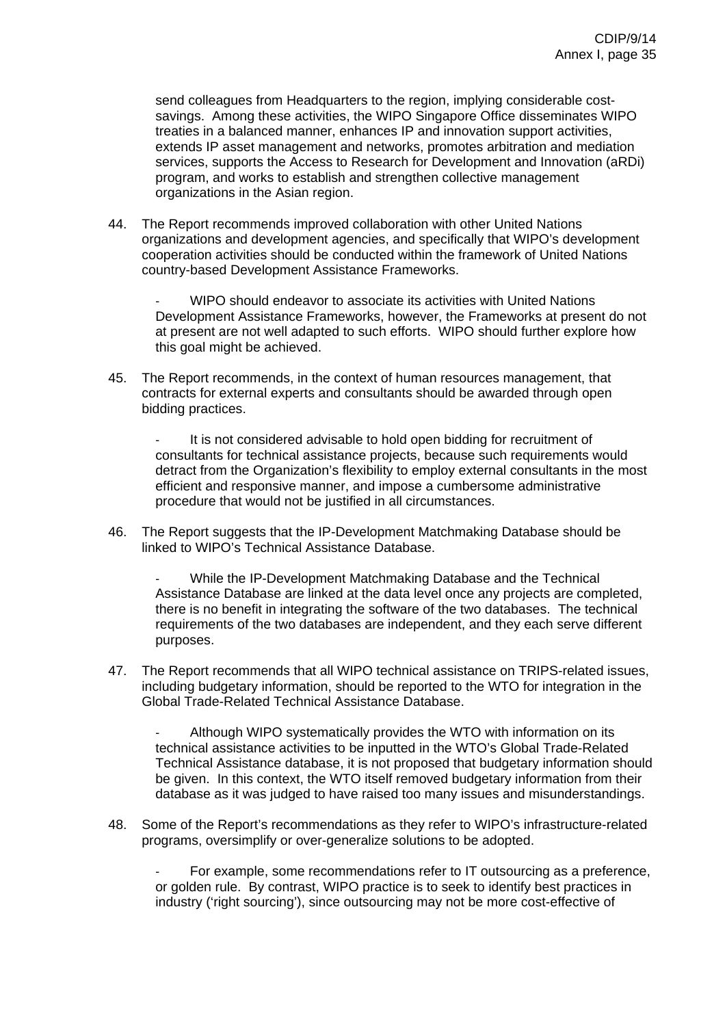send colleagues from Headquarters to the region, implying considerable costsavings. Among these activities, the WIPO Singapore Office disseminates WIPO treaties in a balanced manner, enhances IP and innovation support activities, extends IP asset management and networks, promotes arbitration and mediation services, supports the Access to Research for Development and Innovation (aRDi) program, and works to establish and strengthen collective management organizations in the Asian region.

44. The Report recommends improved collaboration with other United Nations organizations and development agencies, and specifically that WIPO's development cooperation activities should be conducted within the framework of United Nations country-based Development Assistance Frameworks.

WIPO should endeavor to associate its activities with United Nations Development Assistance Frameworks, however, the Frameworks at present do not at present are not well adapted to such efforts. WIPO should further explore how this goal might be achieved.

45. The Report recommends, in the context of human resources management, that contracts for external experts and consultants should be awarded through open bidding practices.

It is not considered advisable to hold open bidding for recruitment of consultants for technical assistance projects, because such requirements would detract from the Organization's flexibility to employ external consultants in the most efficient and responsive manner, and impose a cumbersome administrative procedure that would not be justified in all circumstances.

46. The Report suggests that the IP-Development Matchmaking Database should be linked to WIPO's Technical Assistance Database.

- While the IP-Development Matchmaking Database and the Technical Assistance Database are linked at the data level once any projects are completed, there is no benefit in integrating the software of the two databases. The technical requirements of the two databases are independent, and they each serve different purposes.

47. The Report recommends that all WIPO technical assistance on TRIPS-related issues, including budgetary information, should be reported to the WTO for integration in the Global Trade-Related Technical Assistance Database.

Although WIPO systematically provides the WTO with information on its technical assistance activities to be inputted in the WTO's Global Trade-Related Technical Assistance database, it is not proposed that budgetary information should be given. In this context, the WTO itself removed budgetary information from their database as it was judged to have raised too many issues and misunderstandings.

48. Some of the Report's recommendations as they refer to WIPO's infrastructure-related programs, oversimplify or over-generalize solutions to be adopted.

- For example, some recommendations refer to IT outsourcing as a preference, or golden rule. By contrast, WIPO practice is to seek to identify best practices in industry ('right sourcing'), since outsourcing may not be more cost-effective of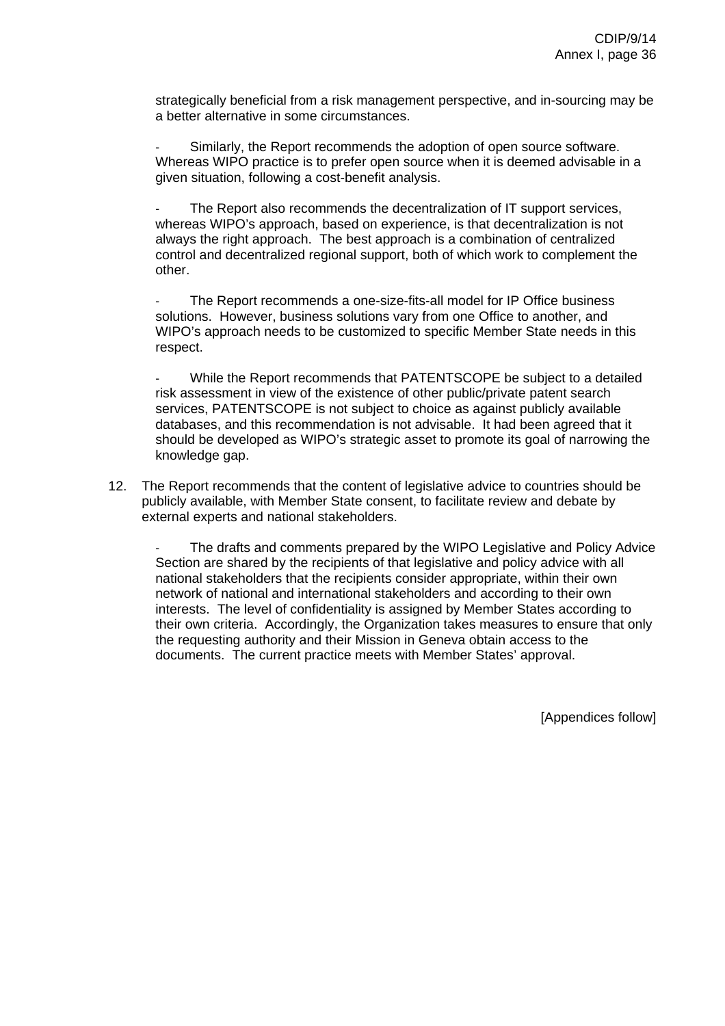strategically beneficial from a risk management perspective, and in-sourcing may be a better alternative in some circumstances.

Similarly, the Report recommends the adoption of open source software. Whereas WIPO practice is to prefer open source when it is deemed advisable in a given situation, following a cost-benefit analysis.

The Report also recommends the decentralization of IT support services. whereas WIPO's approach, based on experience, is that decentralization is not always the right approach. The best approach is a combination of centralized control and decentralized regional support, both of which work to complement the other.

The Report recommends a one-size-fits-all model for IP Office business solutions. However, business solutions vary from one Office to another, and WIPO's approach needs to be customized to specific Member State needs in this respect.

While the Report recommends that PATENTSCOPE be subject to a detailed risk assessment in view of the existence of other public/private patent search services, PATENTSCOPE is not subject to choice as against publicly available databases, and this recommendation is not advisable. It had been agreed that it should be developed as WIPO's strategic asset to promote its goal of narrowing the knowledge gap.

12. The Report recommends that the content of legislative advice to countries should be publicly available, with Member State consent, to facilitate review and debate by external experts and national stakeholders.

The drafts and comments prepared by the WIPO Legislative and Policy Advice Section are shared by the recipients of that legislative and policy advice with all national stakeholders that the recipients consider appropriate, within their own network of national and international stakeholders and according to their own interests. The level of confidentiality is assigned by Member States according to their own criteria. Accordingly, the Organization takes measures to ensure that only the requesting authority and their Mission in Geneva obtain access to the documents. The current practice meets with Member States' approval.

[Appendices follow]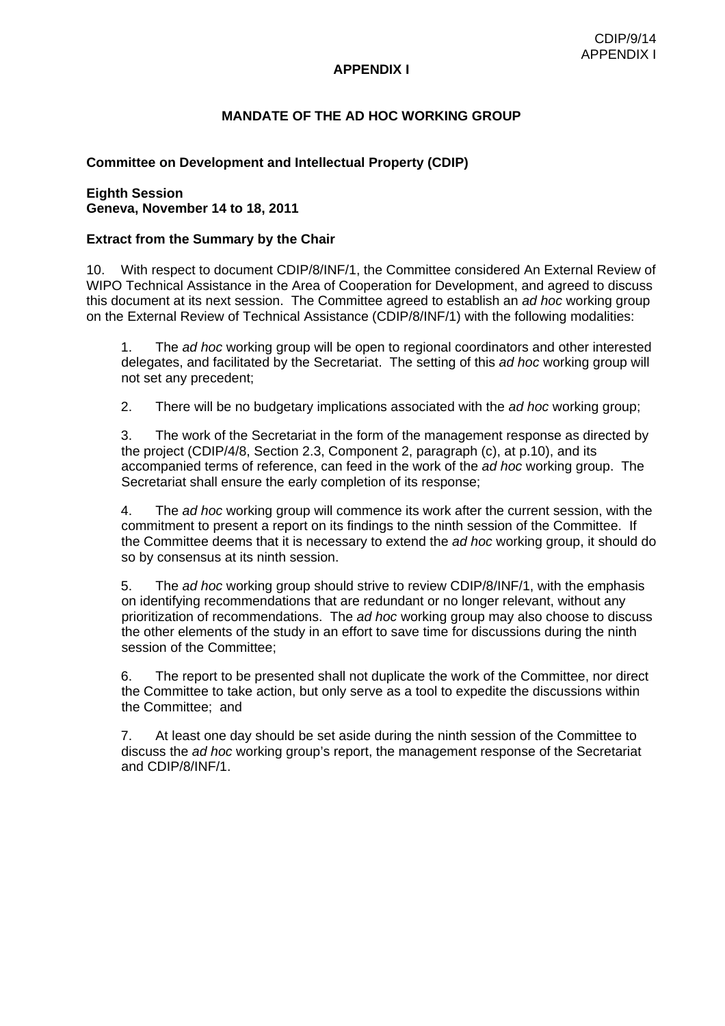# **MANDATE OF THE AD HOC WORKING GROUP**

# **Committee on Development and Intellectual Property (CDIP)**

#### **Eighth Session Geneva, November 14 to 18, 2011**

# **Extract from the Summary by the Chair**

10. With respect to document CDIP/8/INF/1, the Committee considered An External Review of WIPO Technical Assistance in the Area of Cooperation for Development, and agreed to discuss this document at its next session. The Committee agreed to establish an *ad hoc* working group on the External Review of Technical Assistance (CDIP/8/INF/1) with the following modalities:

1. The *ad hoc* working group will be open to regional coordinators and other interested delegates, and facilitated by the Secretariat. The setting of this *ad hoc* working group will not set any precedent;

2. There will be no budgetary implications associated with the *ad hoc* working group;

3. The work of the Secretariat in the form of the management response as directed by the project (CDIP/4/8, Section 2.3, Component 2, paragraph (c), at p.10), and its accompanied terms of reference, can feed in the work of the *ad hoc* working group. The Secretariat shall ensure the early completion of its response;

4. The *ad hoc* working group will commence its work after the current session, with the commitment to present a report on its findings to the ninth session of the Committee. If the Committee deems that it is necessary to extend the *ad hoc* working group, it should do so by consensus at its ninth session.

5. The *ad hoc* working group should strive to review CDIP/8/INF/1, with the emphasis on identifying recommendations that are redundant or no longer relevant, without any prioritization of recommendations. The *ad hoc* working group may also choose to discuss the other elements of the study in an effort to save time for discussions during the ninth session of the Committee;

6. The report to be presented shall not duplicate the work of the Committee, nor direct the Committee to take action, but only serve as a tool to expedite the discussions within the Committee; and

7. At least one day should be set aside during the ninth session of the Committee to discuss the *ad hoc* working group's report, the management response of the Secretariat and CDIP/8/INF/1.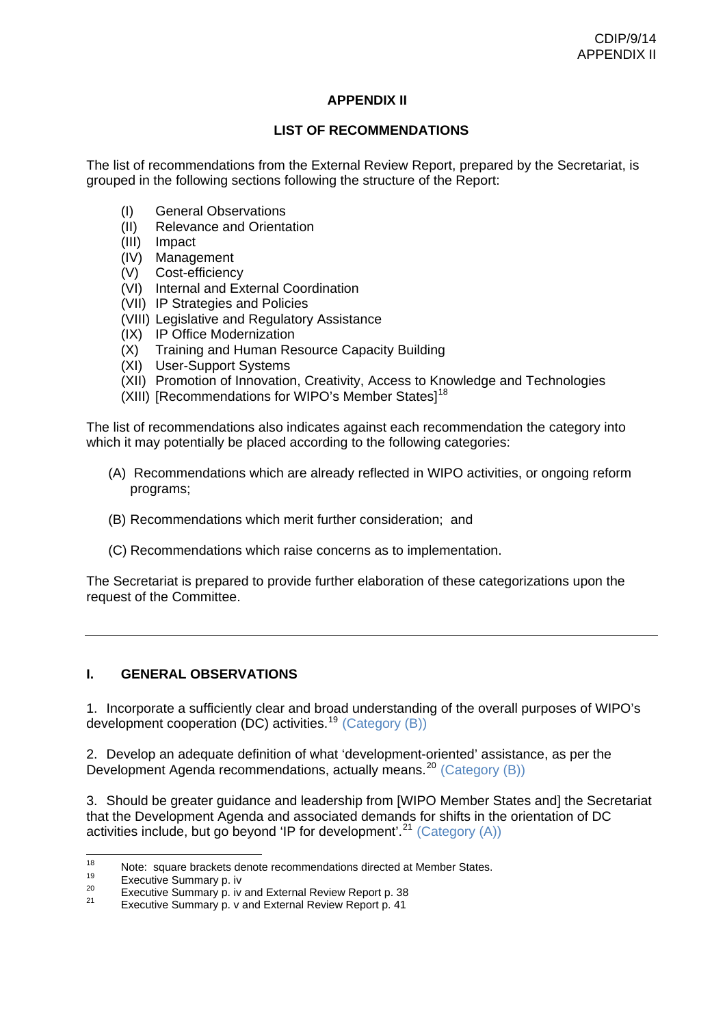# **APPENDIX II**

# **LIST OF RECOMMENDATIONS**

The list of recommendations from the External Review Report, prepared by the Secretariat, is grouped in the following sections following the structure of the Report:

- (I) General Observations
- (II) Relevance and Orientation
- (III) Impact
- (IV) Management
- (V) Cost-efficiency
- (VI) Internal and External Coordination
- (VII) IP Strategies and Policies
- (VIII) Legislative and Regulatory Assistance
- (IX) IP Office Modernization
- (X) Training and Human Resource Capacity Building
- (XI) User-Support Systems
- (XII) Promotion of Innovation, Creativity, Access to Knowledge and Technologies
- (XIII) [Recommendations for WIPO's Member States]<sup>[18](#page-38-0)</sup>

The list of recommendations also indicates against each recommendation the category into which it may potentially be placed according to the following categories:

- (A) Recommendations which are already reflected in WIPO activities, or ongoing reform programs;
- (B) Recommendations which merit further consideration; and
- (C) Recommendations which raise concerns as to implementation.

The Secretariat is prepared to provide further elaboration of these categorizations upon the request of the Committee.

# **I. GENERAL OBSERVATIONS**

1. Incorporate a sufficiently clear and broad understanding of the overall purposes of WIPO's development cooperation (DC) activities.<sup>[19](#page-38-1)</sup> (Category (B))

2. Develop an adequate definition of what 'development-oriented' assistance, as per the Development Agenda recommendations, actually means.<sup>[20](#page-38-2)</sup> (Category (B))

3. Should be greater guidance and leadership from [WIPO Member States and] the Secretariat that the Development Agenda and associated demands for shifts in the orientation of DC activities include, but go beyond 'IP for development'.<sup>[21](#page-38-3)</sup> (Category  $(A)$ )

<span id="page-38-1"></span><span id="page-38-0"></span> $18$ 18 Note: square brackets denote recommendations directed at Member States.<br>
19 Execut[iv](http://www.wipo.int/edocs/mdocs/mdocs/en/cdip_8/cdip_8_inf_1-annex1.doc)e Summary p. i[v](http://www.wipo.int/edocs/mdocs/mdocs/en/cdip_8/cdip_8_inf_1-annex1.doc) and External Review Report p. 38<br>
21 Executive Summary p. v and External Review Report p. 41

<span id="page-38-2"></span>

<span id="page-38-3"></span>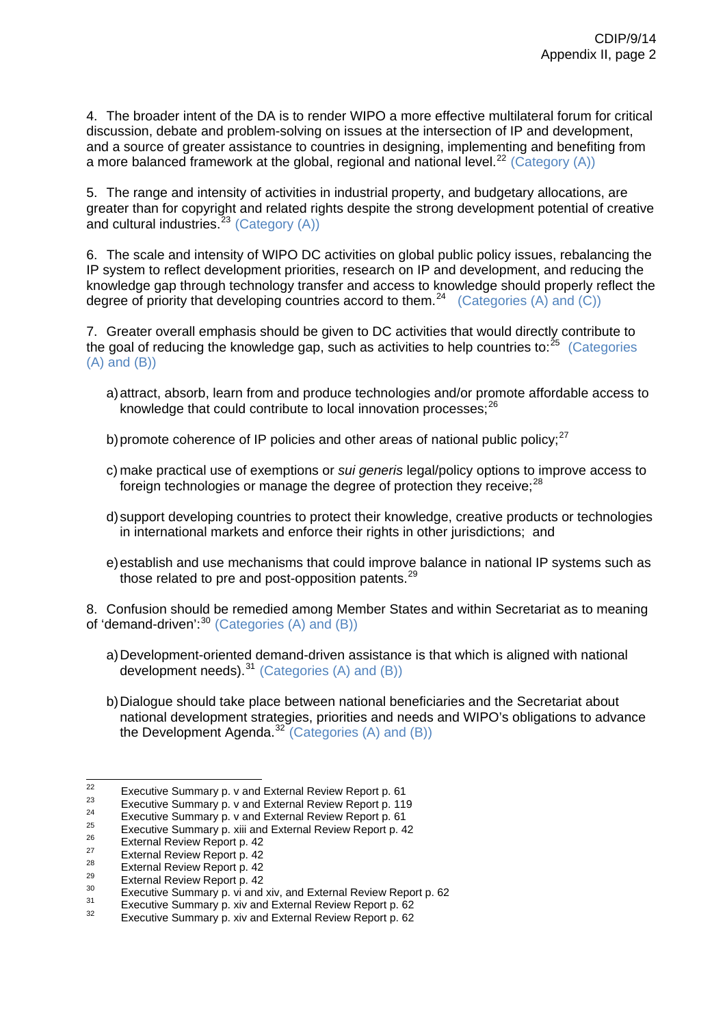4. The broader intent of the DA is to render WIPO a more effective multilateral forum for critical discussion, debate and problem-solving on issues at the intersection of IP and development, and a source of greater assistance to countries in designing, implementing and benefiting from a more balanced framework at the global, regional and national level.<sup>[22](#page-39-0)</sup> (Category  $(A)$ )

5. The range and intensity of activities in industrial property, and budgetary allocations, are greater than for copyright and related rights despite the strong development potential of creative and cultural industries.<sup>[23](#page-39-1)</sup> (Category  $(A)$ )

6. The scale and intensity of WIPO DC activities on global public policy issues, rebalancing the IP system to reflect development priorities, research on IP and development, and reducing the knowledge gap through technology transfer and access to knowledge should properly reflect the degree of priority that developing countries accord to them.<sup>[24](#page-39-2)</sup> (Categories (A) and (C))

7. Greater overall emphasis should be given to DC activities that would directly contribute to the goal of reducing the knowledge gap, such as activities to help countries to: $^{25}$  $^{25}$  $^{25}$  (Categories (A) and (B))

- a) attract, absorb, learn from and produce technologies and/or promote affordable access to knowledge that could contribute to local innovation processes;<sup>[26](#page-39-4)</sup>
- b) promote coherence of IP policies and other areas of national public policy: $27$
- c) make practical use of exemptions or *sui generis* legal/policy options to improve access to foreign technologies or manage the degree of protection they receive; $^{28}$  $^{28}$  $^{28}$
- d) support developing countries to protect their knowledge, creative products or technologies in international markets and enforce their rights in other jurisdictions; and
- e) establish and use mechanisms that could improve balance in national IP systems such as those related to pre and post-opposition patents. $^{29}$  $^{29}$  $^{29}$

8. Confusion should be remedied among Member States and within Secretariat as to meaning of 'demand-driven':  $30$  (Categories (A) and (B))

- a) Development-oriented demand-driven assistance is that which is aligned with national development needs).<sup>[31](#page-39-9)</sup> (Categories (A) and (B))
- b) Dialogue should take place between national beneficiaries and the Secretariat about national development strategies, priorities and needs and WIPO's obligations to advance the Development Agenda.<sup>[32](#page-39-10)</sup> (Categories (A) and (B))

<span id="page-39-0"></span> $22$ 

<span id="page-39-2"></span>

<span id="page-39-3"></span>

<span id="page-39-4"></span>

<span id="page-39-5"></span>

<span id="page-39-6"></span>

<span id="page-39-8"></span><span id="page-39-7"></span>

<span id="page-39-1"></span>Executi[v](http://www.wipo.int/edocs/mdocs/mdocs/en/cdip_8/cdip_8_inf_1-annex1.doc)e Summary p. v and External Review Report p. [61](http://www.wipo.int/edocs/mdocs/mdocs/en/cdip_8/cdip_8_inf_1-annex1.doc)<br>
<sup>23</sup><br>
<sup>24</sup><br>
<sup>24</sup><br>
Executive Summary p. v [and](http://www.wipo.int/edocs/mdocs/mdocs/en/cdip_8/cdip_8_inf_1-annex1.doc) External Review Report p. 61<br>
<sup>25</sup><br>
Executive Summary p. viii and External Review Report p. [42](http://www.wipo.int/edocs/mdocs/mdocs/en/cdip_8/cdip_8_inf_1-annex1.doc)<br>
<sup>26</sup><br>
External Review R

<span id="page-39-9"></span>

<span id="page-39-10"></span>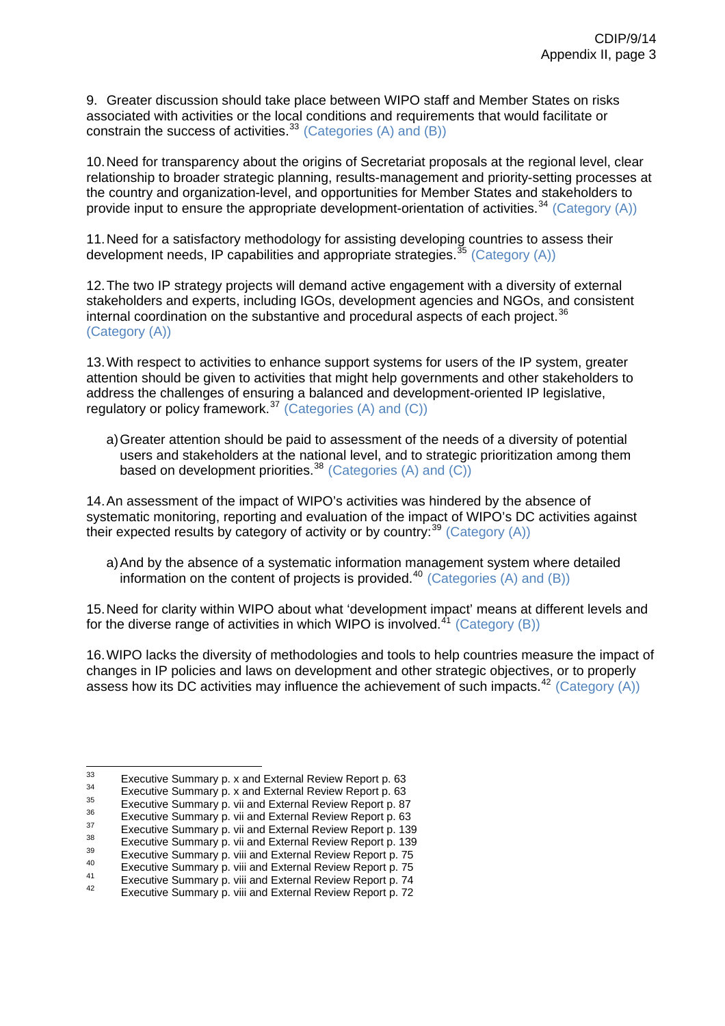9. Greater discussion should take place between WIPO staff and Member States on risks associated with activities or the local conditions and requirements that would facilitate or constrain the success of activities.<sup>[33](#page-40-0)</sup> (Categories  $(A)$  and  $(B)$ )

10. Need for transparency about the origins of Secretariat proposals at the regional level, clear relationship to broader strategic planning, results-management and priority-setting processes at the country and organization-level, and opportunities for Member States and stakeholders to provide input to ensure the appropriate development-orientation of activities.<sup>[34](#page-40-1)</sup> (Category (A))

11. Need for a satisfactory methodology for assisting developing countries to assess their development needs, IP capabilities and appropriate strategies.<sup>[35](#page-40-2)</sup> (Category (A))

12. The two IP strategy projects will demand active engagement with a diversity of external stakeholders and experts, including IGOs, development agencies and NGOs, and consistent internal coordination on the substantive and procedural aspects of each project. $36$ (Category (A))

13. With respect to activities to enhance support systems for users of the IP system, greater attention should be given to activities that might help governments and other stakeholders to address the challenges of ensuring a balanced and development-oriented IP legislative, regulatory or policy framework.<sup>[37](#page-40-4)</sup> (Categories (A) and (C))

a) Greater attention should be paid to assessment of the needs of a diversity of potential users and stakeholders at the national level, and to strategic prioritization among them based on development priorities.<sup>[38](#page-40-5)</sup> (Categories (A) and (C))

14. An assessment of the impact of WIPO's activities was hindered by the absence of systematic monitoring, reporting and evaluation of the impact of WIPO's DC activities against their expected results by category of activity or by country:  $39$  (Category (A))

a) And by the absence of a systematic information management system where detailed information on the content of projects is provided.<sup>[40](#page-40-7)</sup> (Categories (A) and (B))

15. Need for clarity within WIPO about what 'development impact' means at different levels and for the diverse range of activities in which WIPO is involved.<sup>[41](#page-40-8)</sup> (Category (B))

16. WIPO lacks the diversity of methodologies and tools to help countries measure the impact of changes in IP policies and laws on development and other strategic objectives, or to properly assess how its DC activities may influence the achievement of such impacts.<sup>[42](#page-40-9)</sup> (Category  $(A)$ )

<span id="page-40-0"></span> $33$ 

<span id="page-40-1"></span>

<span id="page-40-2"></span>

<span id="page-40-3"></span>

<span id="page-40-4"></span>

<span id="page-40-5"></span>

<span id="page-40-6"></span>

<span id="page-40-8"></span><span id="page-40-7"></span>

E[x](http://www.wipo.int/edocs/mdocs/mdocs/en/cdip_8/cdip_8_inf_1-annex1.doc)ecutive Summary p. x and External Review Report p. [63](http://www.wipo.int/edocs/mdocs/mdocs/en/cdip_8/cdip_8_inf_1-annex1.doc)<br>
Executive Summary p. x and External Review Report p. 63<br>
Executive Summary p. [vii](http://www.wipo.int/edocs/mdocs/mdocs/en/cdip_8/cdip_8_inf_1-annex1.doc) and External Review Report p[. 87](http://www.wipo.int/edocs/mdocs/mdocs/en/cdip_8/cdip_8_inf_1-annex1.doc)<br>
Executive Summary p. vii and External Review Rep

<span id="page-40-9"></span>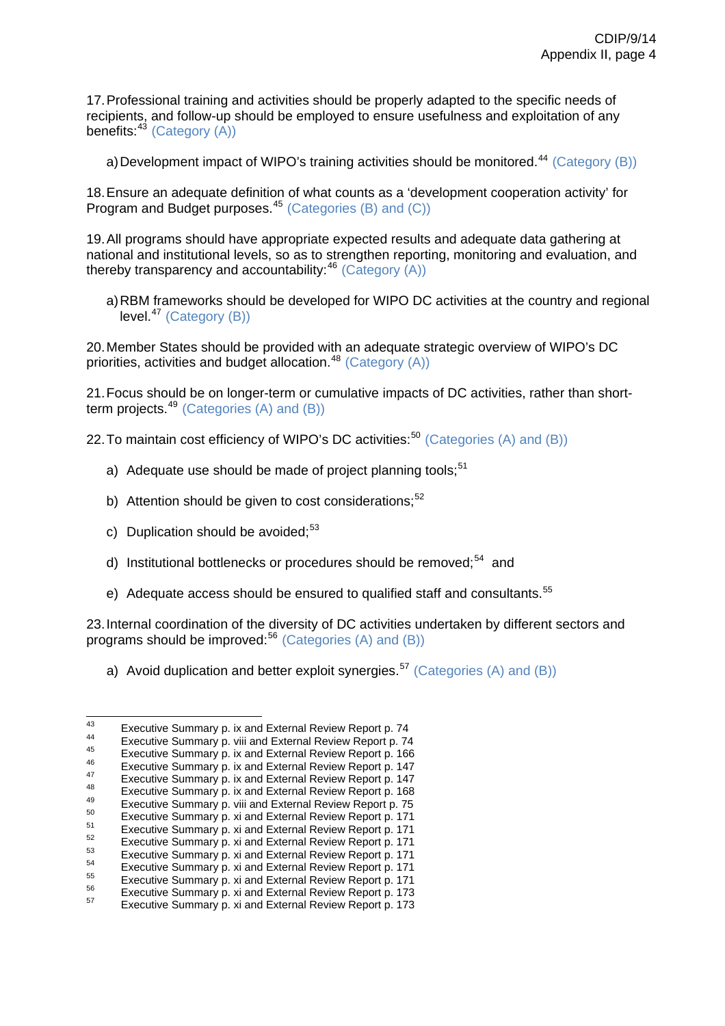17. Professional training and activities should be properly adapted to the specific needs of recipients, and follow-up should be employed to ensure usefulness and exploitation of any benefits: $43$  (Category (A))

a) Development impact of WIPO's training activities should be monitored.<sup>[44](#page-41-1)</sup> (Category (B))

18. Ensure an adequate definition of what counts as a 'development cooperation activity' for Program and Budget purposes.<sup>[45](#page-41-2)</sup> (Categories (B) and (C))

19. All programs should have appropriate expected results and adequate data gathering at national and institutional levels, so as to strengthen reporting, monitoring and evaluation, and thereby transparency and accountability:  $46$  (Category (A))

a) RBM frameworks should be developed for WIPO DC activities at the country and regional  $level<sup>47</sup>$  $level<sup>47</sup>$  $level<sup>47</sup>$  (Category (B))

20. Member States should be provided with an adequate strategic overview of WIPO's DC priorities, activities and budget allocation.<sup>[48](#page-41-5)</sup> (Category  $(A)$ )

21. Focus should be on longer-term or cumulative impacts of DC activities, rather than short-term projects.<sup>[49](#page-41-6)</sup> (Categories  $(A)$  and  $(B)$ )

22. To maintain cost efficiency of WIPO's DC activities:<sup>[50](#page-41-7)</sup> (Categories (A) and (B))

- a) Adequate use should be made of project planning tools: $51$
- b) Attention should be given to cost considerations; $52$
- c) Duplication should be avoided; $53$
- d) Institutional bottlenecks or procedures should be removed;<sup>[54](#page-41-11)</sup> and
- e) Adequate access should be ensured to qualified staff and consultants.<sup>[55](#page-41-12)</sup>

23. Internal coordination of the diversity of DC activities undertaken by different sectors and programs should be improved:<sup>[56](#page-41-13)</sup> (Categories (A) and (B))

a) Avoid duplication and better exploit synergies.<sup>[57](#page-41-14)</sup> (Categories (A) and (B))

<span id="page-41-1"></span><span id="page-41-0"></span> $43$ 

<span id="page-41-3"></span><span id="page-41-2"></span>

<span id="page-41-4"></span>

<span id="page-41-6"></span><span id="page-41-5"></span>

<span id="page-41-8"></span><span id="page-41-7"></span>

<span id="page-41-9"></span>

<span id="page-41-12"></span><span id="page-41-11"></span><span id="page-41-10"></span>

<span id="page-41-13"></span>

Executive Summary p. [ix a](http://www.wipo.int/edocs/mdocs/mdocs/en/cdip_8/cdip_8_inf_1-annex1.doc)nd External Review Report p. 74<br>
Executive Summary p. [viii](http://www.wipo.int/edocs/mdocs/mdocs/en/cdip_8/cdip_8_inf_1-annex1.doc) and External Review Report p. 74<br>
Executive Summary p. [ix](http://www.wipo.int/edocs/mdocs/mdocs/en/cdip_8/cdip_8_inf_1-annex1.doc) and External Review Report p. 166<br>
Executive Summary p. ix and External Review

<span id="page-41-14"></span>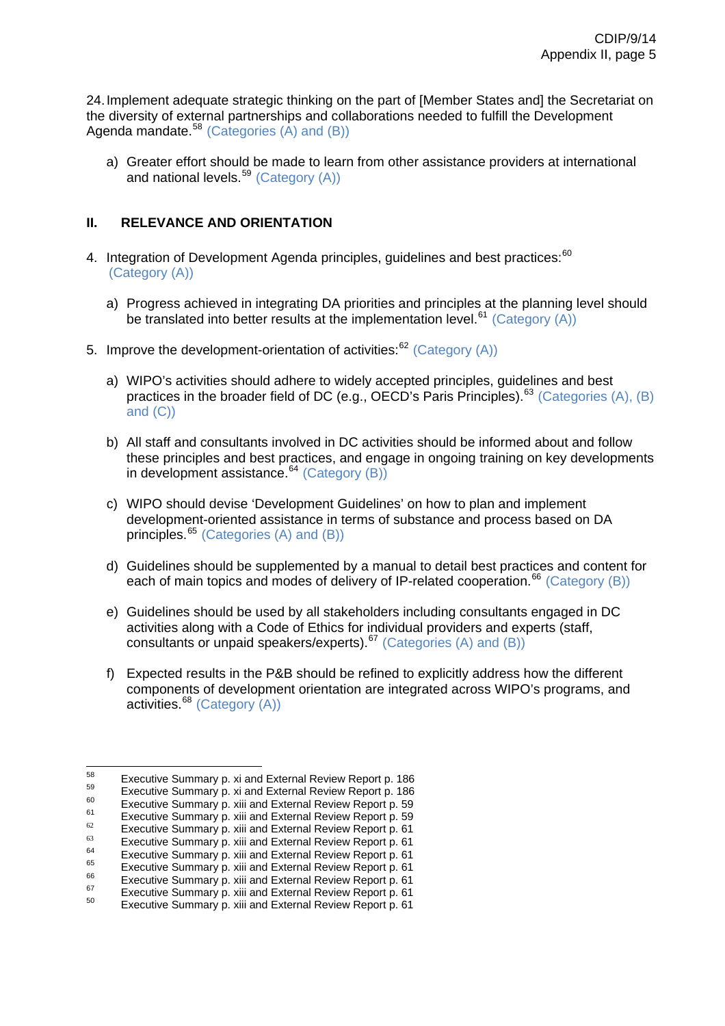24. Implement adequate strategic thinking on the part of [Member States and] the Secretariat on the diversity of external partnerships and collaborations needed to fulfill the Development Agenda mandate.  $58$  (Categories (A) and (B))

a) Greater effort should be made to learn from other assistance providers at international and national levels.<sup>[59](#page-42-1)</sup> (Category (A))

# **II. RELEVANCE AND ORIENTATION**

- 4. Integration of Development Agenda principles, guidelines and best practices:<sup>[60](#page-42-2)</sup> (Category (A))
	- a) Progress achieved in integrating DA priorities and principles at the planning level should be translated into better results at the implementation level.<sup>[61](#page-42-3)</sup> (Category (A))
- 5. Improve the development-orientation of activities: $62$  (Category (A))
	- a) WIPO's activities should adhere to widely accepted principles, guidelines and best practices in the broader field of DC (e.g., OECD's Paris Principles).<sup>[63](#page-42-5)</sup> (Categories (A), (B) and (C))
	- b) All staff and consultants involved in DC activities should be informed about and follow these principles and best practices, and engage in ongoing training on key developments in development assistance. $64$  (Category (B))
	- c) WIPO should devise 'Development Guidelines' on how to plan and implement development-oriented assistance in terms of substance and process based on DA principles.[65](#page-42-7) (Categories (A) and (B))
	- d) Guidelines should be supplemented by a manual to detail best practices and content for each of main topics and modes of delivery of IP-related cooperation.<sup>[66](#page-42-8)</sup> (Category (B))
	- e) Guidelines should be used by all stakeholders including consultants engaged in DC activities along with a Code of Ethics for individual providers and experts (staff, consultants or unpaid speakers/experts).[67](#page-42-9) (Categories (A) and (B))
	- f) Expected results in the P&B should be refined to explicitly address how the different components of development orientation are integrated across WIPO's programs, and activities.<sup>[68](#page-42-10)</sup> (Category (A))

<span id="page-42-1"></span><span id="page-42-0"></span><sup>58</sup> Executive Summary p. [xi](http://www.wipo.int/edocs/mdocs/mdocs/en/cdip_8/cdip_8_inf_1-annex1.doc) and External Review Report p. 186<br>
Executive Summary p. [xi a](http://www.wipo.int/edocs/mdocs/mdocs/en/cdip_8/cdip_8_inf_1-annex1.doc)nd External Review Report p. 186<br>
Executive Summary p. [xiii](http://www.wipo.int/edocs/mdocs/mdocs/en/cdip_8/cdip_8_inf_1-annex1.doc) and External Review Report p. 59<br>
Executive Summary p. xiii and External Revi

<span id="page-42-2"></span>

<span id="page-42-3"></span>

<span id="page-42-5"></span><span id="page-42-4"></span>

<span id="page-42-6"></span>

<span id="page-42-8"></span><span id="page-42-7"></span>

<span id="page-42-10"></span><span id="page-42-9"></span>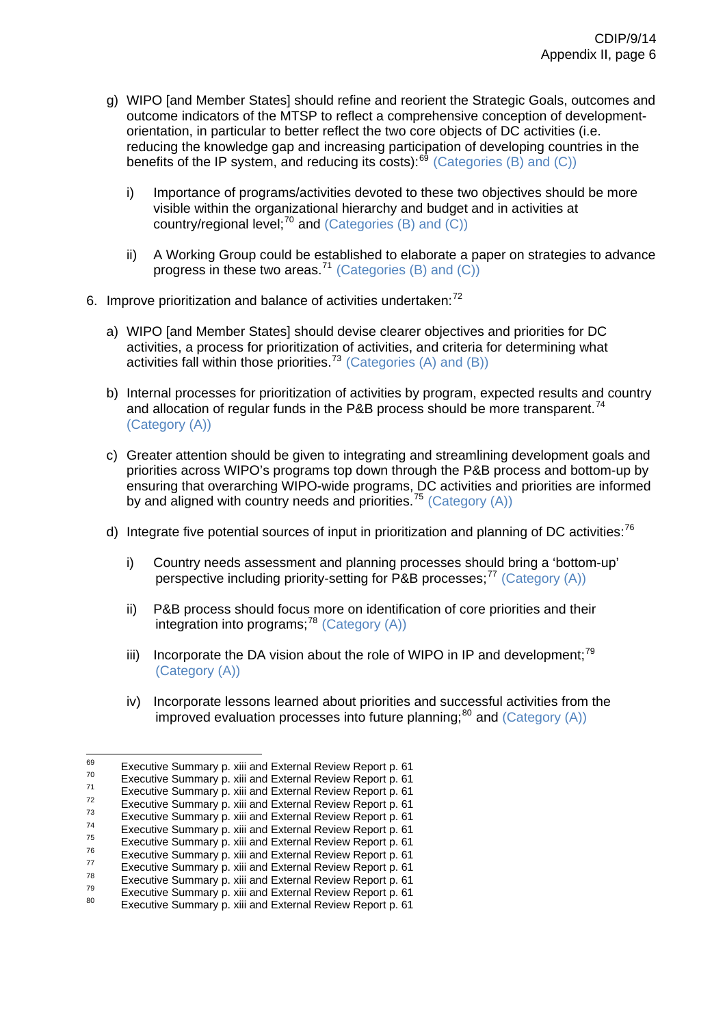- g) WIPO [and Member States] should refine and reorient the Strategic Goals, outcomes and outcome indicators of the MTSP to reflect a comprehensive conception of developmentorientation, in particular to better reflect the two core objects of DC activities (i.e. reducing the knowledge gap and increasing participation of developing countries in the benefits of the IP system, and reducing its costs): $^{69}$  $^{69}$  $^{69}$  (Categories (B) and (C))
	- i) Importance of programs/activities devoted to these two objectives should be more visible within the organizational hierarchy and budget and in activities at country/regional level; $^{70}$  $^{70}$  $^{70}$  and (Categories (B) and (C))
	- ii) A Working Group could be established to elaborate a paper on strategies to advance progress in these two areas.<sup>[71](#page-43-2)</sup> (Categories (B) and (C))
- 6. Improve prioritization and balance of activities undertaken: $72$ 
	- a) WIPO [and Member States] should devise clearer objectives and priorities for DC activities, a process for prioritization of activities, and criteria for determining what activities fall within those priorities.[73](#page-43-4) (Categories (A) and (B))
	- b) Internal processes for prioritization of activities by program, expected results and country and allocation of regular funds in the P&B process should be more transparent.<sup>[74](#page-43-5)</sup> (Category (A))
	- c) Greater attention should be given to integrating and streamlining development goals and priorities across WIPO's programs top down through the P&B process and bottom-up by ensuring that overarching WIPO-wide programs, DC activities and priorities are informed by and aligned with country needs and priorities.<sup>[75](#page-43-6)</sup> (Category  $(A)$ )
	- d) Integrate five potential sources of input in prioritization and planning of DC activities:<sup>[76](#page-43-7)</sup>
		- i) Country needs assessment and planning processes should bring a 'bottom-up' perspective including priority-setting for P&B processes; $^{77}$  $^{77}$  $^{77}$  (Category (A))
		- ii) P&B process should focus more on identification of core priorities and their integration into programs;<sup>[78](#page-43-9)</sup> (Category  $(A)$ )
		- iii) Incorporate the DA vision about the role of WIPO in IP and development;<sup>[79](#page-43-10)</sup> (Category (A))
		- iv) Incorporate lessons learned about priorities and successful activities from the improved evaluation processes into future planning; $^{80}$  $^{80}$  $^{80}$  and (Category (A))

<sup>69</sup> 

<span id="page-43-1"></span><span id="page-43-0"></span>Executive Summary p. [xiii](http://www.wipo.int/edocs/mdocs/mdocs/en/cdip_8/cdip_8_inf_1-annex1.doc) and External Review Report p. 61<br>
Executive Summary p. xiii and External Review Report p. 61<br>
Executive Summary p. xiii and External Review Report p. 61<br>
Executive Summary p. xiii and External Re

<span id="page-43-2"></span>

<span id="page-43-3"></span>

<span id="page-43-4"></span>

<span id="page-43-6"></span><span id="page-43-5"></span>

<span id="page-43-7"></span>

<span id="page-43-8"></span>

<span id="page-43-11"></span><span id="page-43-10"></span><span id="page-43-9"></span>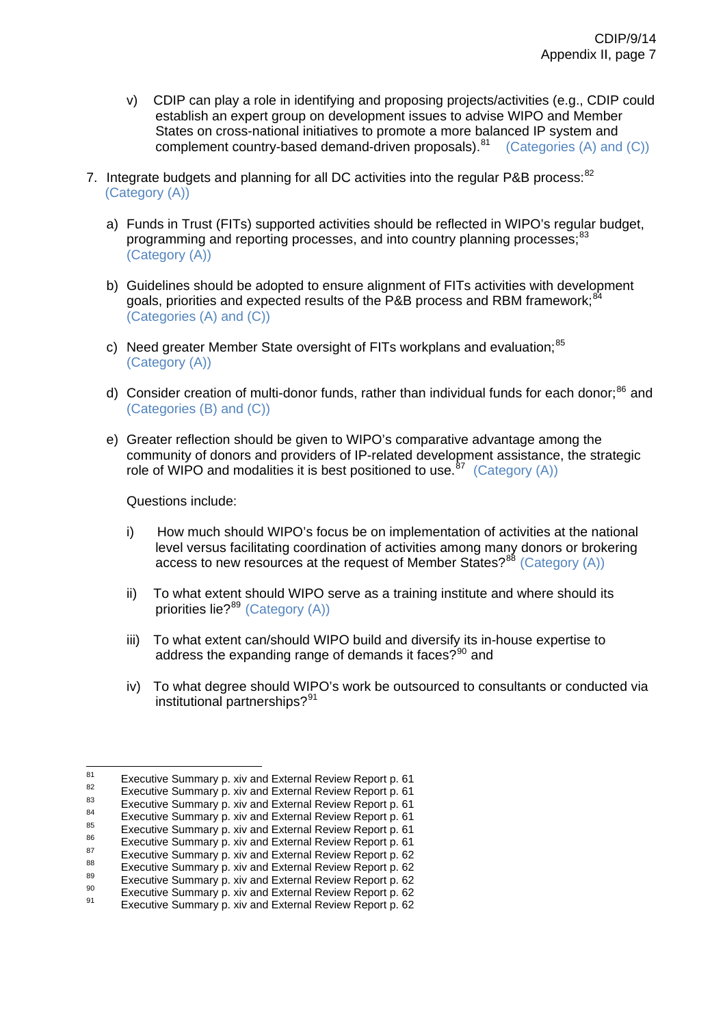- v) CDIP can play a role in identifying and proposing projects/activities (e.g., CDIP could establish an expert group on development issues to advise WIPO and Member States on cross-national initiatives to promote a more balanced IP system and complement country-based demand-driven proposals).<sup>[81](#page-44-0)</sup> (Categories (A) and (C))
- 7. Integrate budgets and planning for all DC activities into the regular P&B process:  $82$  (Category (A))
	- a) Funds in Trust (FITs) supported activities should be reflected in WIPO's regular budget, programming and reporting processes, and into country planning processes;<sup>[83](#page-44-2)</sup> (Category (A))
	- b) Guidelines should be adopted to ensure alignment of FITs activities with development goals, priorities and expected results of the P&B process and RBM framework;<sup>[84](#page-44-3)</sup> (Categories (A) and (C))
	- c) Need greater Member State oversight of FITs workplans and evaluation;<sup>[85](#page-44-4)</sup> (Category (A))
	- d) Consider creation of multi-donor funds, rather than individual funds for each donor;<sup>[86](#page-44-5)</sup> and (Categories (B) and (C))
	- e) Greater reflection should be given to WIPO's comparative advantage among the community of donors and providers of IP-related development assistance, the strategic role of WIPO and modalities it is best positioned to use.<sup>[87](#page-44-6)</sup> (Category  $(A)$ )

Questions include:

- i) How much should WIPO's focus be on implementation of activities at the national level versus facilitating coordination of activities among many donors or brokering access to new resources at the request of Member States? $88$  (Category (A))
- ii) To what extent should WIPO serve as a training institute and where should its priorities lie?<sup>[89](#page-44-8)</sup> (Category (A))
- iii) To what extent can/should WIPO build and diversify its in-house expertise to address the expanding range of demands it faces? $90$  and
- iv) To what degree should WIPO's work be outsourced to consultants or conducted via institutional partnerships?<sup>[91](#page-44-10)</sup>

 $R<sub>1</sub>$ 

<span id="page-44-2"></span>

<span id="page-44-3"></span>

<span id="page-44-5"></span><span id="page-44-4"></span>

<span id="page-44-6"></span>

<span id="page-44-1"></span><span id="page-44-0"></span><sup>&</sup>lt;sup>81</sup><br>Executive Summary p. [xiv](http://www.wipo.int/edocs/mdocs/mdocs/en/cdip_8/cdip_8_inf_1-annex1.doc) and External Review Report p. 61<br>Executive Summary p. xiv and External Review Report p. 61<br>Executive Summary p. xiv and External Review Report p. 61<br>Executive Summary p. xiv and External Revie

<span id="page-44-8"></span><span id="page-44-7"></span>

<span id="page-44-9"></span>

<span id="page-44-10"></span>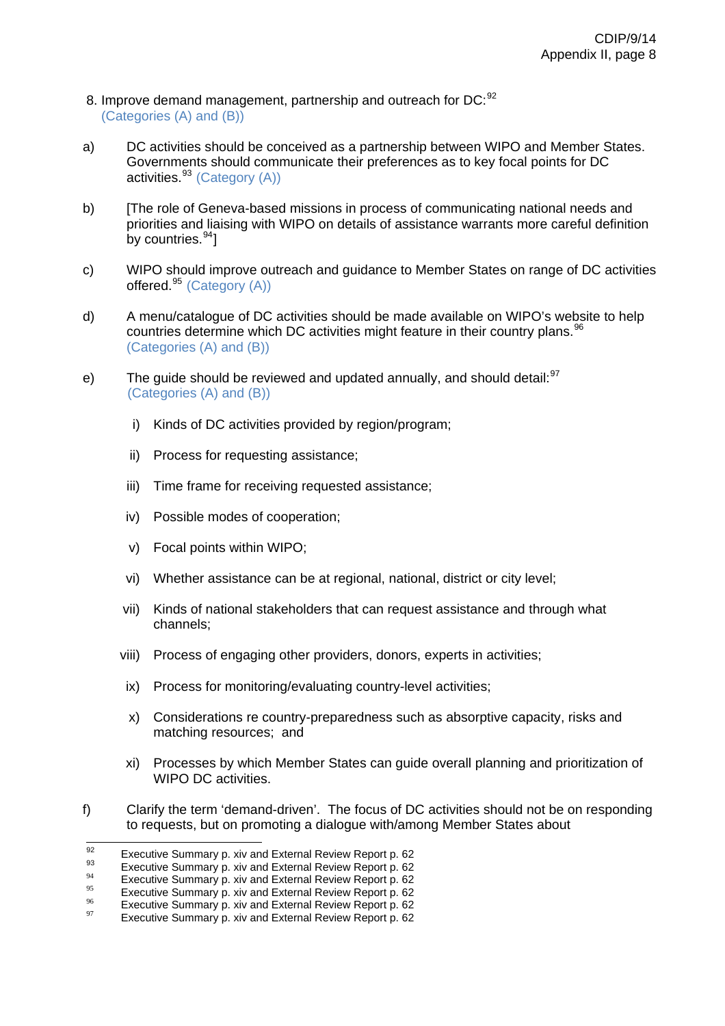- 8. Improve demand management, partnership and outreach for DC: [92](#page-45-0) (Categories (A) and (B))
- a) DC activities should be conceived as a partnership between WIPO and Member States. Governments should communicate their preferences as to key focal points for DC activities. $93$  (Category (A))
- b) [The role of Geneva-based missions in process of communicating national needs and priorities and liaising with WIPO on details of assistance warrants more careful definition by countries.  $94$ ]
- c) WIPO should improve outreach and guidance to Member States on range of DC activities offered. $95$  (Category (A))
- d) A menu/catalogue of DC activities should be made available on WIPO's website to help countries determine which DC activities might feature in their country plans.<sup>[96](#page-45-4)</sup> (Categories (A) and (B))
- e) The guide should be reviewed and updated annually, and should detail: <sup>[97](#page-45-5)</sup> (Categories (A) and (B))
	- i) Kinds of DC activities provided by region/program;
	- ii) Process for requesting assistance;
	- iii) Time frame for receiving requested assistance;
	- iv) Possible modes of cooperation;
	- v) Focal points within WIPO;
	- vi) Whether assistance can be at regional, national, district or city level;
	- vii) Kinds of national stakeholders that can request assistance and through what channels;
	- viii) Process of engaging other providers, donors, experts in activities;
	- ix) Process for monitoring/evaluating country-level activities;
	- x) Considerations re country-preparedness such as absorptive capacity, risks and matching resources; and
	- xi) Processes by which Member States can guide overall planning and prioritization of WIPO DC activities.
- f) Clarify the term 'demand-driven'. The focus of DC activities should not be on responding to requests, but on promoting a dialogue with/among Member States about

 $92$ 

<span id="page-45-2"></span><span id="page-45-1"></span>

<span id="page-45-0"></span><sup>&</sup>lt;sup>92</sup><br>
<sup>92</sup><br>
Executive Summary p. [xiv](http://www.wipo.int/edocs/mdocs/mdocs/en/cdip_8/cdip_8_inf_1-annex1.doc) and External Review Report p. 62<br>
Executive Summary p. xiv and External Review Report p. 62<br>
Executive Summary p. xiv and External Review Report p. 62<br>
<sup>95</sup><br>
<sup>96</sup><br>
Executive Summary p.

<span id="page-45-4"></span><span id="page-45-3"></span>

<span id="page-45-5"></span>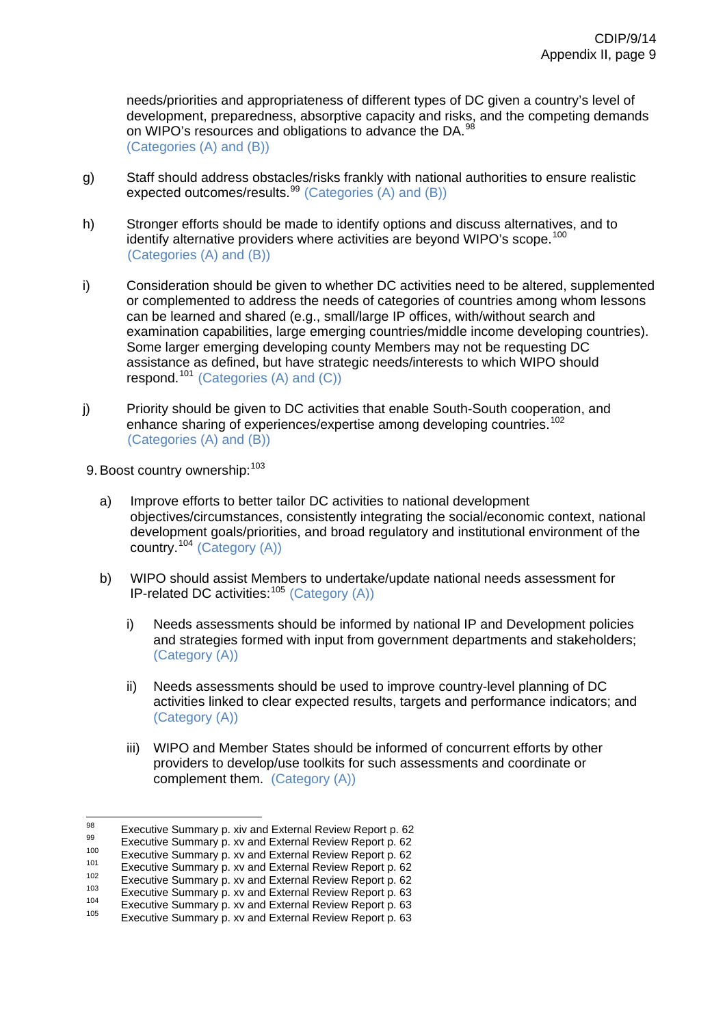needs/priorities and appropriateness of different types of DC given a country's level of development, preparedness, absorptive capacity and risks, and the competing demands on WIPO's resources and obligations to advance the DA.<sup>98</sup> (Categories (A) and (B))

- g) Staff should address obstacles/risks frankly with national authorities to ensure realistic expected outcomes/results.<sup>[99](#page-46-0)</sup> (Categories  $(A)$  and  $(B)$ )
- h) Stronger efforts should be made to identify options and discuss alternatives, and to identify alternative providers where activities are beyond WIPO's scope.<sup>[100](#page-46-1)</sup> (Categories (A) and (B))
- i) Consideration should be given to whether DC activities need to be altered, supplemented or complemented to address the needs of categories of countries among whom lessons can be learned and shared (e.g., small/large IP offices, with/without search and examination capabilities, large emerging countries/middle income developing countries). Some larger emerging developing county Members may not be requesting DC assistance as defined, but have strategic needs/interests to which WIPO should respond.<sup>[101](#page-46-2)</sup> (Categories  $(A)$  and  $(C)$ )
- j) Priority should be given to DC activities that enable South-South cooperation, and enhance sharing of experiences/expertise among developing countries.<sup>[102](#page-46-3)</sup> (Categories (A) and (B))
- 9. Boost country ownership: [103](#page-46-4)
	- a) Improve efforts to better tailor DC activities to national development objectives/circumstances, consistently integrating the social/economic context, national development goals/priorities, and broad regulatory and institutional environment of the country.<sup>[104](#page-46-5)</sup> (Category (A))
	- b) WIPO should assist Members to undertake/update national needs assessment for IP-related DC activities:  $105$  (Category (A))
		- i) Needs assessments should be informed by national IP and Development policies and strategies formed with input from government departments and stakeholders; (Category (A))
		- ii) Needs assessments should be used to improve country-level planning of DC activities linked to clear expected results, targets and performance indicators; and (Category (A))
		- iii) WIPO and Member States should be informed of concurrent efforts by other providers to develop/use toolkits for such assessments and coordinate or complement them. (Category (A))

<sup>98</sup> 

<span id="page-46-0"></span>

<span id="page-46-1"></span>

<span id="page-46-2"></span>

<span id="page-46-4"></span><span id="page-46-3"></span>

<sup>&</sup>lt;sup>98</sup><br>
Executive Summary p. [xiv](http://www.wipo.int/edocs/mdocs/mdocs/en/cdip_8/cdip_8_inf_1-annex1.doc) and External Review Report p. 62<br>
Executive Summary p. [xv](http://www.wipo.int/edocs/mdocs/mdocs/en/cdip_8/cdip_8_inf_1-annex1.doc) and External Review Report p. 62<br>
Executive Summary p. xv and External Review Report p. 62<br>
Executive Summary p. xv and External Rev

<span id="page-46-6"></span><span id="page-46-5"></span>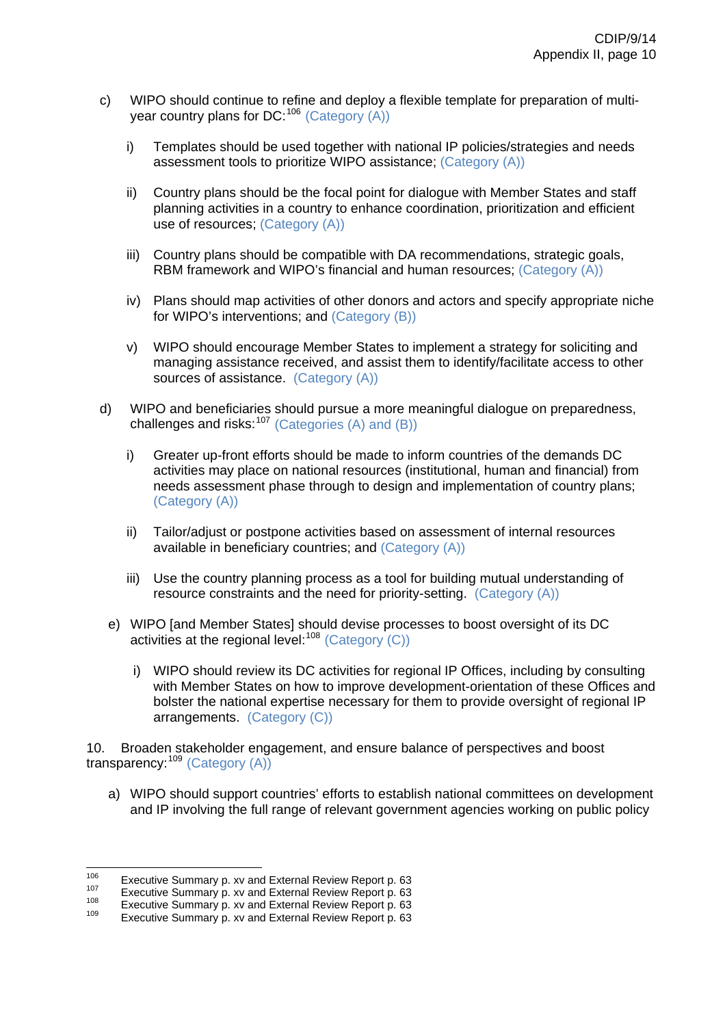- c) WIPO should continue to refine and deploy a flexible template for preparation of multiyear country plans for  $DC: ^{106}$  $DC: ^{106}$  $DC: ^{106}$  (Category (A))
	- i) Templates should be used together with national IP policies/strategies and needs assessment tools to prioritize WIPO assistance; (Category (A))
	- ii) Country plans should be the focal point for dialogue with Member States and staff planning activities in a country to enhance coordination, prioritization and efficient use of resources; (Category (A))
	- iii) Country plans should be compatible with DA recommendations, strategic goals, RBM framework and WIPO's financial and human resources; (Category (A))
	- iv) Plans should map activities of other donors and actors and specify appropriate niche for WIPO's interventions; and (Category (B))
	- v) WIPO should encourage Member States to implement a strategy for soliciting and managing assistance received, and assist them to identify/facilitate access to other sources of assistance. (Category (A))
- d) WIPO and beneficiaries should pursue a more meaningful dialogue on preparedness, challenges and risks: $107$  (Categories (A) and (B))
	- i) Greater up-front efforts should be made to inform countries of the demands DC activities may place on national resources (institutional, human and financial) from needs assessment phase through to design and implementation of country plans; (Category (A))
	- ii) Tailor/adjust or postpone activities based on assessment of internal resources available in beneficiary countries; and (Category (A))
	- iii) Use the country planning process as a tool for building mutual understanding of resource constraints and the need for priority-setting. (Category (A))
	- e) WIPO [and Member States] should devise processes to boost oversight of its DC activities at the regional level:  $108$  (Category (C))
		- i) WIPO should review its DC activities for regional IP Offices, including by consulting with Member States on how to improve development-orientation of these Offices and bolster the national expertise necessary for them to provide oversight of regional IP arrangements. (Category (C))

10. Broaden stakeholder engagement, and ensure balance of perspectives and boost transparency:[109](#page-47-3) (Category (A))

a) WIPO should support countries' efforts to establish national committees on development and IP involving the full range of relevant government agencies working on public policy

 $106$ 

<span id="page-47-1"></span><span id="page-47-0"></span><sup>&</sup>lt;sup>106</sup> Executive Summary p. [xv](http://www.wipo.int/edocs/mdocs/mdocs/en/cdip_8/cdip_8_inf_1-annex1.doc) and External Review Report p. 63<br><sup>107</sup> Executive Summary p. xv and External Review Report p. 63<br><sup>108</sup> Executive Summary p. xv and External Review Report p. 63<br>Executive Summary p. xv and Exte

<span id="page-47-2"></span>

<span id="page-47-3"></span>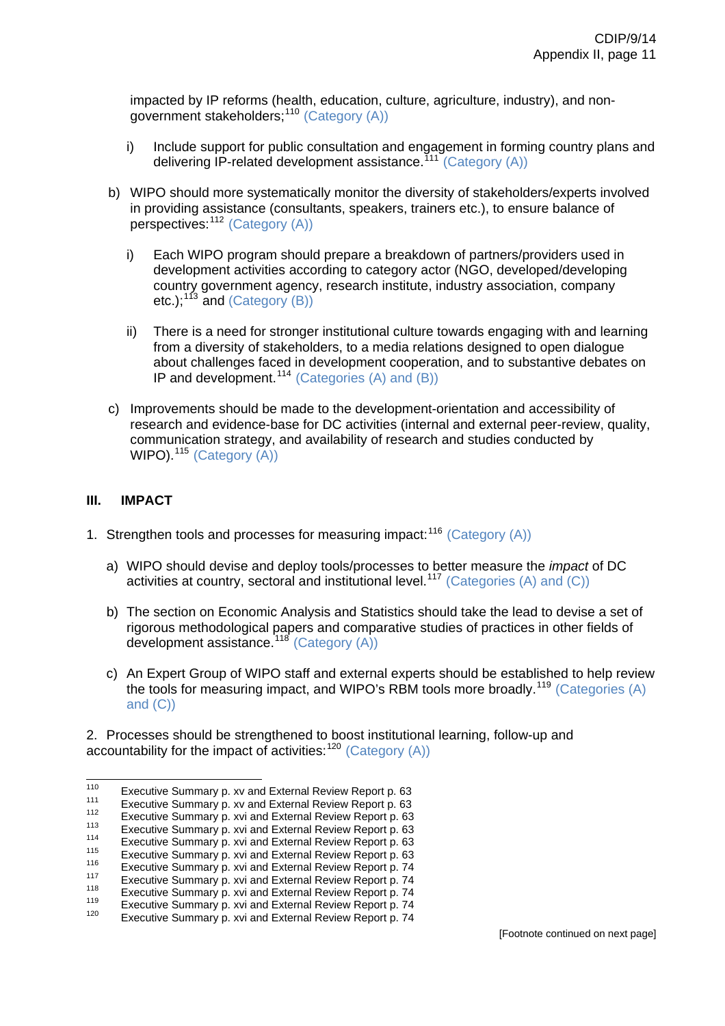impacted by IP reforms (health, education, culture, agriculture, industry), and nongovernment stakeholders;<sup>110</sup> (Category (A))

- i) Include support for public consultation and engagement in forming country plans and delivering IP-related development assistance.<sup>[111](#page-48-0)</sup> (Category (A))
- b) WIPO should more systematically monitor the diversity of stakeholders/experts involved in providing assistance (consultants, speakers, trainers etc.), to ensure balance of perspectives: <sup>[112](#page-48-1)</sup> (Category (A))
	- i) Each WIPO program should prepare a breakdown of partners/providers used in development activities according to category actor (NGO, developed/developing country government agency, research institute, industry association, company etc.); $^{113}$  $^{113}$  $^{113}$  and (Category (B))
	- ii) There is a need for stronger institutional culture towards engaging with and learning from a diversity of stakeholders, to a media relations designed to open dialogue about challenges faced in development cooperation, and to substantive debates on IP and development.[114](#page-48-3) (Categories (A) and (B))
- WIPO).<sup>[115](#page-48-4)</sup> (Category  $(A)$ ) c) Improvements should be made to the development-orientation and accessibility of research and evidence-base for DC activities (internal and external peer-review, quality, communication strategy, and availability of research and studies conducted by

# **III. IMPACT**

- 1. Strengthen tools and processes for measuring impact: $116$  (Category (A))
	- a) WIPO should devise and deploy tools/processes to better measure the *impact* of DC activities at country, sectoral and institutional level.<sup>[117](#page-48-6)</sup> (Categories (A) and (C))
	- b) The section on Economic Analysis and Statistics should take the lead to devise a set of rigorous methodological papers and comparative studies of practices in other fields of development assistance.<sup>[118](#page-48-7)</sup> (Category (A))
	- c) An Expert Group of WIPO staff and external experts should be established to help review the tools for measuring impact, and WIPO's RBM tools more broadly.<sup>[119](#page-48-8)</sup> (Categories (A) and (C))

2. Processes should be strengthened to boost institutional learning, follow-up and accountability for the impact of activities:  $120$  (Category (A))

<span id="page-48-0"></span><sup>110</sup> 

Executive Summary p. [xv](http://www.wipo.int/edocs/mdocs/mdocs/en/cdip_8/cdip_8_inf_1-annex1.doc) and External Review Report p. 63<br>
Executive Summary p. xv and External Review Report p. 63<br>
Executive Summary p. [xvi](http://www.wipo.int/edocs/mdocs/mdocs/en/cdip_8/cdip_8_inf_1-annex1.doc) and External Review Report p. 63<br>
Executive Summary p. xvi and External Review Re

<span id="page-48-1"></span>

<span id="page-48-3"></span><span id="page-48-2"></span>

<span id="page-48-4"></span>

<span id="page-48-6"></span><span id="page-48-5"></span>

<span id="page-48-7"></span>

<span id="page-48-8"></span>

<span id="page-48-9"></span>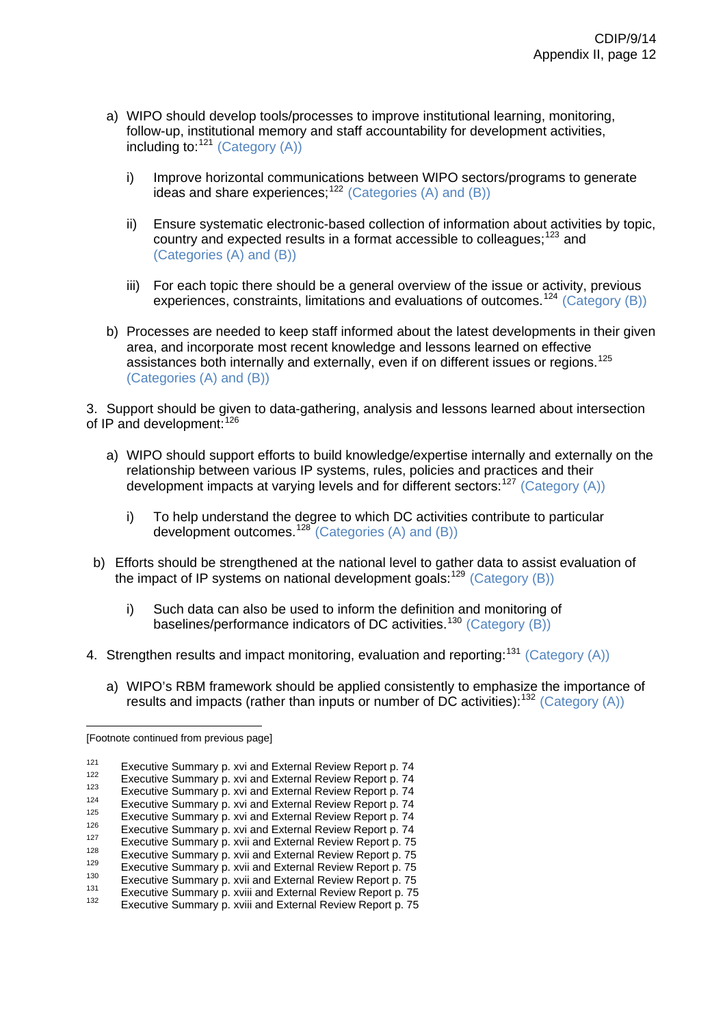- a) WIPO should develop tools/processes to improve institutional learning, monitoring, follow-up, institutional memory and staff accountability for development activities, including to:  $121$  (Category (A))
	- i) Improve horizontal communications between WIPO sectors/programs to generate ideas and share experiences;<sup>[122](#page-49-1)</sup> (Categories (A) and (B))
	- ii) Ensure systematic electronic-based collection of information about activities by topic, country and expected results in a format accessible to colleagues:<sup>[123](#page-49-2)</sup> and (Categories (A) and (B))
	- iii) For each topic there should be a general overview of the issue or activity, previous experiences, constraints, limitations and evaluations of outcomes.[124](#page-49-3) (Category (B))
- b) Processes are needed to keep staff informed about the latest developments in their given area, and incorporate most recent knowledge and lessons learned on effective assistances both internally and externally, even if on different issues or regions.[125](#page-49-4) (Categories (A) and (B))

3. Support should be given to data-gathering, analysis and lessons learned about intersection of IP and development:<sup>[126](#page-49-5)</sup>

- a) WIPO should support efforts to build knowledge/expertise internally and externally on the relationship between various IP systems, rules, policies and practices and their development impacts at varying levels and for different sectors:  $127$  (Category (A))
	- i) To help understand the degree to which DC activities contribute to particular development outcomes.<sup>[128](#page-49-7)</sup> (Categories (A) and (B))
- b) Efforts should be strengthened at the national level to gather data to assist evaluation of the impact of IP systems on national development goals:  $129$  (Category (B))
	- i) Such data can also be used to inform the definition and monitoring of baselines/performance indicators of DC activities.<sup>[130](#page-49-9)</sup> (Category  $(B)$ )
- 4. Strengthen results and impact monitoring, evaluation and reporting:<sup>[131](#page-49-10)</sup> (Category (A))
	- a) WIPO's RBM framework should be applied consistently to emphasize the importance of results and impacts (rather than inputs or number of DC activities):  $132$  (Category (A))

 $\overline{a}$ 

<sup>[</sup>Footnote continued from previous page]

<span id="page-49-0"></span>

<span id="page-49-2"></span><span id="page-49-1"></span>

<span id="page-49-3"></span>

<span id="page-49-4"></span>

<span id="page-49-5"></span>

<span id="page-49-6"></span>

<span id="page-49-7"></span>

<span id="page-49-9"></span><span id="page-49-8"></span>

<span id="page-49-11"></span><span id="page-49-10"></span>

Executive Summary p. [xvi](http://www.wipo.int/edocs/mdocs/mdocs/en/cdip_8/cdip_8_inf_1-annex1.doc) and External Review Report p. 74<br>  $^{122}$  Executive Summary p. xvi and External Review Report p. 74<br>  $^{123}$  Executive Summary p. xvi and External Review Report p. 74<br>  $^{124}$  Executive Summary p.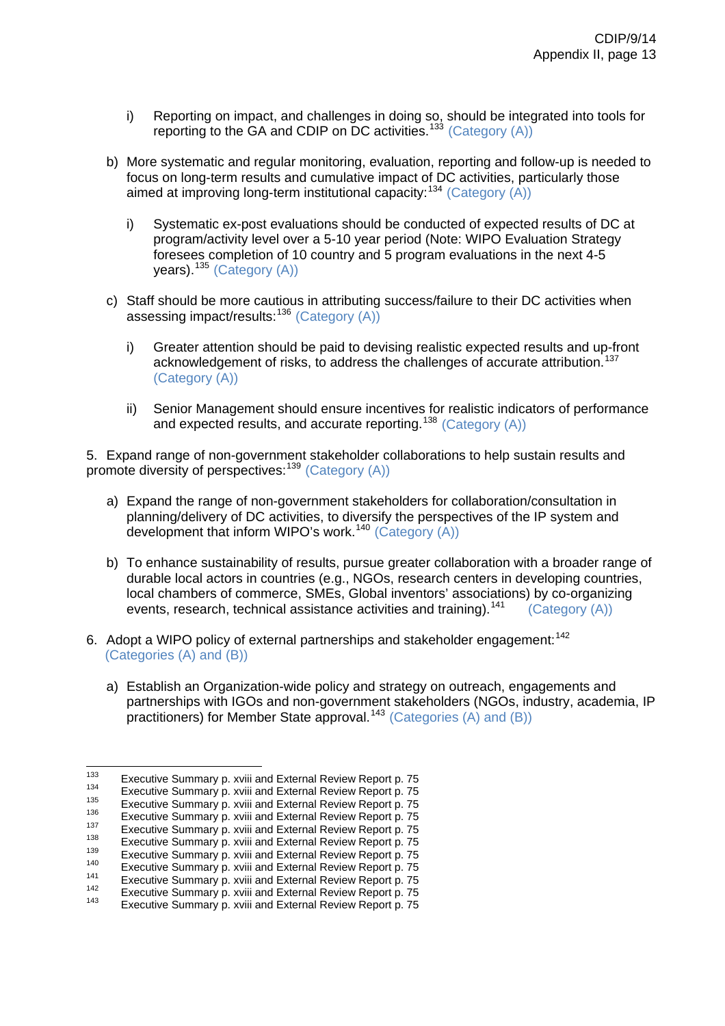- i) Reporting on impact, and challenges in doing so, should be integrated into tools for reporting to the GA and CDIP on DC activities.<sup>[133](#page-50-0)</sup> (Category (A))
- b) More systematic and regular monitoring, evaluation, reporting and follow-up is needed to focus on long-term results and cumulative impact of DC activities, particularly those aimed at improving long-term institutional capacity:  $134$  (Category (A))
	- i) Systematic ex-post evaluations should be conducted of expected results of DC at program/activity level over a 5-10 year period (Note: WIPO Evaluation Strategy foresees completion of 10 country and 5 program evaluations in the next 4-5 vears).<sup>[135](#page-50-2)</sup> (Category (A))
- c) Staff should be more cautious in attributing success/failure to their DC activities when assessing impact/results:[136](#page-50-3) (Category (A))
	- i) Greater attention should be paid to devising realistic expected results and up-front acknowledgement of risks, to address the challenges of accurate attribution.<sup>[137](#page-50-4)</sup> (Category (A))
	- ii) Senior Management should ensure incentives for realistic indicators of performance and expected results, and accurate reporting.<sup>[138](#page-50-5)</sup> (Category (A))

5. Expand range of non-government stakeholder collaborations to help sustain results and promote diversity of perspectives:<sup>[139](#page-50-6)</sup> (Category (A))

- a) Expand the range of non-government stakeholders for collaboration/consultation in planning/delivery of DC activities, to diversify the perspectives of the IP system and development that inform WIPO's work.<sup>[140](#page-50-7)</sup> (Category  $(A)$ )
- b) To enhance sustainability of results, pursue greater collaboration with a broader range of durable local actors in countries (e.g., NGOs, research centers in developing countries, local chambers of commerce, SMEs, Global inventors' associations) by co-organizing events, research, technical assistance activities and training).<sup>[141](#page-50-8)</sup> (Category (A))
- 6. Adopt a WIPO policy of external partnerships and stakeholder engagement:<sup>[142](#page-50-9)</sup> (Categories (A) and (B))
	- a) Establish an Organization-wide policy and strategy on outreach, engagements and partnerships with IGOs and non-government stakeholders (NGOs, industry, academia, IP practitioners) for Member State approval.<sup>[143](#page-50-10)</sup> (Categories  $(A)$  and  $(B)$ )

<span id="page-50-1"></span><span id="page-50-0"></span> $133$ <sup>133</sup> Executive Summary p. [xviii](http://www.wipo.int/edocs/mdocs/mdocs/en/cdip_8/cdip_8_inf_1-annex1.doc) and External Review Report p. 75<br>
<sup>134</sup> Executive Summary p. xviii and External Review Report p. 75<br>
<sup>135</sup> Executive Summary p. xviii and External Review Report p. 75<br>
<sup>136</sup> Executive Summ

<span id="page-50-2"></span>

<span id="page-50-3"></span>

<span id="page-50-5"></span><span id="page-50-4"></span>

<span id="page-50-6"></span>

<span id="page-50-8"></span><span id="page-50-7"></span>

<span id="page-50-9"></span>

<span id="page-50-10"></span>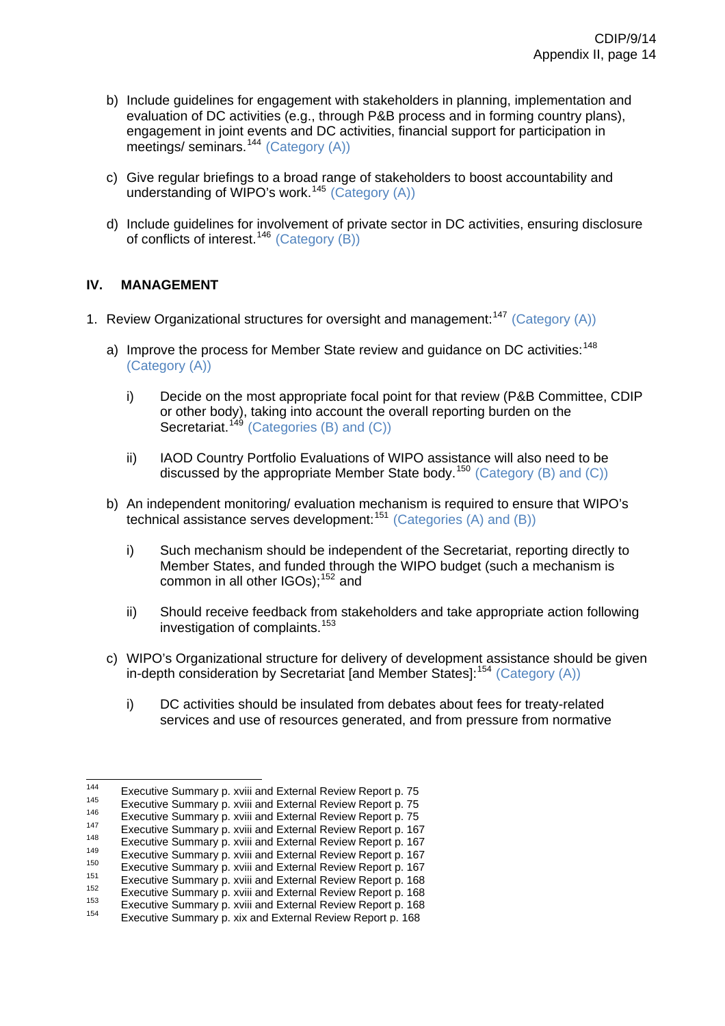- b) Include guidelines for engagement with stakeholders in planning, implementation and evaluation of DC activities (e.g., through P&B process and in forming country plans), engagement in joint events and DC activities, financial support for participation in meetings/ seminars.<sup>[144](#page-51-0)</sup> (Category (A))
- c) Give regular briefings to a broad range of stakeholders to boost accountability and understanding of WIPO's work.<sup>[145](#page-51-1)</sup> (Category  $(A)$ )
- d) Include guidelines for involvement of private sector in DC activities, ensuring disclosure of conflicts of interest.[146](#page-51-2) (Category (B))

# **IV. MANAGEMENT**

- 1. Review Organizational structures for oversight and management:<sup>[147](#page-51-3)</sup> (Category (A))
	- a) Improve the process for Member State review and guidance on DC activities:<sup>[148](#page-51-4)</sup> (Category (A))
		- i) Decide on the most appropriate focal point for that review (P&B Committee, CDIP or other body), taking into account the overall reporting burden on the Secretariat.<sup>[149](#page-51-5)</sup> (Categories (B) and  $(C)$ )
		- ii) IAOD Country Portfolio Evaluations of WIPO assistance will also need to be discussed by the appropriate Member State body.<sup>[150](#page-51-6)</sup> (Category (B) and (C))
	- b) An independent monitoring/ evaluation mechanism is required to ensure that WIPO's technical assistance serves development:[151](#page-51-7) (Categories (A) and (B))
		- i) Such mechanism should be independent of the Secretariat, reporting directly to Member States, and funded through the WIPO budget (such a mechanism is common in all other  $IGOs$ :  $152$  and
		- ii) Should receive feedback from stakeholders and take appropriate action following investigation of complaints.<sup>[153](#page-51-9)</sup>
	- c) WIPO's Organizational structure for delivery of development assistance should be given in-depth consideration by Secretariat [and Member States]:<sup>[154](#page-51-10)</sup> (Category (A))
		- i) DC activities should be insulated from debates about fees for treaty-related services and use of resources generated, and from pressure from normative

<span id="page-51-1"></span><span id="page-51-0"></span><sup>144</sup> 

Executive Summary p. [xviii](http://www.wipo.int/edocs/mdocs/mdocs/en/cdip_8/cdip_8_inf_1-annex1.doc) and External Review Report p. 75<br>
Executive Summary p. xviii and External Review Report p. 75<br>
Executive Summary p. xviii and External Review Report p. 75<br>
Executive Summary p. xviii and External

<span id="page-51-4"></span><span id="page-51-3"></span><span id="page-51-2"></span>

<span id="page-51-5"></span>

<span id="page-51-7"></span><span id="page-51-6"></span>

<span id="page-51-8"></span>

<span id="page-51-9"></span>

<span id="page-51-10"></span>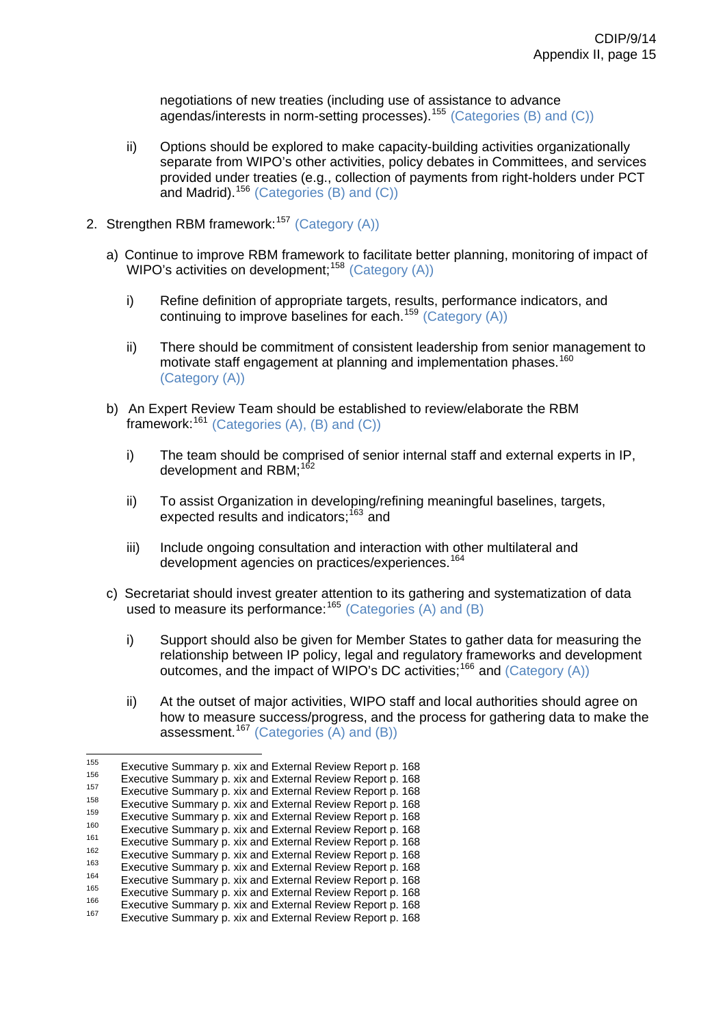negotiations of new treaties (including use of assistance to advance agendas/interests in norm-setting processes).[155](#page-52-0) (Categories (B) and (C))

- ii) Options should be explored to make capacity-building activities organizationally separate from WIPO's other activities, policy debates in Committees, and services provided under treaties (e.g., collection of payments from right-holders under PCT and Madrid).[156](#page-52-1) (Categories (B) and (C))
- 2. Strengthen RBM framework:<sup>[157](#page-52-2)</sup> (Category (A))
	- a) Continue to improve RBM framework to facilitate better planning, monitoring of impact of WIPO's activities on development;<sup>[158](#page-52-3)</sup> (Category  $(A)$ )
		- i) Refine definition of appropriate targets, results, performance indicators, and continuing to improve baselines for each.<sup>[159](#page-52-4)</sup> (Category  $(A)$ )
		- ii) There should be commitment of consistent leadership from senior management to motivate staff engagement at planning and implementation phases.<sup>[160](#page-52-5)</sup> (Category (A))
	- b) An Expert Review Team should be established to review/elaborate the RBM framework: $161$  (Categories (A), (B) and (C))
		- i) The team should be comprised of senior internal staff and external experts in IP, development and RBM; $^{162}$  $^{162}$  $^{162}$
		- ii) To assist Organization in developing/refining meaningful baselines, targets, expected results and indicators:<sup>[163](#page-52-8)</sup> and
		- iii) Include ongoing consultation and interaction with other multilateral and development agencies on practices/experiences.<sup>[164](#page-52-9)</sup>
	- c) Secretariat should invest greater attention to its gathering and systematization of data used to measure its performance:<sup>[165](#page-52-10)</sup> (Categories (A) and (B)
		- i) Support should also be given for Member States to gather data for measuring the relationship between IP policy, legal and regulatory frameworks and development outcomes, and the impact of WIPO's DC activities;[166](#page-52-11) and (Category (A))
		- ii) At the outset of major activities, WIPO staff and local authorities should agree on how to measure success/progress, and the process for gathering data to make the assessment.<sup>[167](#page-52-12)</sup> (Categories  $(A)$  and  $(B)$ )

<sup>155</sup> 

<span id="page-52-2"></span><span id="page-52-1"></span>

<span id="page-52-3"></span>

<span id="page-52-4"></span>

<span id="page-52-6"></span><span id="page-52-5"></span>

<span id="page-52-8"></span><span id="page-52-7"></span>

<span id="page-52-0"></span><sup>&</sup>lt;sup>155</sup><br>
Executive Summary p. [xix](http://www.wipo.int/edocs/mdocs/mdocs/en/cdip_8/cdip_8_inf_1-annex1.doc) and External Review Report p. 168<br>
Executive Summary p. xix and External Review Report p. 168<br>
Executive Summary p. xix and External Review Report p. 168<br>
Executive Summary p. xix and Exter

<span id="page-52-10"></span><span id="page-52-9"></span>

<span id="page-52-11"></span>

<span id="page-52-12"></span>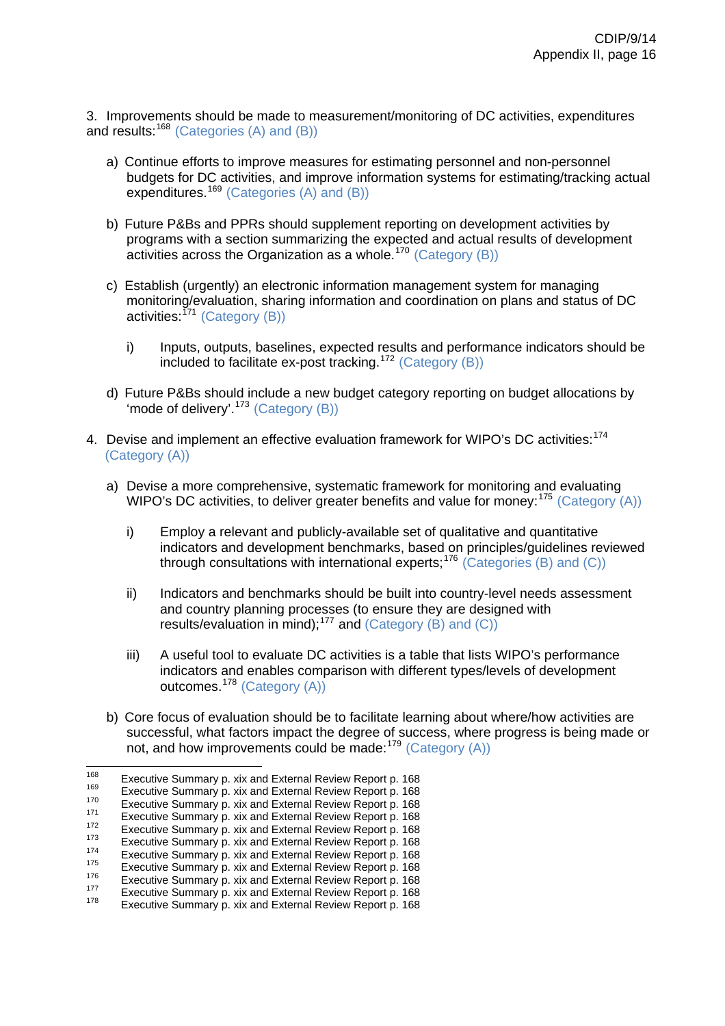3. Improvements should be made to measurement/monitoring of DC activities, expenditures and results:  $168$  (Categories (A) and (B))

- a) Continue efforts to improve measures for estimating personnel and non-personnel budgets for DC activities, and improve information systems for estimating/tracking actual expenditures.<sup>[169](#page-53-1)</sup> (Categories (A) and (B))
- b) Future P&Bs and PPRs should supplement reporting on development activities by programs with a section summarizing the expected and actual results of development activities across the Organization as a whole.<sup>[170](#page-53-2)</sup> (Category (B))
- c) Establish (urgently) an electronic information management system for managing monitoring/evaluation, sharing information and coordination on plans and status of DC activities:  $^{771}$  (Category (B))
	- i) Inputs, outputs, baselines, expected results and performance indicators should be included to facilitate ex-post tracking.[172](#page-53-4) (Category (B))
- d) Future P&Bs should include a new budget category reporting on budget allocations by 'mode of delivery'.<sup>[173](#page-53-5)</sup> (Category  $(B)$ )
- 4. Devise and implement an effective evaluation framework for WIPO's DC activities:<sup>[174](#page-53-6)</sup> (Category (A))
	- a) Devise a more comprehensive, systematic framework for monitoring and evaluating WIPO's DC activities, to deliver greater benefits and value for money:  $175$  (Category (A))
		- i) Employ a relevant and publicly-available set of qualitative and quantitative indicators and development benchmarks, based on principles/guidelines reviewed through consultations with international experts;<sup>[176](#page-53-8)</sup> (Categories (B) and (C))
		- ii) Indicators and benchmarks should be built into country-level needs assessment and country planning processes (to ensure they are designed with results/evaluation in mind);[177](#page-53-9) and (Category (B) and (C))
		- iii) A useful tool to evaluate DC activities is a table that lists WIPO's performance indicators and enables comparison with different types/levels of development outcomes.<sup>[178](#page-53-10)</sup> (Category (A))
	- b) Core focus of evaluation should be to facilitate learning about where/how activities are successful, what factors impact the degree of success, where progress is being made or not, and how improvements could be made:[179](#page-53-11) (Category (A))

<span id="page-53-11"></span><span id="page-53-1"></span><span id="page-53-0"></span><sup>168</sup> 

<span id="page-53-2"></span>

Executive Summary p. [xix](http://www.wipo.int/edocs/mdocs/mdocs/en/cdip_8/cdip_8_inf_1-annex1.doc) and External Review Report p. 168<br>
Executive Summary p. xix and External Review Report p. 168<br>
Executive Summary p. xix and External Review Report p. 168<br>
Executive Summary p. xix and External Rev

<span id="page-53-3"></span>

<span id="page-53-5"></span><span id="page-53-4"></span>

<span id="page-53-7"></span><span id="page-53-6"></span>

<span id="page-53-8"></span>

<span id="page-53-9"></span>

<span id="page-53-10"></span>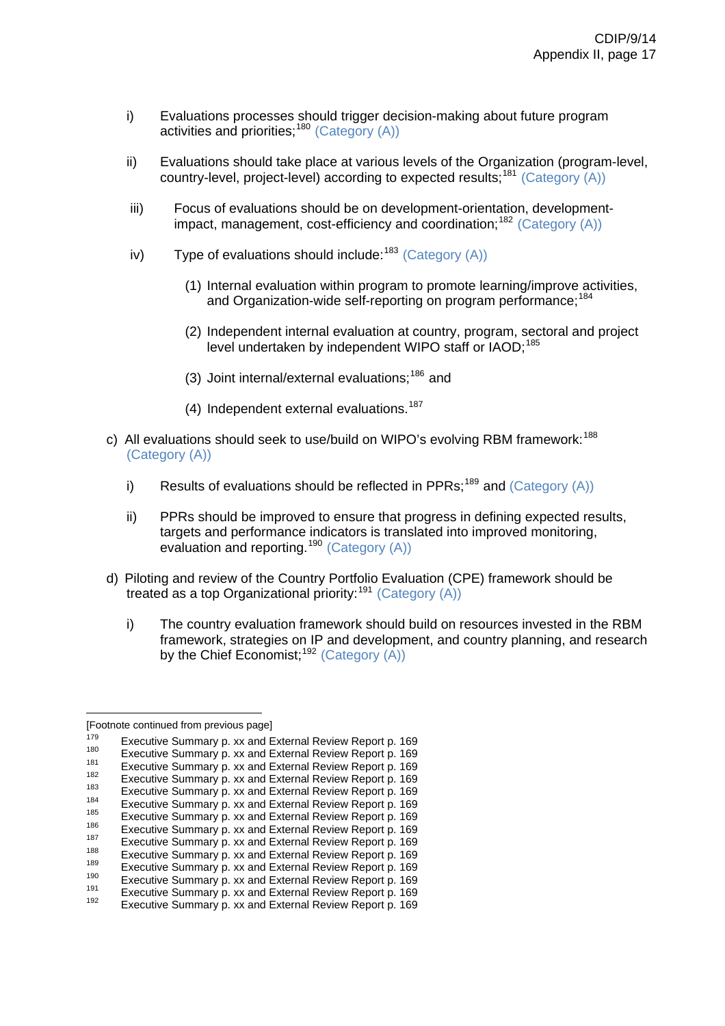- i) Evaluations processes should trigger decision-making about future program activities and priorities:  $180$  (Category (A))
- ii) Evaluations should take place at various levels of the Organization (program-level, country-level, project-level) according to expected results;<sup>[181](#page-54-1)</sup> (Category (A))
- iii) Focus of evaluations should be on development-orientation, development-impact, management, cost-efficiency and coordination;<sup>[182](#page-54-2)</sup> (Category  $(A)$ )
- iv) Type of evaluations should include:  $183$  (Category (A))
	- (1) Internal evaluation within program to promote learning/improve activities, and Organization-wide self-reporting on program performance;<sup>[184](#page-54-4)</sup>
	- (2) Independent internal evaluation at country, program, sectoral and project level undertaken by independent WIPO staff or IAOD;<sup>[185](#page-54-5)</sup>
	- (3) Joint internal/external evaluations; $186$  and
	- (4) Independent external evaluations.<sup>[187](#page-54-7)</sup>
- c) All evaluations should seek to use/build on WIPO's evolving RBM framework:<sup>[188](#page-54-8)</sup> (Category (A))
	- i) Results of evaluations should be reflected in PPRs;<sup>[189](#page-54-9)</sup> and (Category  $(A)$ )
	- ii) PPRs should be improved to ensure that progress in defining expected results, targets and performance indicators is translated into improved monitoring, evaluation and reporting.<sup>[190](#page-54-10)</sup> (Category (A))
- d) Piloting and review of the Country Portfolio Evaluation (CPE) framework should be treated as a top Organizational priority:<sup>[191](#page-54-11)</sup> (Category  $(A)$ )
	- i) The country evaluation framework should build on resources invested in the RBM framework, strategies on IP and development, and country planning, and research by the Chief Economist:<sup>[192](#page-54-12)</sup> (Category (A))

<sup>[</sup>Footnote continued from previous page]

Executive Summary p. [xx](http://www.wipo.int/edocs/mdocs/mdocs/en/cdip_8/cdip_8_inf_1-annex1.doc) and External Review Report p. 169<br>
Executive Summary p. xx and External Review Report p. 169<br>
Executive Summary p. xx and External Review Report p. 169<br>
Executive Summary p. xx and External Review

<span id="page-54-1"></span><span id="page-54-0"></span>

<span id="page-54-3"></span><span id="page-54-2"></span>

<span id="page-54-4"></span>

<span id="page-54-6"></span><span id="page-54-5"></span>

<span id="page-54-7"></span>

<span id="page-54-8"></span>

<span id="page-54-9"></span>

<span id="page-54-10"></span>

<span id="page-54-11"></span>

<span id="page-54-12"></span>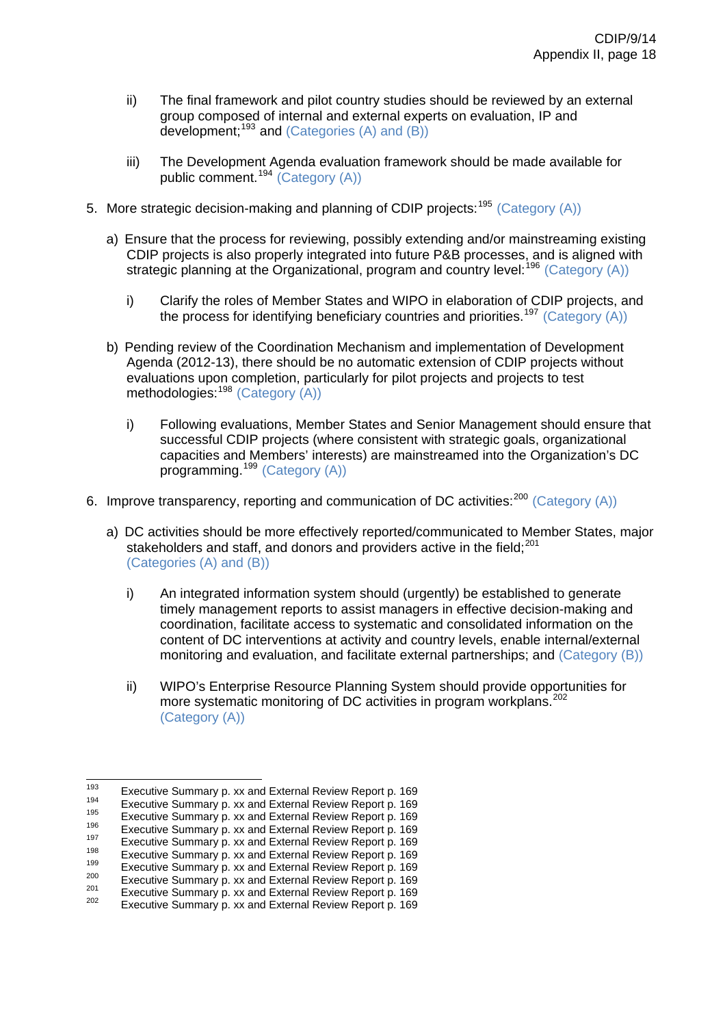- ii) The final framework and pilot country studies should be reviewed by an external group composed of internal and external experts on evaluation, IP and development;  $193$  and (Categories (A) and (B))
- iii) The Development Agenda evaluation framework should be made available for public comment.[194](#page-55-1) (Category (A))
- 5. More strategic decision-making and planning of CDIP projects:<sup>[195](#page-55-2)</sup> (Category (A))
	- a) Ensure that the process for reviewing, possibly extending and/or mainstreaming existing CDIP projects is also properly integrated into future P&B processes, and is aligned with strategic planning at the Organizational, program and country level:  $196$  (Category (A))
		- i) Clarify the roles of Member States and WIPO in elaboration of CDIP projects, and the process for identifying beneficiary countries and priorities.<sup>[197](#page-55-4)</sup> (Category (A))
	- b) Pending review of the Coordination Mechanism and implementation of Development Agenda (2012-13), there should be no automatic extension of CDIP projects without evaluations upon completion, particularly for pilot projects and projects to test methodologies:<sup>[198](#page-55-5)</sup> (Category (A))
		- i) Following evaluations, Member States and Senior Management should ensure that successful CDIP projects (where consistent with strategic goals, organizational capacities and Members' interests) are mainstreamed into the Organization's DC programming.<sup>[199](#page-55-6)</sup> (Category (A))
- 6. Improve transparency, reporting and communication of DC activities:<sup>[200](#page-55-7)</sup> (Category (A))
	- a) DC activities should be more effectively reported/communicated to Member States, major stakeholders and staff, and donors and providers active in the field; $^{201}$  $^{201}$  $^{201}$ (Categories (A) and (B))
		- i) An integrated information system should (urgently) be established to generate timely management reports to assist managers in effective decision-making and coordination, facilitate access to systematic and consolidated information on the content of DC interventions at activity and country levels, enable internal/external monitoring and evaluation, and facilitate external partnerships; and (Category (B))
		- ii) WIPO's Enterprise Resource Planning System should provide opportunities for more systematic monitoring of DC activities in program workplans.<sup>[202](#page-55-9)</sup> (Category (A))

<sup>193</sup> 

<span id="page-55-2"></span>

<span id="page-55-4"></span><span id="page-55-3"></span>

<span id="page-55-6"></span><span id="page-55-5"></span>

<span id="page-55-1"></span><span id="page-55-0"></span>Executive Summary p. [xx](http://www.wipo.int/edocs/mdocs/mdocs/en/cdip_8/cdip_8_inf_1-annex1.doc) and External Review Report p. 169<br>
Executive Summary p. xx and External Review Report p. 169<br>
Executive Summary p. xx and External Review Report p. 169<br>
Executive Summary p. xx and External Review

<span id="page-55-8"></span><span id="page-55-7"></span>

<span id="page-55-9"></span>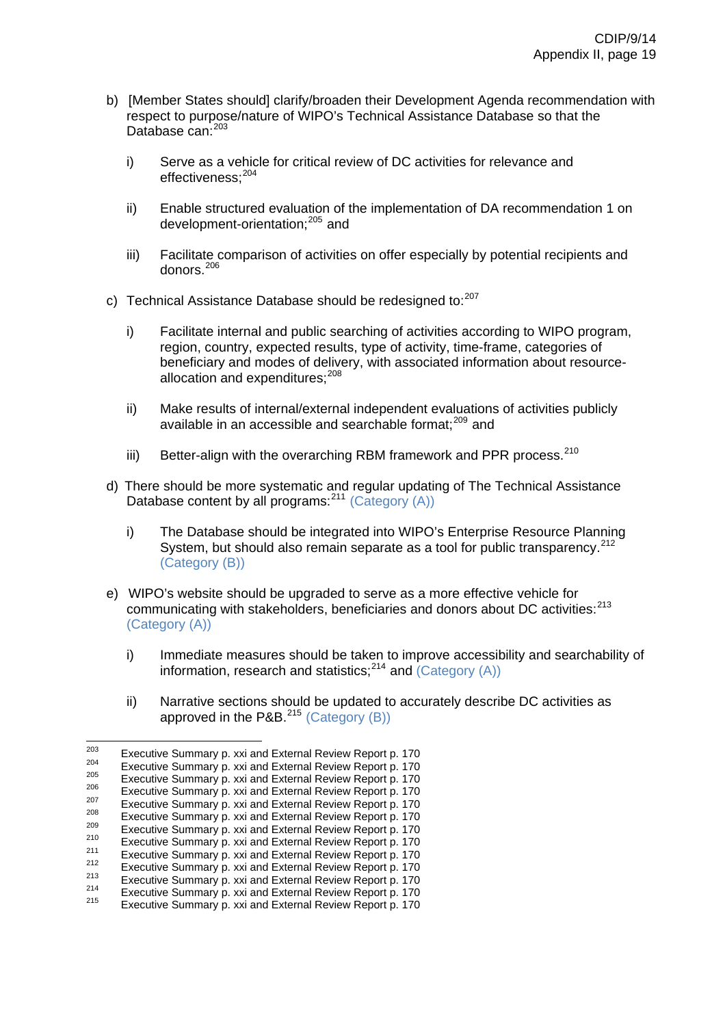- b) [Member States should] clarify/broaden their Development Agenda recommendation with respect to purpose/nature of WIPO's Technical Assistance Database so that the Database can: [203](#page-56-0)
	- i) Serve as a vehicle for critical review of DC activities for relevance and effectiveness;[204](#page-56-1)
	- ii) Enable structured evaluation of the implementation of DA recommendation 1 on development-orientation;[205](#page-56-2) and
	- iii) Facilitate comparison of activities on offer especially by potential recipients and donors.[206](#page-56-3)
- c) Technical Assistance Database should be redesigned to:<sup>[207](#page-56-4)</sup>
	- i) Facilitate internal and public searching of activities according to WIPO program, region, country, expected results, type of activity, time-frame, categories of beneficiary and modes of delivery, with associated information about resource-allocation and expenditures:<sup>[208](#page-56-5)</sup>
	- ii) Make results of internal/external independent evaluations of activities publicly available in an accessible and searchable format;<sup>[209](#page-56-6)</sup> and
	- iii) Better-align with the overarching RBM framework and PPR process. $210$
- d) There should be more systematic and regular updating of The Technical Assistance Database content by all programs:  $2^{11}$  (Category (A))
	- i) The Database should be integrated into WIPO's Enterprise Resource Planning System, but should also remain separate as a tool for public transparency.<sup>[212](#page-56-9)</sup> (Category (B))
- e) WIPO's website should be upgraded to serve as a more effective vehicle for communicating with stakeholders, beneficiaries and donors about DC activities:<sup>[213](#page-56-10)</sup> (Category (A))
	- i) Immediate measures should be taken to improve accessibility and searchability of information, research and statistics;[214](#page-56-11) and (Category (A))
	- ii) Narrative sections should be updated to accurately describe DC activities as approved in the P&B. $^{215}$  $^{215}$  $^{215}$  (Category (B))

<span id="page-56-0"></span><sup>203</sup> Executive Summary p. [xxi](http://www.wipo.int/edocs/mdocs/mdocs/en/cdip_8/cdip_8_inf_1-annex1.doc) and External Review Report p. 170<br>  $^{203}$  Executive Summary p. xxi and External Review Report p. 170<br>  $^{206}$  Executive Summary p. xxi and External Review Report p. 170<br>  $^{206}$  Executive Summary

<span id="page-56-1"></span>

<span id="page-56-2"></span>

<span id="page-56-4"></span><span id="page-56-3"></span>

<span id="page-56-5"></span>

<span id="page-56-7"></span><span id="page-56-6"></span>

<span id="page-56-8"></span>

<span id="page-56-10"></span><span id="page-56-9"></span>

<span id="page-56-11"></span>

<span id="page-56-12"></span>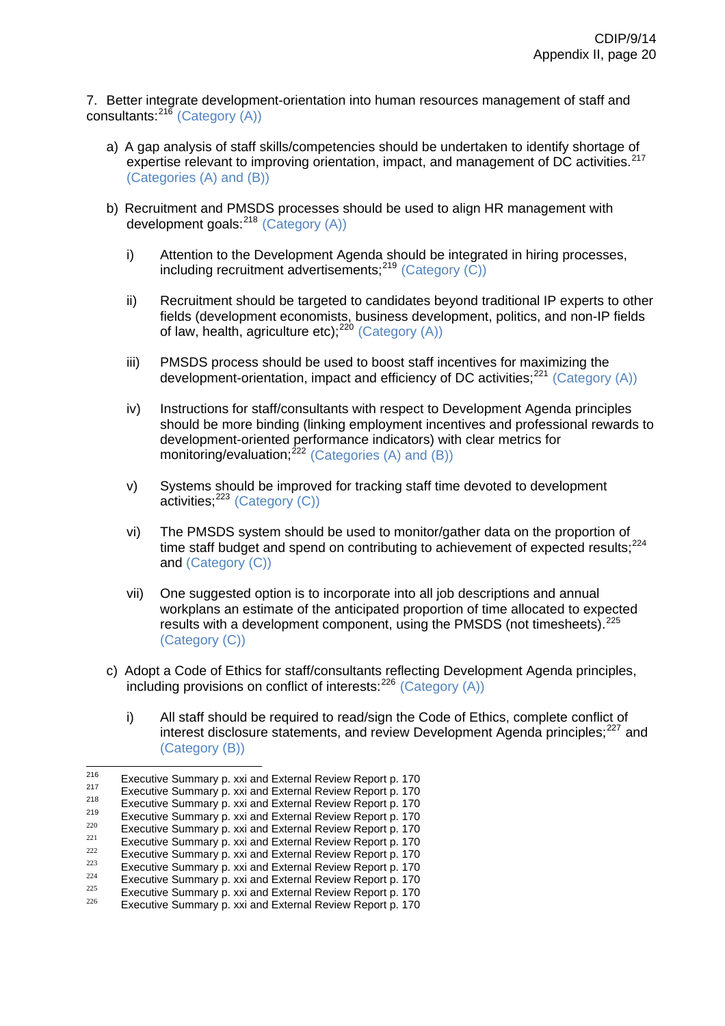7. Better integrate development-orientation into human resources management of staff and consultants: $^{216}$  $^{216}$  $^{216}$  (Category (A))

- a) A gap analysis of staff skills/competencies should be undertaken to identify shortage of expertise relevant to improving orientation, impact, and management of DC activities.<sup>[217](#page-57-1)</sup> (Categories (A) and (B))
- b) Recruitment and PMSDS processes should be used to align HR management with development goals:  $218$  (Category (A))
	- i) Attention to the Development Agenda should be integrated in hiring processes, including recruitment advertisements;  $219$  (Category (C))
	- ii) Recruitment should be targeted to candidates beyond traditional IP experts to other fields (development economists, business development, politics, and non-IP fields of law, health, agriculture etc); $220$  (Category (A))
	- iii) PMSDS process should be used to boost staff incentives for maximizing the development-orientation, impact and efficiency of DC activities;  $^{221}$  $^{221}$  $^{221}$  (Category (A))
	- iv) Instructions for staff/consultants with respect to Development Agenda principles should be more binding (linking employment incentives and professional rewards to development-oriented performance indicators) with clear metrics for monitoring/evaluation; $^{222}$  $^{222}$  $^{222}$  (Categories (A) and (B))
	- v) Systems should be improved for tracking staff time devoted to development  $\arctivities$ ;  $^{223}$  $^{223}$  $^{223}$  (Category (C))
	- vi) The PMSDS system should be used to monitor/gather data on the proportion of time staff budget and spend on contributing to achievement of expected results;<sup>[224](#page-57-8)</sup> and (Category (C))
	- vii) One suggested option is to incorporate into all job descriptions and annual workplans an estimate of the anticipated proportion of time allocated to expected results with a development component, using the PMSDS (not timesheets).<sup>[225](#page-57-9)</sup> (Category (C))
- c) Adopt a Code of Ethics for staff/consultants reflecting Development Agenda principles, including provisions on conflict of interests: $^{226}$  $^{226}$  $^{226}$  (Category (A))
	- i) All staff should be required to read/sign the Code of Ethics, complete conflict of interest disclosure statements, and review Development Agenda principles:<sup>[227](#page-57-3)</sup> and (Category (B))

<span id="page-57-1"></span><span id="page-57-0"></span><sup>216</sup> 

<span id="page-57-2"></span>

Executive Summary p. [xxi](http://www.wipo.int/edocs/mdocs/mdocs/en/cdip_8/cdip_8_inf_1-annex1.doc) and External Review Report p. 170<br>
Executive Summary p. xxi and External Review Report p. 170<br>
Executive Summary p. xxi and External Review Report p. 170<br>
Executive Summary p. xxi and External Rev

<span id="page-57-5"></span><span id="page-57-4"></span><span id="page-57-3"></span>

<span id="page-57-6"></span>

<span id="page-57-8"></span><span id="page-57-7"></span>

<span id="page-57-9"></span>

<span id="page-57-10"></span>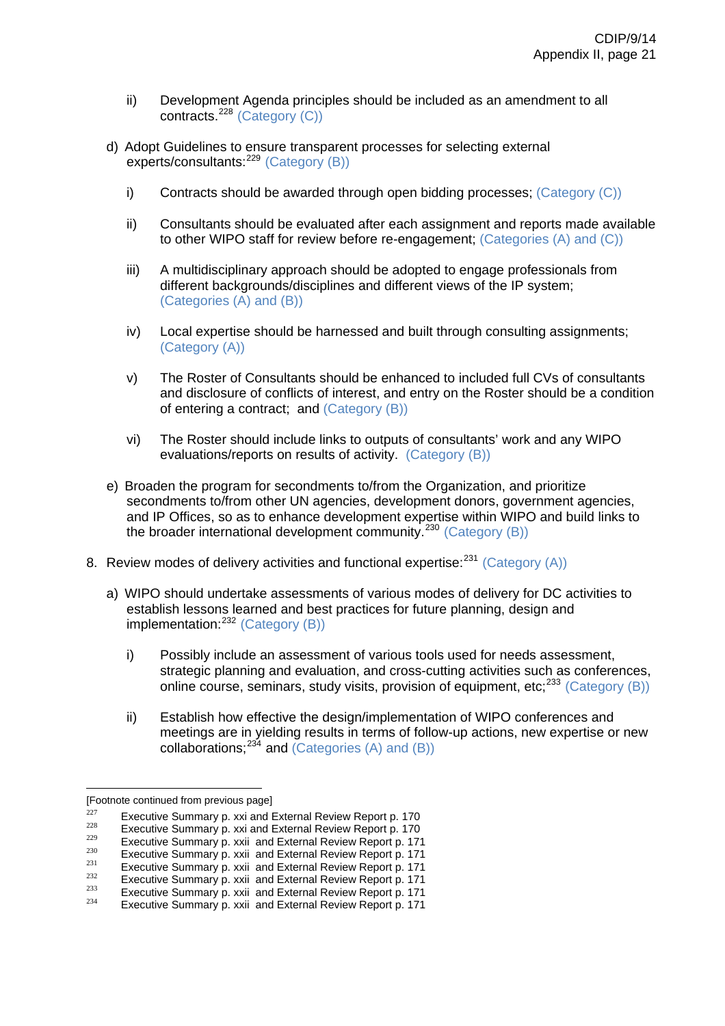- ii) Development Agenda principles should be included as an amendment to all contracts.[228](#page-58-0) (Category (C))
- d) Adopt Guidelines to ensure transparent processes for selecting external experts/consultants:<sup>[229](#page-58-1)</sup> (Category (B))
	- i) Contracts should be awarded through open bidding processes; (Category (C))
	- ii) Consultants should be evaluated after each assignment and reports made available to other WIPO staff for review before re-engagement; (Categories (A) and (C))
	- iii) A multidisciplinary approach should be adopted to engage professionals from different backgrounds/disciplines and different views of the IP system; (Categories (A) and (B))
	- iv) Local expertise should be harnessed and built through consulting assignments; (Category (A))
	- v) The Roster of Consultants should be enhanced to included full CVs of consultants and disclosure of conflicts of interest, and entry on the Roster should be a condition of entering a contract; and (Category (B))
	- vi) The Roster should include links to outputs of consultants' work and any WIPO evaluations/reports on results of activity. (Category (B))
- e) Broaden the program for secondments to/from the Organization, and prioritize secondments to/from other UN agencies, development donors, government agencies, and IP Offices, so as to enhance development expertise within WIPO and build links to the broader international development community.<sup>[230](#page-58-2)</sup> (Category  $(B)$ )
- 8. Review modes of delivery activities and functional expertise:  $231$  (Category (A))
	- a) WIPO should undertake assessments of various modes of delivery for DC activities to establish lessons learned and best practices for future planning, design and  $implementation: <sup>232</sup> (Category (B))$  $implementation: <sup>232</sup> (Category (B))$  $implementation: <sup>232</sup> (Category (B))$ 
		- i) Possibly include an assessment of various tools used for needs assessment, strategic planning and evaluation, and cross-cutting activities such as conferences, online course, seminars, study visits, provision of equipment, etc;<sup>[233](#page-58-5)</sup> (Category (B))
		- ii) Establish how effective the design/implementation of WIPO conferences and meetings are in yielding results in terms of follow-up actions, new expertise or new collaborations;<sup>[234](#page-58-6)</sup> and (Categories (A) and (B))

<sup>[</sup>Footnote continued from previous page]

<span id="page-58-1"></span>

<span id="page-58-2"></span>

<span id="page-58-4"></span><span id="page-58-3"></span>

<span id="page-58-6"></span><span id="page-58-5"></span>

<span id="page-58-0"></span>Executive Summary p. [xxi](http://www.wipo.int/edocs/mdocs/mdocs/en/cdip_8/cdip_8_inf_1-annex1.doc) and External Review Report p. 170<br>Executive Summary p. xxi and External Review Report p. 170<br>Executive Summary p[. xxii](http://www.wipo.int/edocs/mdocs/mdocs/en/cdip_8/cdip_8_inf_1-annex1.doc) and External Review Report p. [171](http://www.wipo.int/edocs/mdocs/mdocs/en/cdip_8/cdip_8_inf_1-annex1.doc)<br>Executive Summary p. xxii and External Revi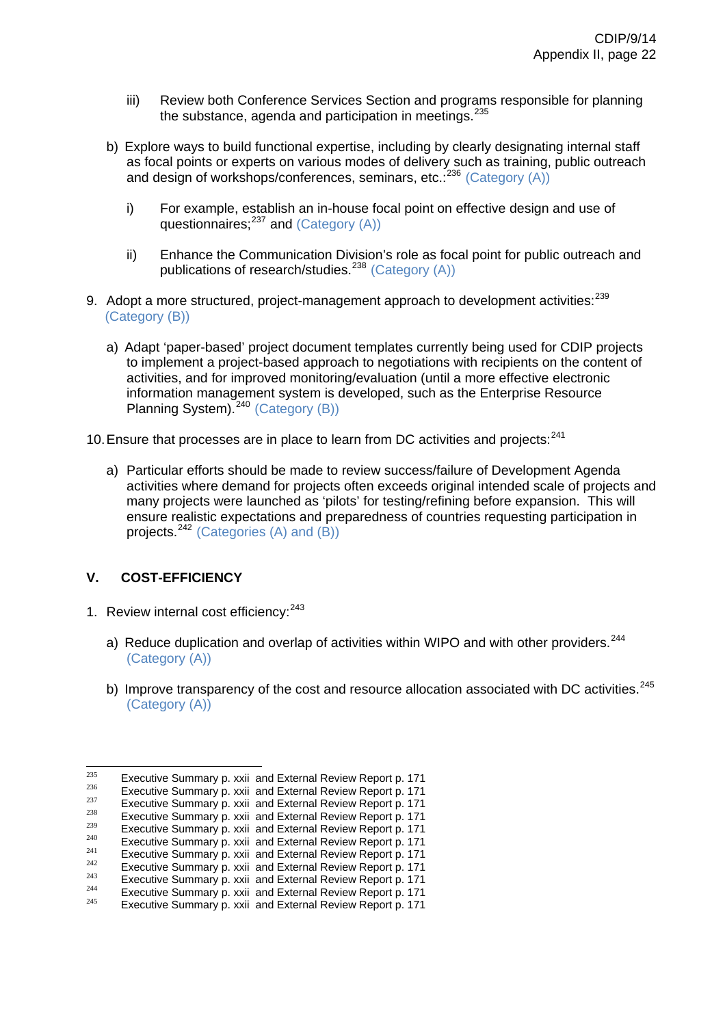- iii) Review both Conference Services Section and programs responsible for planning the substance, agenda and participation in meetings.<sup>[235](#page-59-0)</sup>
- b) Explore ways to build functional expertise, including by clearly designating internal staff as focal points or experts on various modes of delivery such as training, public outreach and design of workshops/conferences, seminars, etc.<sup>[236](#page-59-1)</sup> (Category (A))
	- i) For example, establish an in-house focal point on effective design and use of questionnaires; $^{237}$  $^{237}$  $^{237}$  and (Category (A))
	- ii) Enhance the Communication Division's role as focal point for public outreach and publications of research/studies.<sup>[238](#page-59-3)</sup> (Category  $(A)$ )
- 9. Adopt a more structured, project-management approach to development activities:<sup>[239](#page-59-4)</sup> (Category (B))
	- a) Adapt 'paper-based' project document templates currently being used for CDIP projects to implement a project-based approach to negotiations with recipients on the content of activities, and for improved monitoring/evaluation (until a more effective electronic information management system is developed, such as the Enterprise Resource Planning System).<sup>[240](#page-59-5)</sup> (Category (B))
- 10. Ensure that processes are in place to learn from DC activities and projects: $^{241}$  $^{241}$  $^{241}$ 
	- a) Particular efforts should be made to review success/failure of Development Agenda activities where demand for projects often exceeds original intended scale of projects and many projects were launched as 'pilots' for testing/refining before expansion. This will ensure realistic expectations and preparedness of countries requesting participation in projects. $242$  (Categories (A) and (B))

# **V. COST-EFFICIENCY**

- 1. Review internal cost efficiency: <sup>[243](#page-59-8)</sup>
	- a) Reduce duplication and overlap of activities within WIPO and with other providers.<sup>[244](#page-59-9)</sup> (Category (A))
	- b) Improve transparency of the cost and resource allocation associated with DC activities.  $245$ (Category (A))

<span id="page-59-1"></span><span id="page-59-0"></span> $235$ 

<span id="page-59-2"></span>

<span id="page-59-4"></span><span id="page-59-3"></span>

Executive Summary p[. xxii](http://www.wipo.int/edocs/mdocs/mdocs/en/cdip_8/cdip_8_inf_1-annex1.doc) and External Review Report p. 171<br>
Executive Summary p. xxii and External Review Report p. 171<br>
Executive Summary p. xxii and External Review Report p. 171<br>
Executive Summary p. xxii and External

<span id="page-59-6"></span><span id="page-59-5"></span>

<span id="page-59-7"></span>

<span id="page-59-10"></span><span id="page-59-9"></span><span id="page-59-8"></span>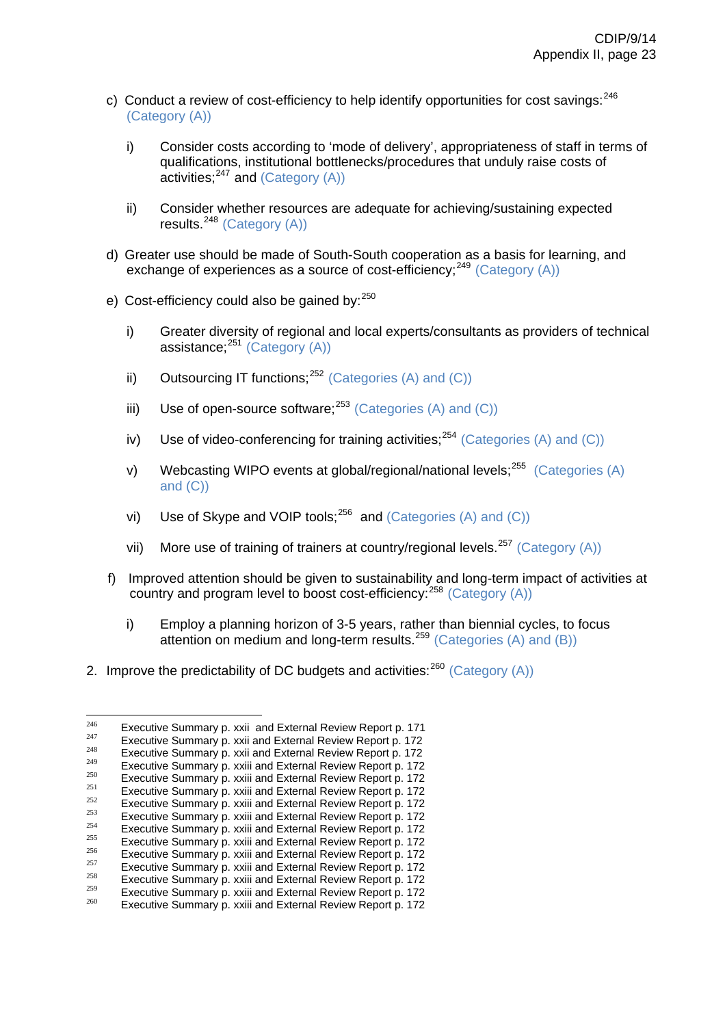- c) Conduct a review of cost-efficiency to help identify opportunities for cost savings: <sup>[246](#page-60-0)</sup> (Category (A))
	- i) Consider costs according to 'mode of delivery', appropriateness of staff in terms of qualifications, institutional bottlenecks/procedures that unduly raise costs of activities: $247$  and (Category (A))
	- ii) Consider whether resources are adequate for achieving/sustaining expected results. $248$  (Category (A))
- d) Greater use should be made of South-South cooperation as a basis for learning, and exchange of experiences as a source of cost-efficiency;  $249$  (Category (A))
- e) Cost-efficiency could also be gained by:  $250$ 
	- i) Greater diversity of regional and local experts/consultants as providers of technical assistance; $^{251}$  $^{251}$  $^{251}$  (Category (A))
	- ii) Outsourcing IT functions;<sup>[252](#page-60-6)</sup> (Categories (A) and (C))
	- iii) Use of open-source software;  $253$  (Categories (A) and (C))
	- iv) Use of video-conferencing for training activities:  $254$  (Categories (A) and (C))
	- v) Webcasting WIPO events at global/regional/national levels;  $255$  (Categories (A) and (C))
	- vi) Use of Skype and VOIP tools;<sup>[256](#page-60-10)</sup> and (Categories (A) and (C))
	- vii) More use of training of trainers at country/regional levels.<sup>[257](#page-60-11)</sup> (Category (A))
- f) Improved attention should be given to sustainability and long-term impact of activities at country and program level to boost cost-efficiency:<sup>[258](#page-60-12)</sup> (Category (A))
	- i) Employ a planning horizon of 3-5 years, rather than biennial cycles, to focus attention on medium and long-term results.<sup>[259](#page-60-13)</sup> (Categories (A) and (B))
- 2. Improve the predictability of DC budgets and activities:  $^{260}$  $^{260}$  $^{260}$  (Category (A))

<span id="page-60-0"></span><sup>246</sup> Executive Summary p[. xxii](http://www.wipo.int/edocs/mdocs/mdocs/en/cdip_8/cdip_8_inf_1-annex1.doc) and External Review Report p. 171<br>
Executive Summary p. xxii and External Review Report p. 172<br>
<sup>248</sup><br>
Executive Summary p. xxii and External Review Report p. 172<br>
Executive Summary p. [xxiii](http://www.wipo.int/edocs/mdocs/mdocs/en/cdip_8/cdip_8_inf_1-annex1.doc) and E

<span id="page-60-1"></span>

<span id="page-60-2"></span>

<span id="page-60-3"></span>

<span id="page-60-4"></span>

<span id="page-60-6"></span><span id="page-60-5"></span>

<span id="page-60-8"></span><span id="page-60-7"></span>

<span id="page-60-9"></span>

<span id="page-60-10"></span>

<span id="page-60-11"></span>

<span id="page-60-12"></span>

<span id="page-60-14"></span><span id="page-60-13"></span>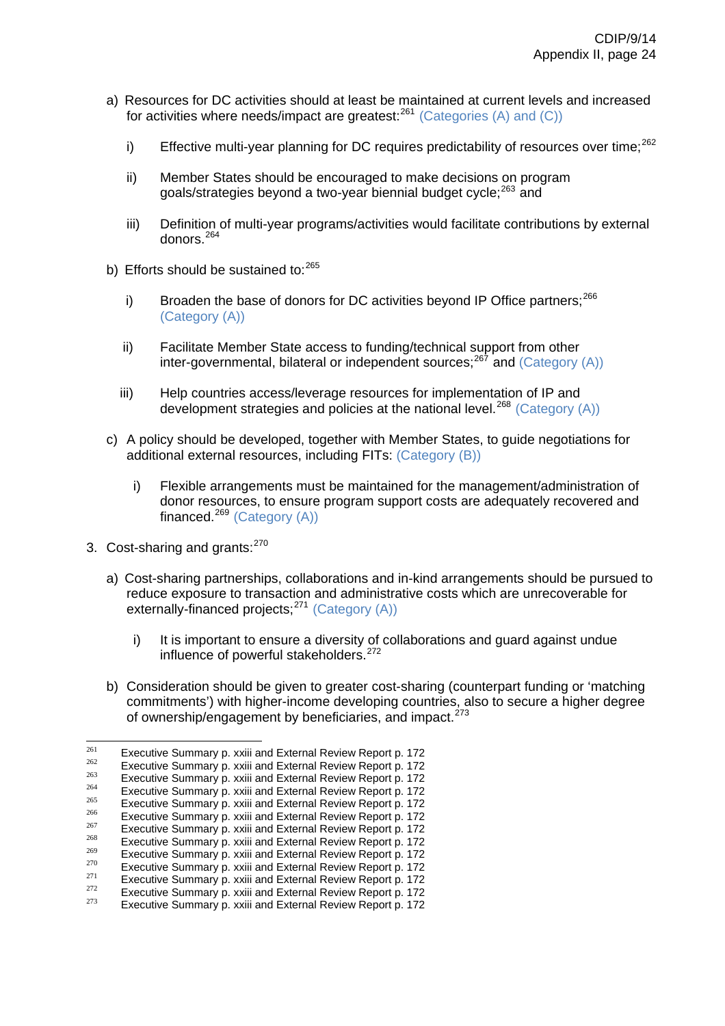- a) Resources for DC activities should at least be maintained at current levels and increased for activities where needs/impact are greatest: $^{261}$  $^{261}$  $^{261}$  (Categories (A) and (C))
	- i) Effective multi-year planning for DC requires predictability of resources over time;<sup>[262](#page-61-1)</sup>
	- ii) Member States should be encouraged to make decisions on program goals/strategies beyond a two-year biennial budget cycle;<sup>[263](#page-61-2)</sup> and
	- iii) Definition of multi-year programs/activities would facilitate contributions by external donors.<sup>[264](#page-61-3)</sup>
- b) Efforts should be sustained to:<sup>[265](#page-61-4)</sup>
	- i) Broaden the base of donors for DC activities beyond IP Office partners;  $266$ (Category (A))
	- ii) Facilitate Member State access to funding/technical support from other inter-governmental, bilateral or independent sources;<sup>[267](#page-61-6)</sup> and (Category (A))
	- iii) Help countries access/leverage resources for implementation of IP and development strategies and policies at the national level.<sup>[268](#page-61-7)</sup> (Category (A))
- c) A policy should be developed, together with Member States, to guide negotiations for additional external resources, including FITs: (Category (B))
	- i) Flexible arrangements must be maintained for the management/administration of donor resources, to ensure program support costs are adequately recovered and financed. $^{269}$  $^{269}$  $^{269}$  (Category (A))
- 3. Cost-sharing and grants:<sup>[270](#page-61-9)</sup>
	- a) Cost-sharing partnerships, collaborations and in-kind arrangements should be pursued to reduce exposure to transaction and administrative costs which are unrecoverable for externally-financed projects;<sup>[271](#page-61-10)</sup> (Category (A))
		- i) It is important to ensure a diversity of collaborations and guard against undue influence of powerful stakeholders.<sup>[272](#page-61-11)</sup>
	- b) Consideration should be given to greater cost-sharing (counterpart funding or 'matching commitments') with higher-income developing countries, also to secure a higher degree of ownership/engagement by beneficiaries, and impact.<sup>[273](#page-61-12)</sup>

<span id="page-61-1"></span><span id="page-61-0"></span><sup>261</sup> 

Executive Summary p. [xxiii](http://www.wipo.int/edocs/mdocs/mdocs/en/cdip_8/cdip_8_inf_1-annex1.doc) and External Review Report p. 172<br>
Executive Summary p. xxiii and External Review Report p. 172<br>
Executive Summary p. xxiii and External Review Report p. 172<br>
Executive Summary p. xxiii and Exte

<span id="page-61-3"></span><span id="page-61-2"></span>

<span id="page-61-4"></span>

<span id="page-61-5"></span>

<span id="page-61-7"></span><span id="page-61-6"></span>

<span id="page-61-8"></span>

<span id="page-61-10"></span><span id="page-61-9"></span>

<span id="page-61-12"></span><span id="page-61-11"></span>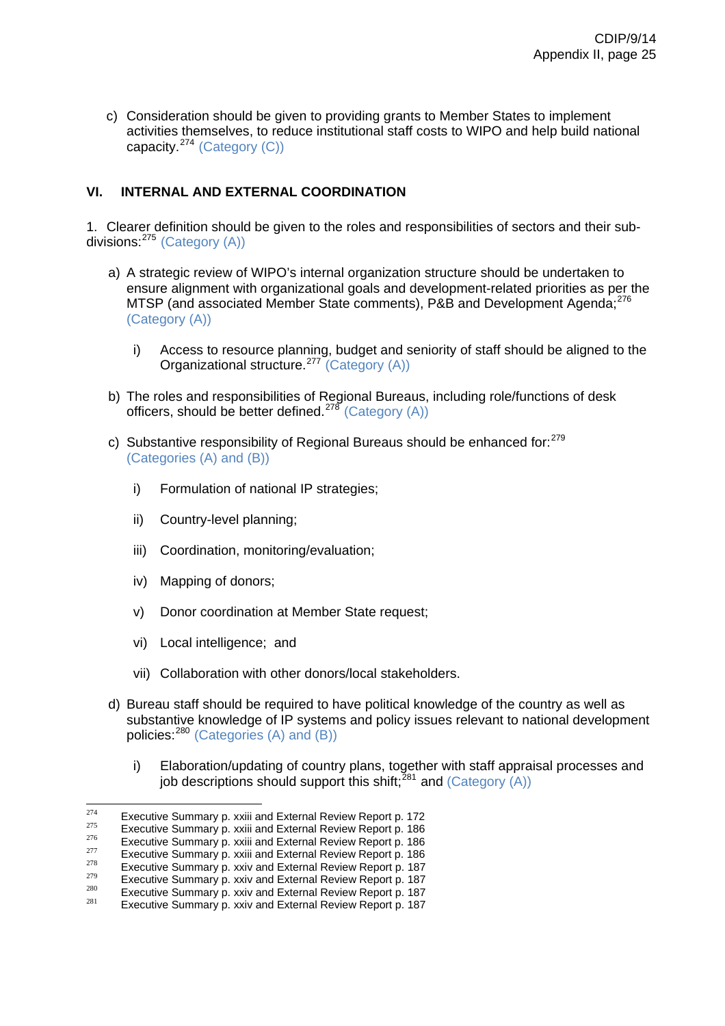c) Consideration should be given to providing grants to Member States to implement activities themselves, to reduce institutional staff costs to WIPO and help build national capacity.[274](#page-62-0) (Category (C))

# **VI. INTERNAL AND EXTERNAL COORDINATION**

1. Clearer definition should be given to the roles and responsibilities of sectors and their sub-divisions: <sup>[275](#page-62-1)</sup> (Category (A))

- a) A strategic review of WIPO's internal organization structure should be undertaken to ensure alignment with organizational goals and development-related priorities as per the MTSP (and associated Member State comments), P&B and Development Agenda:<sup>[276](#page-62-2)</sup> (Category (A))
	- i) Access to resource planning, budget and seniority of staff should be aligned to the Organizational structure.<sup>[277](#page-62-3)</sup> (Category (A))
- b) The roles and responsibilities of Regional Bureaus, including role/functions of desk officers, should be better defined.<sup>[278](#page-62-4)</sup> (Category (A))
- c) Substantive responsibility of Regional Bureaus should be enhanced for: $279$ (Categories (A) and (B))
	- i) Formulation of national IP strategies;
	- ii) Country-level planning;
	- iii) Coordination, monitoring/evaluation;
	- iv) Mapping of donors;
	- v) Donor coordination at Member State request;
	- vi) Local intelligence; and
	- vii) Collaboration with other donors/local stakeholders.
- d) Bureau staff should be required to have political knowledge of the country as well as substantive knowledge of IP systems and policy issues relevant to national development policies:[280](#page-62-6) (Categories (A) and (B))
	- i) Elaboration/updating of country plans, together with staff appraisal processes and job descriptions should support this shift;<sup> $281$ </sup> and (Category (A))

 $274$ 

<span id="page-62-2"></span>

<span id="page-62-3"></span>

<span id="page-62-5"></span><span id="page-62-4"></span>

<span id="page-62-1"></span><span id="page-62-0"></span><sup>&</sup>lt;sup>274</sup> Executive Summary p. [xxiii](http://www.wipo.int/edocs/mdocs/mdocs/en/cdip_8/cdip_8_inf_1-annex1.doc) and External Review Report p. 172<br>
<sup>275</sup> Executive Summary p. xxiii and External Review Report p. 186<br>
Executive Summary p. xxiii and External Review Report p. 186<br>
Executive Summary p. xx

<span id="page-62-7"></span><span id="page-62-6"></span>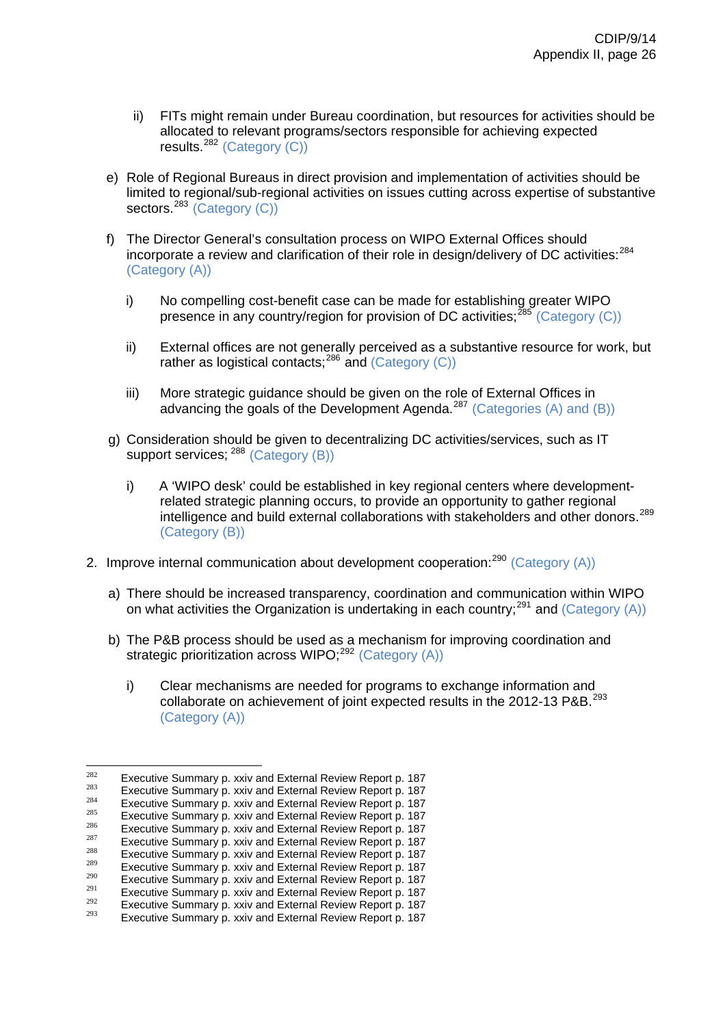- ii) FITs might remain under Bureau coordination, but resources for activities should be allocated to relevant programs/sectors responsible for achieving expected results.[282](#page-63-0) (Category (C))
- e) Role of Regional Bureaus in direct provision and implementation of activities should be limited to regional/sub-regional activities on issues cutting across expertise of substantive sectors.<sup>[283](#page-63-1)</sup> (Category (C))
- f) The Director General's consultation process on WIPO External Offices should incorporate a review and clarification of their role in design/delivery of DC activities:<sup>[284](#page-63-2)</sup> (Category (A))
	- i) No compelling cost-benefit case can be made for establishing greater WIPO presence in any country/region for provision of DC activities:  $^{285}$  $^{285}$  $^{285}$  (Category (C))
	- ii) External offices are not generally perceived as a substantive resource for work, but rather as logistical contacts;[286](#page-63-4) and (Category (C))
	- iii) More strategic guidance should be given on the role of External Offices in advancing the goals of the Development Agenda.<sup>[287](#page-63-5)</sup> (Categories (A) and (B))
- g) Consideration should be given to decentralizing DC activities/services, such as IT support services; <sup>[288](#page-63-6)</sup> (Category (B))
	- i) A 'WIPO desk' could be established in key regional centers where developmentrelated strategic planning occurs, to provide an opportunity to gather regional intelligence and build external collaborations with stakeholders and other donors.[289](#page-63-7) (Category (B))
- 2. Improve internal communication about development cooperation: $^{290}$  $^{290}$  $^{290}$  (Category (A))
	- a) There should be increased transparency, coordination and communication within WIPO on what activities the Organization is undertaking in each country;<sup>[291](#page-63-9)</sup> and (Category (A))
	- b) The P&B process should be used as a mechanism for improving coordination and strategic prioritization across WIPO; $^{292}$  $^{292}$  $^{292}$  (Category (A))
		- i) Clear mechanisms are needed for programs to exchange information and collaborate on achievement of joint expected results in the 2012-13 P&B.<sup>[293](#page-63-11)</sup> (Category (A))

<span id="page-63-1"></span><span id="page-63-0"></span><sup>282</sup> 

<span id="page-63-2"></span>

Executive Summary p. xxiv and External Review Report p. 187<br>
Executive Summary p. xxiv and External Review Report p. 187<br>
Executive Summary p. xxiv and External Review Report p. 187<br>
Executive Summary p. xxiv and External

<span id="page-63-4"></span><span id="page-63-3"></span>

<span id="page-63-5"></span>

<span id="page-63-7"></span><span id="page-63-6"></span>

<span id="page-63-9"></span><span id="page-63-8"></span>

<span id="page-63-10"></span>

<span id="page-63-11"></span>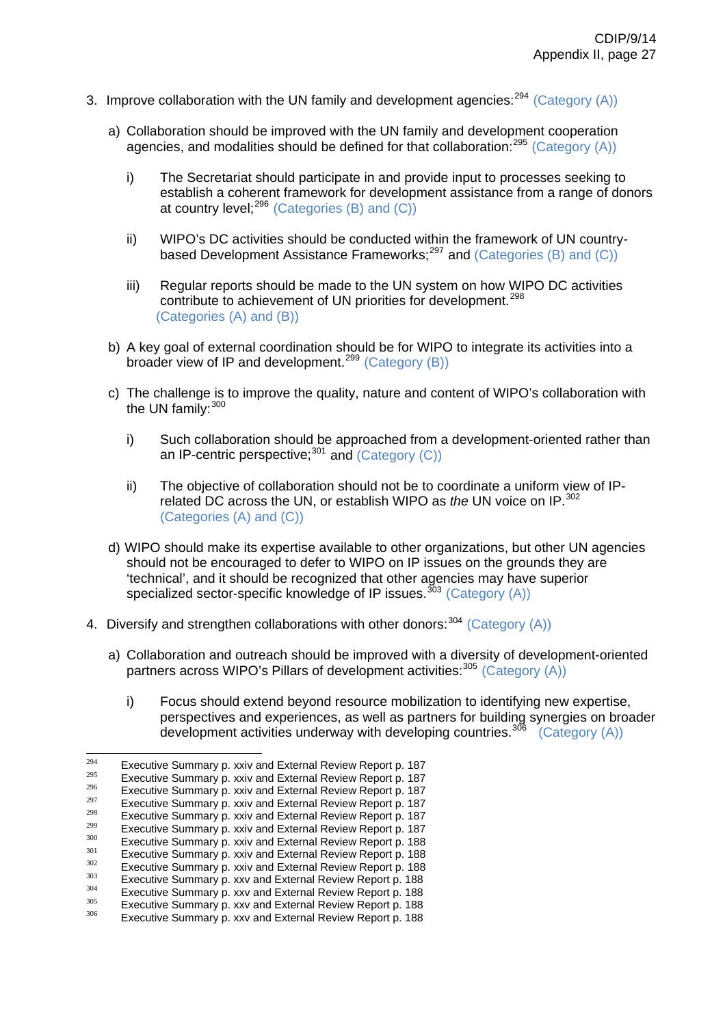- 3. Improve collaboration with the UN family and development agencies:  $294$  (Category (A))
	- a) Collaboration should be improved with the UN family and development cooperation agencies, and modalities should be defined for that collaboration:  $295$  (Category (A))
		- i) The Secretariat should participate in and provide input to processes seeking to establish a coherent framework for development assistance from a range of donors at country level; $^{296}$  $^{296}$  $^{296}$  (Categories (B) and (C))
		- ii) WIPO's DC activities should be conducted within the framework of UN country-based Development Assistance Frameworks;<sup>[297](#page-64-3)</sup> and (Categories (B) and (C))
		- iii) Regular reports should be made to the UN system on how WIPO DC activities contribute to achievement of UN priorities for development.<sup>[298](#page-64-4)</sup> (Categories (A) and (B))
	- b) A key goal of external coordination should be for WIPO to integrate its activities into a broader view of IP and development.<sup>[299](#page-64-5)</sup> (Category (B))
	- c) The challenge is to improve the quality, nature and content of WIPO's collaboration with the UN family: [300](#page-64-6)
		- i) Such collaboration should be approached from a development-oriented rather than an IP-centric perspective; $301$  and (Category (C))
		- ii) The objective of collaboration should not be to coordinate a uniform view of IPrelated DC across the UN, or establish WIPO as *the* UN voice on IP.<sup>[302](#page-64-8)</sup> (Categories (A) and (C))
	- d) WIPO should make its expertise available to other organizations, but other UN agencies should not be encouraged to defer to WIPO on IP issues on the grounds they are 'technical', and it should be recognized that other agencies may have superior specialized sector-specific knowledge of IP issues.<sup>[303](#page-64-9)</sup> (Category  $(A)$ )
- 4. Diversify and strengthen collaborations with other donors:  $304$  (Category (A))
	- a) Collaboration and outreach should be improved with a diversity of development-oriented partners across WIPO's Pillars of development activities:<sup>[305](#page-64-11)</sup> (Category (A))
		- i) Focus should extend beyond resource mobilization to identifying new expertise, perspectives and experiences, as well as partners for building synergies on broader development activities underway with developing countries.<sup>[306](#page-64-12)</sup> (Category (A))

<span id="page-64-0"></span><sup>294</sup> 

<span id="page-64-2"></span><span id="page-64-1"></span>

<span id="page-64-3"></span>

Executive Summary p. xxiv and External Review Report p. 187<br>
<sup>295</sup><br>
<sup>295</sup><br>
Executive Summary p. xxiv and External Review Report p. 187<br>
<sup>296</sup><br>
Executive Summary p. xxiv and External Review Report p. 187<br>
Executive Summary

<span id="page-64-6"></span><span id="page-64-5"></span><span id="page-64-4"></span>

<span id="page-64-7"></span>

<span id="page-64-9"></span><span id="page-64-8"></span>

<span id="page-64-10"></span>

<span id="page-64-11"></span>

<span id="page-64-12"></span>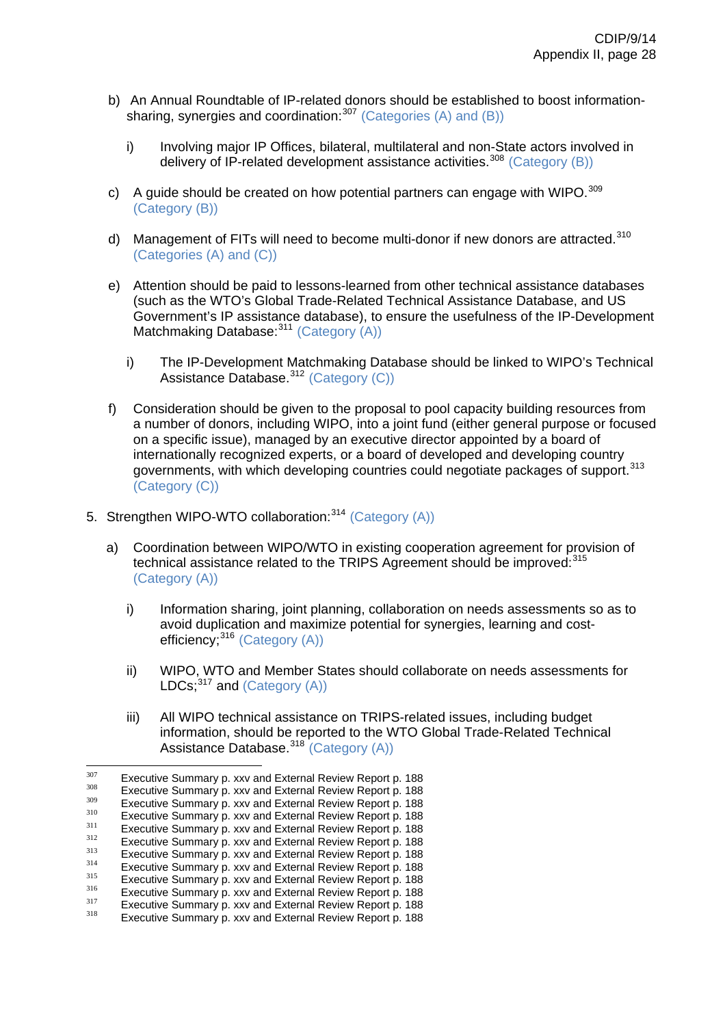- b) An Annual Roundtable of IP-related donors should be established to boost informationsharing, synergies and coordination: $307$  (Categories (A) and (B))
	- i) Involving major IP Offices, bilateral, multilateral and non-State actors involved in delivery of IP-related development assistance activities.<sup>[308](#page-65-1)</sup> (Category (B))
- c) A guide should be created on how potential partners can engage with WIPO.  $309$ (Category (B))
- d) Management of FITs will need to become multi-donor if new donors are attracted.<sup>[310](#page-65-3)</sup> (Categories (A) and (C))
- e) Attention should be paid to lessons-learned from other technical assistance databases (such as the WTO's Global Trade-Related Technical Assistance Database, and US Government's IP assistance database), to ensure the usefulness of the IP-Development Matchmaking Database: <sup>[311](#page-65-4)</sup> (Category (A))
	- i) The IP-Development Matchmaking Database should be linked to WIPO's Technical Assistance Database.<sup>[312](#page-65-5)</sup> (Category (C))
- f) Consideration should be given to the proposal to pool capacity building resources from a number of donors, including WIPO, into a joint fund (either general purpose or focused on a specific issue), managed by an executive director appointed by a board of internationally recognized experts, or a board of developed and developing country governments, with which developing countries could negotiate packages of support.<sup>[313](#page-65-6)</sup> (Category (C))
- 5. Strengthen WIPO-WTO collaboration: [314](#page-65-7) (Category (A))
	- a) Coordination between WIPO/WTO in existing cooperation agreement for provision of technical assistance related to the TRIPS Agreement should be improved:[315](#page-65-8) (Category (A))
		- i) Information sharing, joint planning, collaboration on needs assessments so as to avoid duplication and maximize potential for synergies, learning and cost-efficiency;<sup>[316](#page-65-9)</sup> (Category (A))
		- ii) WIPO, WTO and Member States should collaborate on needs assessments for LDCs; $^{317}$  $^{317}$  $^{317}$  and (Category (A))
		- iii) All WIPO technical assistance on TRIPS-related issues, including budget information, should be reported to the WTO Global Trade-Related Technical Assistance Database.<sup>[318](#page-65-11)</sup> (Category (A))

<span id="page-65-1"></span><span id="page-65-0"></span><sup>307</sup> 

<span id="page-65-2"></span>

Executive Summary p. xxv and External Review Report p. 188<br>
Executive Summary p. xxv and External Review Report p. 188<br>
Executive Summary p. xxv and External Review Report p. 188<br>
Executive Summary p. xxv and External Revi

<span id="page-65-5"></span><span id="page-65-4"></span><span id="page-65-3"></span>

<span id="page-65-7"></span><span id="page-65-6"></span>

<span id="page-65-9"></span><span id="page-65-8"></span>

<span id="page-65-11"></span><span id="page-65-10"></span>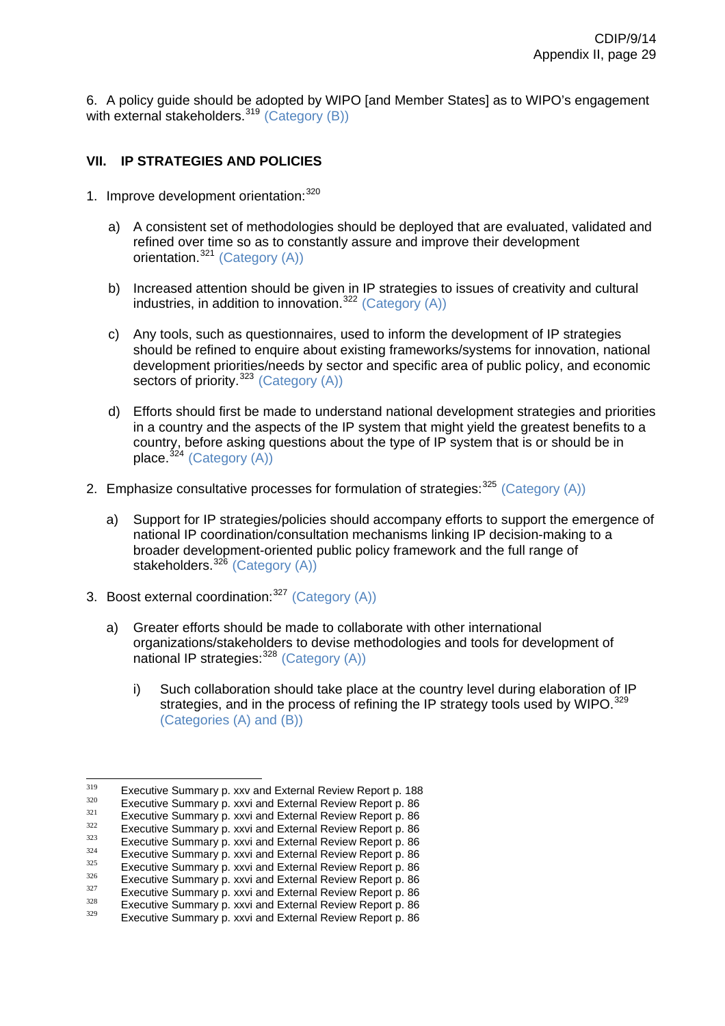6. A policy guide should be adopted by WIPO [and Member States] as to WIPO's engagement with external stakeholders.<sup>[319](#page-66-0)</sup> (Category (B))

# **VII. IP STRATEGIES AND POLICIES**

- 1. Improve development orientation: [320](#page-66-1)
	- a) A consistent set of methodologies should be deployed that are evaluated, validated and refined over time so as to constantly assure and improve their development orientation.<sup>[321](#page-66-2)</sup> (Category (A))
	- b) Increased attention should be given in IP strategies to issues of creativity and cultural industries, in addition to innovation.<sup>[322](#page-66-3)</sup> (Category  $(A)$ )
	- c) Any tools, such as questionnaires, used to inform the development of IP strategies should be refined to enquire about existing frameworks/systems for innovation, national development priorities/needs by sector and specific area of public policy, and economic sectors of priority.<sup>[323](#page-66-4)</sup> (Category (A))
	- d) Efforts should first be made to understand national development strategies and priorities in a country and the aspects of the IP system that might yield the greatest benefits to a country, before asking questions about the type of IP system that is or should be in place.  $324$  (Category (A))
- 2. Emphasize consultative processes for formulation of strategies:  $325$  (Category (A))
	- a) Support for IP strategies/policies should accompany efforts to support the emergence of national IP coordination/consultation mechanisms linking IP decision-making to a broader development-oriented public policy framework and the full range of stakeholders.<sup>[326](#page-66-7)</sup> (Category (A))
- 3. Boost external coordination:<sup>[327](#page-66-8)</sup> (Category (A))
	- a) Greater efforts should be made to collaborate with other international organizations/stakeholders to devise methodologies and tools for development of national IP strategies:<sup>[328](#page-66-9)</sup> (Category (A))
		- i) Such collaboration should take place at the country level during elaboration of IP strategies, and in the process of refining the IP strategy tools used by WIPO.<sup>[329](#page-66-10)</sup> (Categories (A) and (B))

<span id="page-66-1"></span><span id="page-66-0"></span><sup>319</sup> 

Executive Summary p. xxv and External Review Report p. 188<br>
Executive Summary p. xxvi and External Review Report p. 86<br>
Executive Summary p. xxvi and External Review Report p. 86<br>
Executive Summary p. xxvi and External Rev

<span id="page-66-2"></span>

<span id="page-66-4"></span><span id="page-66-3"></span>

<span id="page-66-5"></span>

<span id="page-66-7"></span><span id="page-66-6"></span>

<span id="page-66-8"></span>

<span id="page-66-10"></span><span id="page-66-9"></span>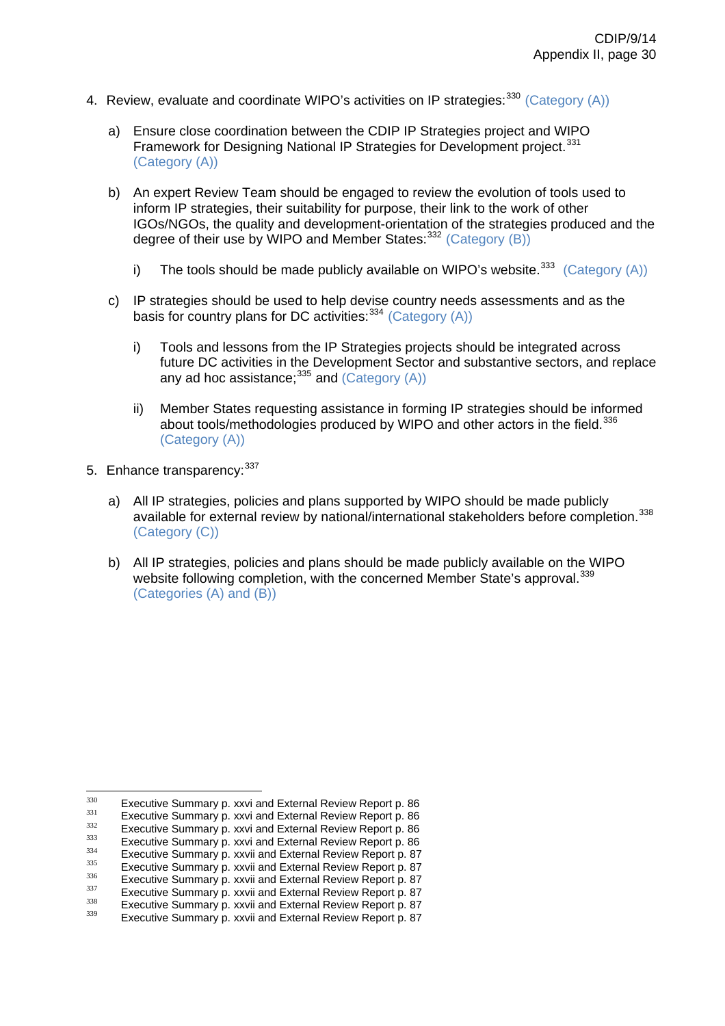- 4. Review, evaluate and coordinate WIPO's activities on IP strategies:  $330$  (Category (A))
	- a) Ensure close coordination between the CDIP IP Strategies project and WIPO Framework for Designing National IP Strategies for Development project.<sup>[331](#page-67-1)</sup> (Category (A))
	- b) An expert Review Team should be engaged to review the evolution of tools used to inform IP strategies, their suitability for purpose, their link to the work of other IGOs/NGOs, the quality and development-orientation of the strategies produced and the degree of their use by WIPO and Member States: [332](#page-67-2) (Category (B))
		- i) The tools should be made publicly available on WIPO's website.<sup>[333](#page-67-3)</sup> (Category (A))
	- c) IP strategies should be used to help devise country needs assessments and as the basis for country plans for DC activities:  $334$  (Category (A))
		- i) Tools and lessons from the IP Strategies projects should be integrated across future DC activities in the Development Sector and substantive sectors, and replace any ad hoc assistance; $335$  and (Category  $(A)$ )
		- ii) Member States requesting assistance in forming IP strategies should be informed about tools/methodologies produced by WIPO and other actors in the field.<sup>[336](#page-67-6)</sup> (Category (A))
- 5. Enhance transparency: [337](#page-67-7)
	- a) All IP strategies, policies and plans supported by WIPO should be made publicly available for external review by national/international stakeholders before completion.[338](#page-67-8) (Category (C))
	- b) All IP strategies, policies and plans should be made publicly available on the WIPO website following completion, with the concerned Member State's approval.<sup>[339](#page-67-9)</sup> (Categories (A) and (B))

<span id="page-67-1"></span><span id="page-67-0"></span><sup>330</sup> 

Executive Summary p. xxvi and External Review Report p. 86<br>Executive Summary p. xxvi and External Review Report p. 86<br>Executive Summary p. xxvi and External Review Report p. 86<br>Executive Summary p. xxvi and External Review

<span id="page-67-2"></span>

<span id="page-67-3"></span>

<span id="page-67-4"></span>

<span id="page-67-6"></span><span id="page-67-5"></span>

<span id="page-67-7"></span>

<span id="page-67-8"></span>

<span id="page-67-9"></span>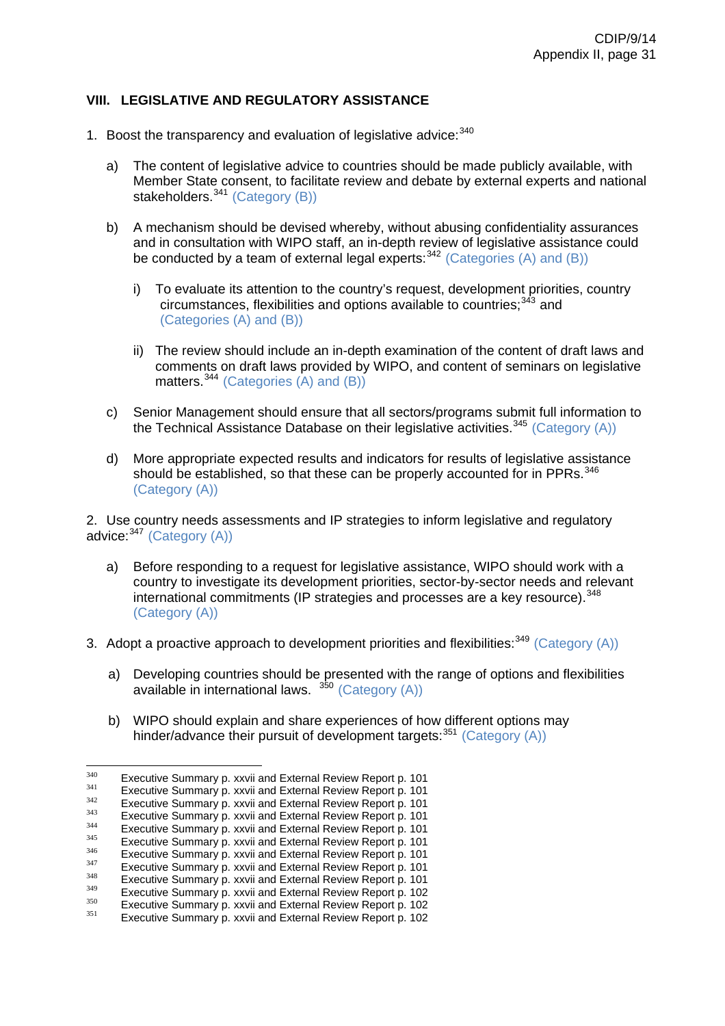# **VIII. LEGISLATIVE AND REGULATORY ASSISTANCE**

- 1. Boost the transparency and evaluation of legislative advice:  $340$ 
	- a) The content of legislative advice to countries should be made publicly available, with Member State consent, to facilitate review and debate by external experts and national stakeholders.<sup>[341](#page-68-1)</sup> (Category (B))
	- b) A mechanism should be devised whereby, without abusing confidentiality assurances and in consultation with WIPO staff, an in-depth review of legislative assistance could be conducted by a team of external legal experts:  $342$  (Categories (A) and (B))
		- i) To evaluate its attention to the country's request, development priorities, country circumstances, flexibilities and options available to countries: [343](#page-68-3) and (Categories (A) and (B))
		- ii) The review should include an in-depth examination of the content of draft laws and comments on draft laws provided by WIPO, and content of seminars on legislative matters.<sup>[344](#page-68-4)</sup> (Categories (A) and (B))
	- c) Senior Management should ensure that all sectors/programs submit full information to the Technical Assistance Database on their legislative activities.<sup>[345](#page-68-5)</sup> (Category (A))
	- d) More appropriate expected results and indicators for results of legislative assistance should be established, so that these can be properly accounted for in PPRs.<sup>[346](#page-68-6)</sup> (Category (A))

2. Use country needs assessments and IP strategies to inform legislative and regulatory advice:  $347$  (Category (A))

- a) Before responding to a request for legislative assistance, WIPO should work with a country to investigate its development priorities, sector-by-sector needs and relevant international commitments (IP strategies and processes are a key resource).<sup>[348](#page-68-8)</sup> (Category (A))
- 3. Adopt a proactive approach to development priorities and flexibilities:  $349$  (Category (A))
	- a) Developing countries should be presented with the range of options and flexibilities available in international laws. <sup>[350](#page-68-10)</sup> (Category (A))
	- b) WIPO should explain and share experiences of how different options may hinder/advance their pursuit of development targets:  $351$  (Category (A))

<span id="page-68-1"></span><span id="page-68-0"></span><sup>340</sup> 

Executive Summary p. xxvii and External Review Report p. 101<br>Executive Summary p. xxvii and External Review Report p. 101<br>Executive Summary p. xxvii and External Review Report p. 101<br>Executive Summary p. xxvii and External

<span id="page-68-3"></span><span id="page-68-2"></span>

<span id="page-68-5"></span><span id="page-68-4"></span>

<span id="page-68-6"></span>

<span id="page-68-8"></span><span id="page-68-7"></span>

<span id="page-68-10"></span><span id="page-68-9"></span>

<span id="page-68-11"></span>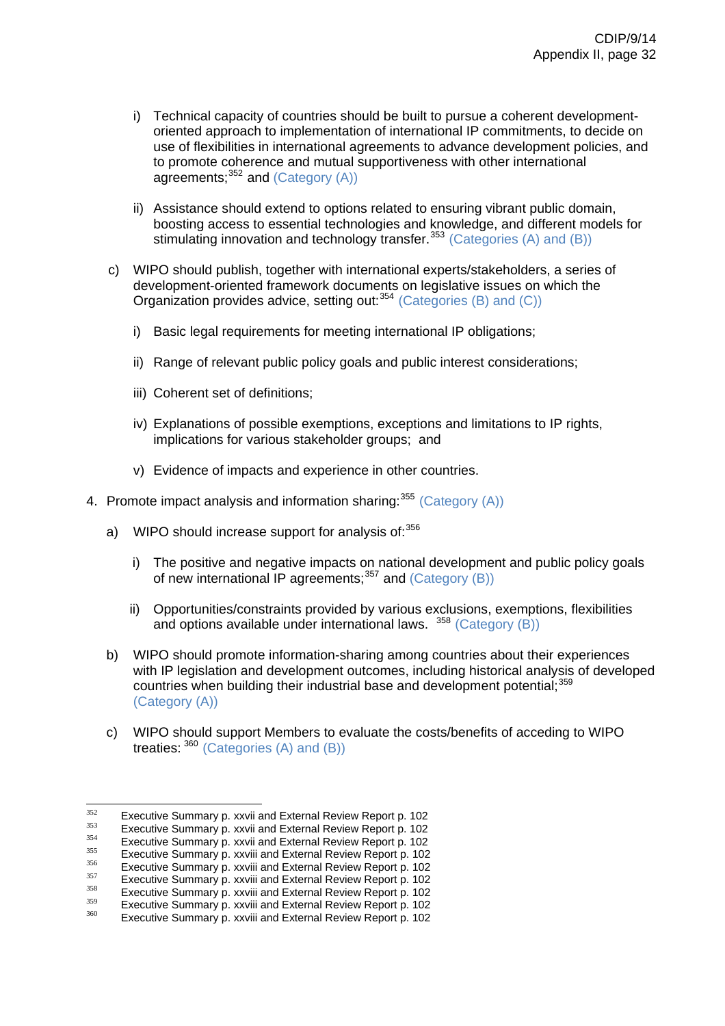- i) Technical capacity of countries should be built to pursue a coherent developmentoriented approach to implementation of international IP commitments, to decide on use of flexibilities in international agreements to advance development policies, and to promote coherence and mutual supportiveness with other international agreements: [352](#page-69-0) and (Category (A))
- ii) Assistance should extend to options related to ensuring vibrant public domain, boosting access to essential technologies and knowledge, and different models for stimulating innovation and technology transfer.<sup>[353](#page-69-1)</sup> (Categories (A) and (B))
- c) WIPO should publish, together with international experts/stakeholders, a series of development-oriented framework documents on legislative issues on which the Organization provides advice, setting out:[354](#page-69-2) (Categories (B) and (C))
	- i) Basic legal requirements for meeting international IP obligations;
	- ii) Range of relevant public policy goals and public interest considerations;
	- iii) Coherent set of definitions;
	- iv) Explanations of possible exemptions, exceptions and limitations to IP rights, implications for various stakeholder groups; and
	- v) Evidence of impacts and experience in other countries.
- 4. Promote impact analysis and information sharing:  $355$  (Category (A))
	- a) WIPO should increase support for analysis of: $356$ 
		- i) The positive and negative impacts on national development and public policy goals of new international IP agreements;[357](#page-69-5) and (Category (B))
		- ii) Opportunities/constraints provided by various exclusions, exemptions, flexibilities and options available under international laws.  $358$  (Category (B))
	- b) WIPO should promote information-sharing among countries about their experiences with IP legislation and development outcomes, including historical analysis of developed countries when building their industrial base and development potential;<sup>[359](#page-69-7)</sup> (Category (A))
	- c) WIPO should support Members to evaluate the costs/benefits of acceding to WIPO treaties:  $360$  (Categories (A) and (B))

 $352$ 

<span id="page-69-2"></span>

<span id="page-69-1"></span><span id="page-69-0"></span>Executive Summary p. xxvii and External Review Report p. 102<br>Executive Summary p. xxvii and External Review Report p. 102<br>Executive Summary p. xxvii and External Review Report p. 102<br>Executive Summary p. xxviii and Extern

<span id="page-69-5"></span><span id="page-69-4"></span><span id="page-69-3"></span>

<span id="page-69-6"></span>

<span id="page-69-7"></span>

<span id="page-69-8"></span>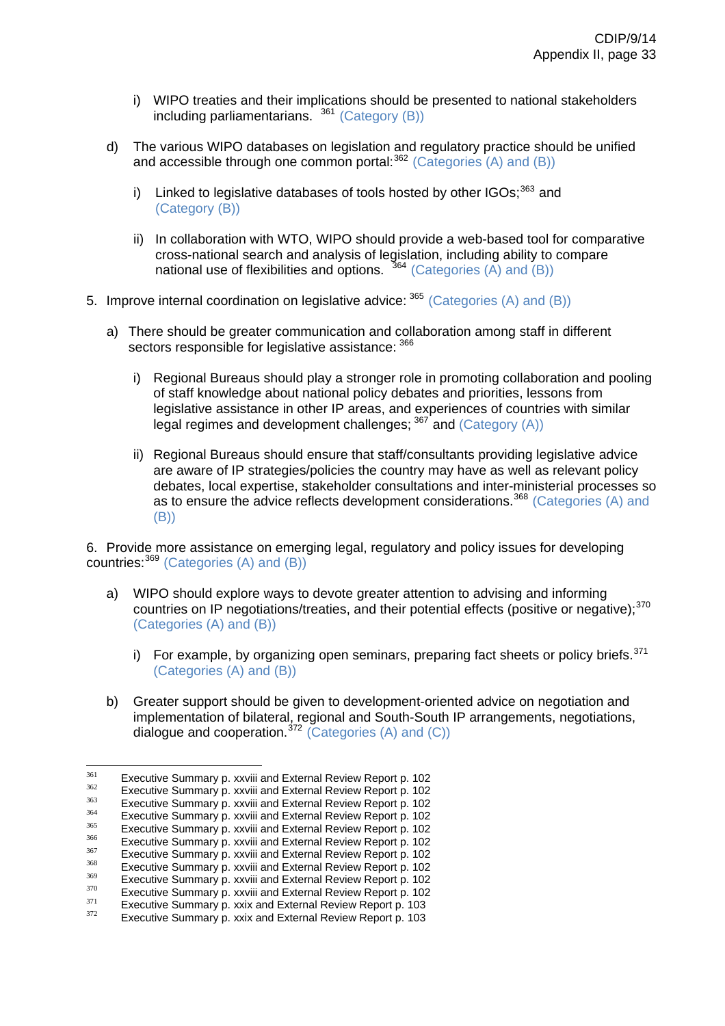- i) WIPO treaties and their implications should be presented to national stakeholders including parliamentarians.  $361$  (Category (B))
- d) The various WIPO databases on legislation and regulatory practice should be unified and accessible through one common portal:  $362$  (Categories (A) and (B))
	- i) Linked to legislative databases of tools hosted by other  $IGOs;^{363}$  $IGOs;^{363}$  $IGOs;^{363}$  and (Category (B))
	- ii) In collaboration with WTO, WIPO should provide a web-based tool for comparative cross-national search and analysis of legislation, including ability to compare national use of flexibilities and options.  $364$  (Categories (A) and (B))
- 5. Improve internal coordination on legislative advice: <sup>[365](#page-70-4)</sup> (Categories (A) and (B))
	- a) There should be greater communication and collaboration among staff in different sectors responsible for legislative assistance:  $366$ 
		- i) Regional Bureaus should play a stronger role in promoting collaboration and pooling of staff knowledge about national policy debates and priorities, lessons from legislative assistance in other IP areas, and experiences of countries with similar legal regimes and development challenges; [367](#page-70-6) and (Category (A))
		- ii) Regional Bureaus should ensure that staff/consultants providing legislative advice are aware of IP strategies/policies the country may have as well as relevant policy debates, local expertise, stakeholder consultations and inter-ministerial processes so as to ensure the advice reflects development considerations.<sup>[368](#page-70-7)</sup> (Categories (A) and (B))

6. Provide more assistance on emerging legal, regulatory and policy issues for developing countries:  $369$  (Categories (A) and (B))

- a) WIPO should explore ways to devote greater attention to advising and informing countries on IP negotiations/treaties, and their potential effects (positive or negative);<sup>[370](#page-70-9)</sup> (Categories (A) and (B))
	- i) For example, by organizing open seminars, preparing fact sheets or policy briefs.  $371$ (Categories (A) and (B))
- b) Greater support should be given to development-oriented advice on negotiation and implementation of bilateral, regional and South-South IP arrangements, negotiations, dialogue and cooperation.<sup>[372](#page-70-11)</sup> (Categories  $(A)$  and  $(C)$ )

<sup>361</sup> 

<span id="page-70-2"></span>

<span id="page-70-3"></span>

<span id="page-70-5"></span><span id="page-70-4"></span>

<span id="page-70-6"></span>

<span id="page-70-1"></span><span id="page-70-0"></span>Executive Summary p. xxviii and External Review Report p. 102<br>
Executive Summary p. xxviii and External Review Report p. 102<br>
Executive Summary p. xxviii and External Review Report p. 102<br>
Executive Summary p. xxviii and

<span id="page-70-9"></span><span id="page-70-8"></span><span id="page-70-7"></span>

<span id="page-70-10"></span>

<span id="page-70-11"></span>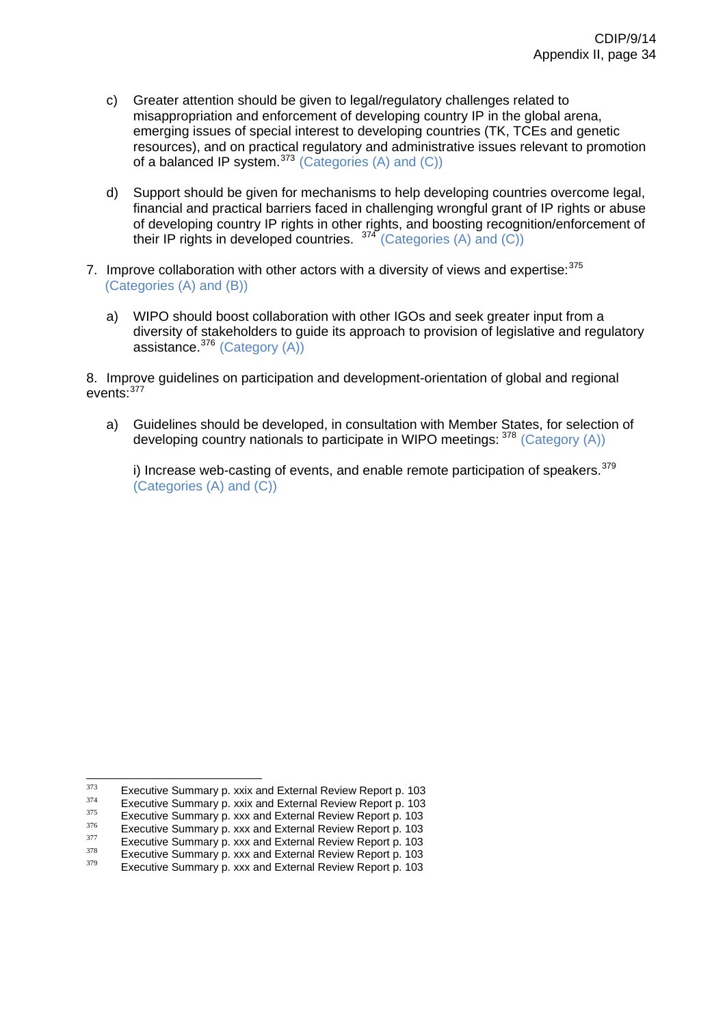- c) Greater attention should be given to legal/regulatory challenges related to misappropriation and enforcement of developing country IP in the global arena, emerging issues of special interest to developing countries (TK, TCEs and genetic resources), and on practical regulatory and administrative issues relevant to promotion of a balanced IP system. $373$  (Categories (A) and (C))
- d) Support should be given for mechanisms to help developing countries overcome legal, financial and practical barriers faced in challenging wrongful grant of IP rights or abuse of developing country IP rights in other rights, and boosting recognition/enforcement of their IP rights in developed countries. [374](#page-71-1) (Categories (A) and (C))
- 7. Improve collaboration with other actors with a diversity of views and expertise: [375](#page-71-2) (Categories (A) and (B))
	- a) WIPO should boost collaboration with other IGOs and seek greater input from a diversity of stakeholders to guide its approach to provision of legislative and regulatory assistance.[376](#page-71-3) (Category (A))

8. Improve guidelines on participation and development-orientation of global and regional events:[377](#page-71-4)

a) Guidelines should be developed, in consultation with Member States, for selection of developing country nationals to participate in WIPO meetings:  $378$  (Category (A))

i) Increase web-casting of events, and enable remote participation of speakers. $379$ (Categories (A) and (C))

<sup>373</sup> 

<span id="page-71-3"></span><span id="page-71-2"></span>

<span id="page-71-1"></span><span id="page-71-0"></span>Executive Summary p. xxix and External Review Report p. 103<br>Executive Summary p. xxix and External Review Report p. 103<br>Executive Summary p. xxx and External Review Report p. 103<br>Executive Summary p. xxx and External Revi

<span id="page-71-5"></span><span id="page-71-4"></span>

<span id="page-71-6"></span>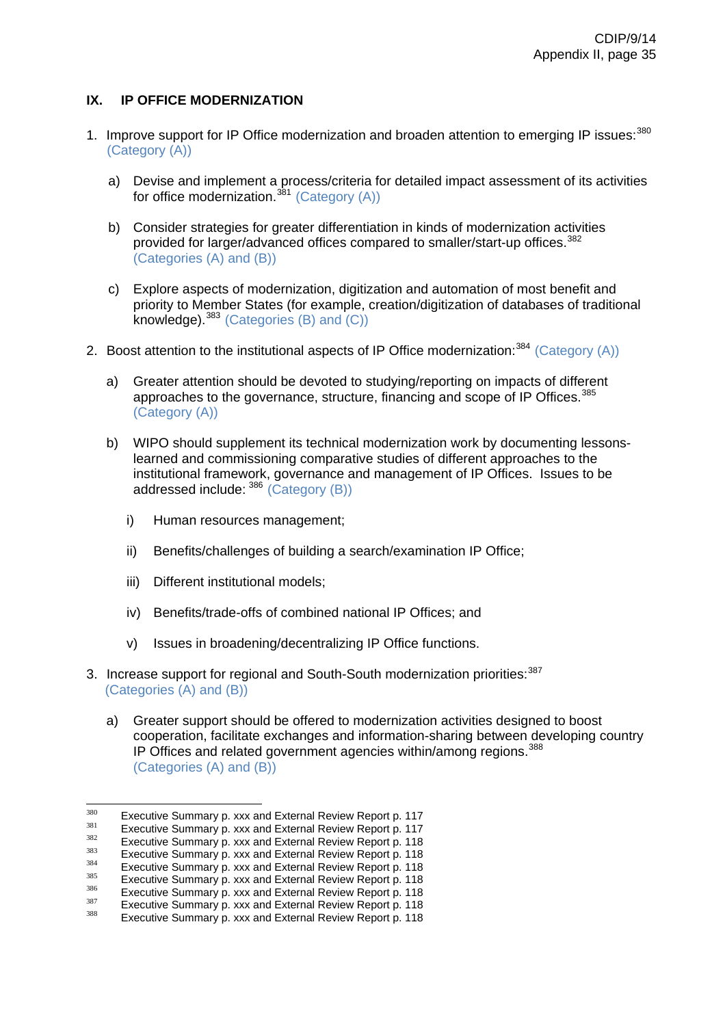# **IX. IP OFFICE MODERNIZATION**

- 1. Improve support for IP Office modernization and broaden attention to emerging IP issues: [380](#page-72-0) (Category (A))
	- a) Devise and implement a process/criteria for detailed impact assessment of its activities for office modernization.<sup>[381](#page-72-1)</sup> (Category  $(A)$ )
	- b) Consider strategies for greater differentiation in kinds of modernization activities provided for larger/advanced offices compared to smaller/start-up offices.<sup>[382](#page-72-2)</sup> (Categories (A) and (B))
	- c) Explore aspects of modernization, digitization and automation of most benefit and priority to Member States (for example, creation/digitization of databases of traditional knowledge).  $383$  (Categories (B) and (C))
- 2. Boost attention to the institutional aspects of IP Office modernization:<sup>[384](#page-72-4)</sup> (Category (A))
	- a) Greater attention should be devoted to studying/reporting on impacts of different approaches to the governance, structure, financing and scope of IP Offices.<sup>[385](#page-72-5)</sup> (Category (A))
	- b) WIPO should supplement its technical modernization work by documenting lessonslearned and commissioning comparative studies of different approaches to the institutional framework, governance and management of IP Offices. Issues to be addressed include: [386](#page-72-6) (Category (B))
		- i) Human resources management;
		- ii) Benefits/challenges of building a search/examination IP Office;
		- iii) Different institutional models:
		- iv) Benefits/trade-offs of combined national IP Offices; and
		- v) Issues in broadening/decentralizing IP Office functions.
- 3. Increase support for regional and South-South modernization priorities:<sup>[387](#page-72-7)</sup> (Categories (A) and (B))
	- a) Greater support should be offered to modernization activities designed to boost cooperation, facilitate exchanges and information-sharing between developing country IP Offices and related government agencies within/among regions.<sup>[388](#page-72-8)</sup> (Categories (A) and (B))

 $380$ 

<span id="page-72-2"></span>

<span id="page-72-4"></span><span id="page-72-3"></span>

<span id="page-72-1"></span><span id="page-72-0"></span><sup>&</sup>lt;sup>380</sup> Executive Summary p. xxx and External Review Report p. 117<br>
<sup>381</sup> Executive Summary p. xxx and External Review Report p. 117<br>
<sup>382</sup> Executive Summary p. xxx and External Review Report p. 118<br>
Executive Summary p. xxx

<span id="page-72-6"></span><span id="page-72-5"></span>

<span id="page-72-7"></span>

<span id="page-72-8"></span>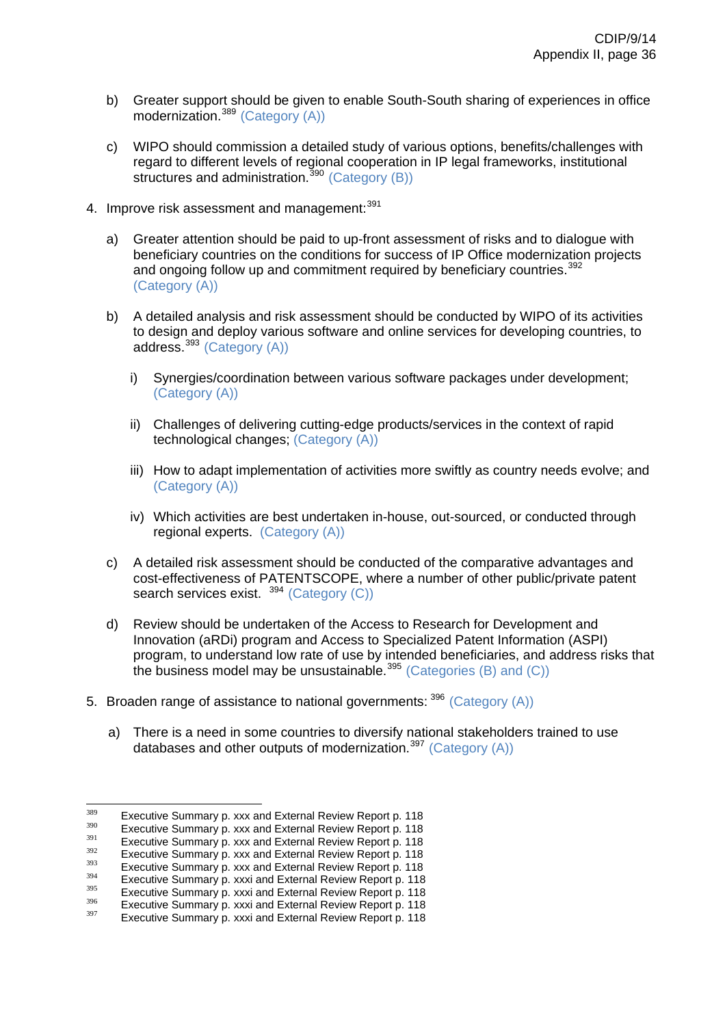- b) Greater support should be given to enable South-South sharing of experiences in office modernization.<sup>[389](#page-73-0)</sup> (Category (A))
- c) WIPO should commission a detailed study of various options, benefits/challenges with regard to different levels of regional cooperation in IP legal frameworks, institutional structures and administration.<sup>[390](#page-73-1)</sup> (Category (B))
- 4. Improve risk assessment and management: [391](#page-73-2)
	- a) Greater attention should be paid to up-front assessment of risks and to dialogue with beneficiary countries on the conditions for success of IP Office modernization projects and ongoing follow up and commitment required by beneficiary countries.<sup>[392](#page-73-3)</sup> (Category (A))
	- b) A detailed analysis and risk assessment should be conducted by WIPO of its activities to design and deploy various software and online services for developing countries, to address.[393](#page-73-4) (Category (A))
		- i) Synergies/coordination between various software packages under development; (Category (A))
		- ii) Challenges of delivering cutting-edge products/services in the context of rapid technological changes; (Category (A))
		- iii) How to adapt implementation of activities more swiftly as country needs evolve; and (Category (A))
		- iv) Which activities are best undertaken in-house, out-sourced, or conducted through regional experts. (Category (A))
	- c) A detailed risk assessment should be conducted of the comparative advantages and cost-effectiveness of PATENTSCOPE, where a number of other public/private patent search services exist. <sup>[394](#page-73-5)</sup> (Category (C))
	- d) Review should be undertaken of the Access to Research for Development and Innovation (aRDi) program and Access to Specialized Patent Information (ASPI) program, to understand low rate of use by intended beneficiaries, and address risks that the business model may be unsustainable.<sup>[395](#page-73-6)</sup> (Categories (B) and (C))
- 5. Broaden range of assistance to national governments:  $396$  (Category (A))
	- a) There is a need in some countries to diversify national stakeholders trained to use databases and other outputs of modernization.<sup>[397](#page-73-8)</sup> (Category  $(A)$ )

<sup>380</sup> 

<span id="page-73-3"></span><span id="page-73-2"></span>

<span id="page-73-1"></span><span id="page-73-0"></span>Executive Summary p. xxx and External Review Report p. 118<br>
System Executive Summary p. xxx and External Review Report p. 118<br>
Executive Summary p. xxx and External Review Report p. 118<br>
Executive Summary p. xxx and Exter

<span id="page-73-4"></span>

<span id="page-73-6"></span><span id="page-73-5"></span>

<span id="page-73-7"></span>

<span id="page-73-8"></span>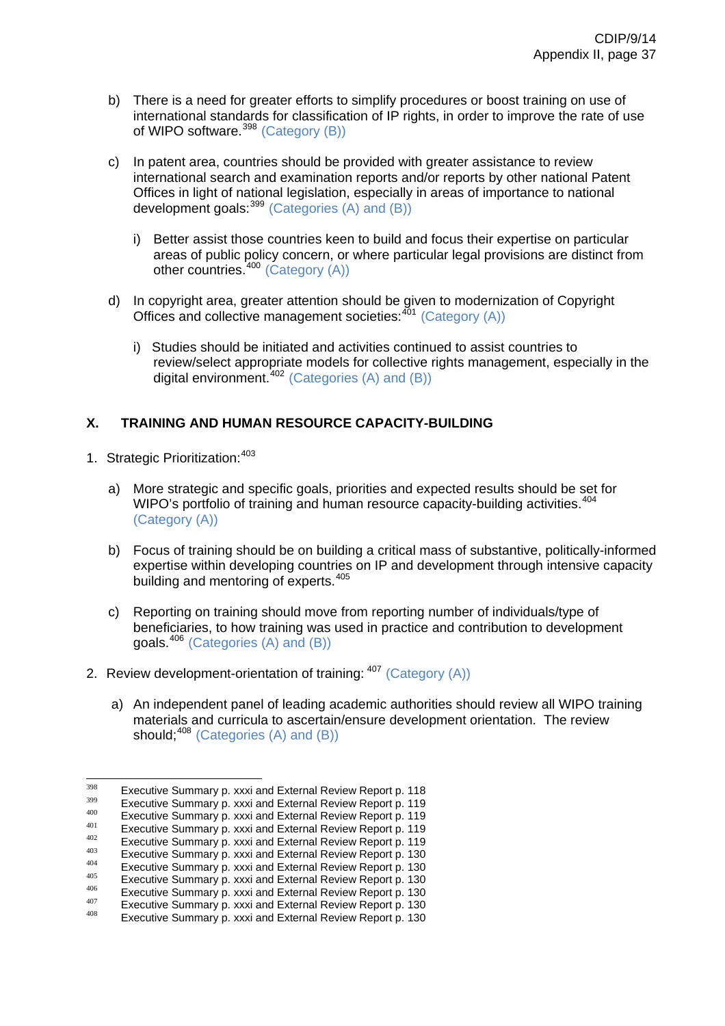- b) There is a need for greater efforts to simplify procedures or boost training on use of international standards for classification of IP rights, in order to improve the rate of use of WIPO software. $398$  (Category (B))
- c) In patent area, countries should be provided with greater assistance to review international search and examination reports and/or reports by other national Patent Offices in light of national legislation, especially in areas of importance to national development goals:[399](#page-74-1) (Categories (A) and (B))
	- i) Better assist those countries keen to build and focus their expertise on particular areas of public policy concern, or where particular legal provisions are distinct from other countries.[400](#page-74-2) (Category (A))
- d) In copyright area, greater attention should be given to modernization of Copyright Offices and collective management societies: $401$  (Category (A))
	- i) Studies should be initiated and activities continued to assist countries to review/select appropriate models for collective rights management, especially in the digital environment.[402](#page-74-4) (Categories (A) and (B))

# **X. TRAINING AND HUMAN RESOURCE CAPACITY-BUILDING**

- 1. Strategic Prioritization: [403](#page-74-5)
	- a) More strategic and specific goals, priorities and expected results should be set for WIPO's portfolio of training and human resource capacity-building activities.<sup>[404](#page-74-6)</sup> (Category (A))
	- b) Focus of training should be on building a critical mass of substantive, politically-informed expertise within developing countries on IP and development through intensive capacity building and mentoring of experts.<sup>[405](#page-74-7)</sup>
	- c) Reporting on training should move from reporting number of individuals/type of beneficiaries, to how training was used in practice and contribution to development goals.[406](#page-74-8) (Categories (A) and (B))
- 2. Review development-orientation of training:  $407$  (Category (A))
	- a) An independent panel of leading academic authorities should review all WIPO training materials and curricula to ascertain/ensure development orientation. The review should:<sup>[408](#page-74-10)</sup> (Categories (A) and (B))

<span id="page-74-1"></span><span id="page-74-0"></span><sup>398</sup> 

Executive Summary p. xxxi and External Review Report p. 118<br>
Executive Summary p. xxxi and External Review Report p. 119<br>  $^{400}$  Executive Summary p. xxxi and External Review Report p. 119<br>  $^{401}$  Executive Summary p. x

<span id="page-74-2"></span>

<span id="page-74-4"></span><span id="page-74-3"></span>

<span id="page-74-5"></span>

<span id="page-74-7"></span><span id="page-74-6"></span>

<span id="page-74-8"></span>

<span id="page-74-9"></span>

<span id="page-74-10"></span>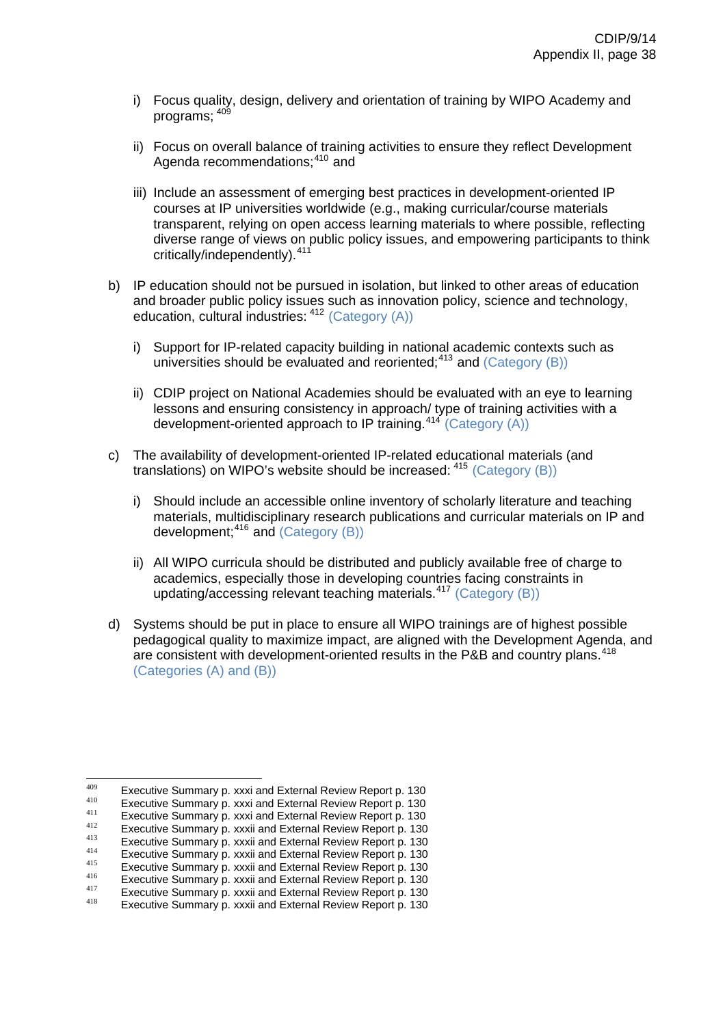- i) Focus quality, design, delivery and orientation of training by WIPO Academy and programs;  $40<sup>6</sup>$
- ii) Focus on overall balance of training activities to ensure they reflect Development Agenda recommendations;<sup>[410](#page-75-1)</sup> and
- iii) Include an assessment of emerging best practices in development-oriented IP courses at IP universities worldwide (e.g., making curricular/course materials transparent, relying on open access learning materials to where possible, reflecting diverse range of views on public policy issues, and empowering participants to think critically/independently).<sup>[411](#page-75-2)</sup>
- b) IP education should not be pursued in isolation, but linked to other areas of education and broader public policy issues such as innovation policy, science and technology, education, cultural industries: [412](#page-75-3) (Category (A))
	- i) Support for IP-related capacity building in national academic contexts such as universities should be evaluated and reoriented;<sup>[413](#page-75-4)</sup> and (Category (B))
	- ii) CDIP project on National Academies should be evaluated with an eye to learning lessons and ensuring consistency in approach/ type of training activities with a development-oriented approach to IP training.<sup>[414](#page-75-5)</sup> (Category (A))
- c) The availability of development-oriented IP-related educational materials (and translations) on WIPO's website should be increased: [415](#page-75-6) (Category (B))
	- i) Should include an accessible online inventory of scholarly literature and teaching materials, multidisciplinary research publications and curricular materials on IP and development;  $416$  and (Category (B))
	- ii) All WIPO curricula should be distributed and publicly available free of charge to academics, especially those in developing countries facing constraints in updating/accessing relevant teaching materials.[417](#page-75-8) (Category (B))
- d) Systems should be put in place to ensure all WIPO trainings are of highest possible pedagogical quality to maximize impact, are aligned with the Development Agenda, and are consistent with development-oriented results in the P&B and country plans.<sup>[418](#page-75-9)</sup> (Categories (A) and (B))

<span id="page-75-1"></span><span id="page-75-0"></span><sup>409</sup> 

Executive Summary p. xxxi and External Review Report p. 130<br>
Executive Summary p. xxxi and External Review Report p. 130<br>
Executive Summary p. xxxi and External Review Report p. 130<br>
Executive Summary p. xxxii and Externa

<span id="page-75-2"></span>

<span id="page-75-4"></span><span id="page-75-3"></span>

<span id="page-75-5"></span>

<span id="page-75-6"></span>

<span id="page-75-8"></span><span id="page-75-7"></span>

<span id="page-75-9"></span>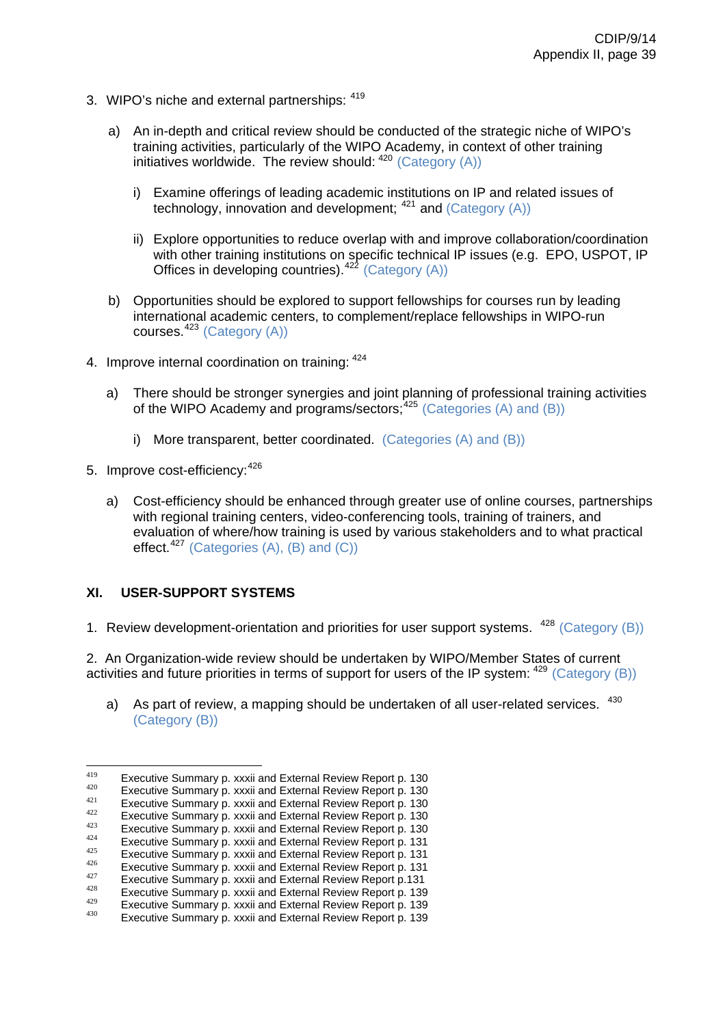- 3. WIPO's niche and external partnerships: [419](#page-76-0)
	- a) An in-depth and critical review should be conducted of the strategic niche of WIPO's training activities, particularly of the WIPO Academy, in context of other training initiatives worldwide. The review should: <sup>[420](#page-76-1)</sup> (Category (A))
		- i) Examine offerings of leading academic institutions on IP and related issues of technology, innovation and development; [421](#page-76-2) and (Category (A))
		- ii) Explore opportunities to reduce overlap with and improve collaboration/coordination with other training institutions on specific technical IP issues (e.g. EPO, USPOT, IP Offices in developing countries).<sup>[422](#page-76-3)</sup> (Category  $(A)$ )
	- b) Opportunities should be explored to support fellowships for courses run by leading international academic centers, to complement/replace fellowships in WIPO-run courses.[423](#page-76-4) (Category (A))
- 4. Improve internal coordination on training:  $424$ 
	- a) There should be stronger synergies and joint planning of professional training activities of the WIPO Academy and programs/sectors;  $425$  (Categories (A) and (B))
		- i) More transparent, better coordinated. (Categories (A) and (B))
- 5. Improve cost-efficiency: [426](#page-76-7)
	- a) Cost-efficiency should be enhanced through greater use of online courses, partnerships with regional training centers, video-conferencing tools, training of trainers, and evaluation of where/how training is used by various stakeholders and to what practical effect.<sup>[427](#page-76-8)</sup> (Categories  $(A)$ ,  $(B)$  and  $(C)$ )

# **XI. USER-SUPPORT SYSTEMS**

1. Review development-orientation and priorities for user support systems. <sup>[428](#page-76-9)</sup> (Category (B))

2. An Organization-wide review should be undertaken by WIPO/Member States of current activities and future priorities in terms of support for users of the IP system: <sup>[429](#page-76-10)</sup> (Category (B))

a) As part of review, a mapping should be undertaken of all user-related services. [430](#page-76-11) (Category (B))

<span id="page-76-1"></span><span id="page-76-0"></span><sup>419</sup> Executive Summary p. xxxii and External Review Report p. 130<br>  $^{420}$  Executive Summary p. xxxii and External Review Report p. 130<br>  $^{421}$  Executive Summary p. xxxii and External Review Report p. 130<br>  $^{422}$  Executive S

<span id="page-76-2"></span>

<span id="page-76-3"></span>

<span id="page-76-5"></span><span id="page-76-4"></span>

<span id="page-76-6"></span>

<span id="page-76-9"></span><span id="page-76-8"></span><span id="page-76-7"></span>

<span id="page-76-10"></span>

<span id="page-76-11"></span>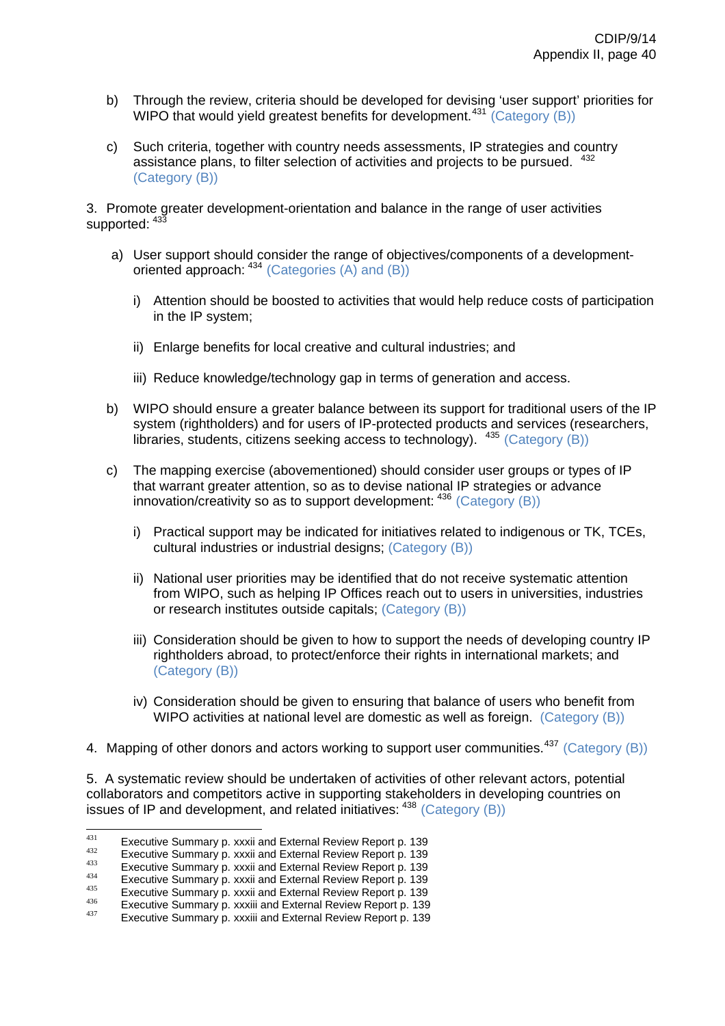- b) Through the review, criteria should be developed for devising 'user support' priorities for WIPO that would yield greatest benefits for development.<sup>[431](#page-77-0)</sup> (Category  $(B)$ )
- c) Such criteria, together with country needs assessments, IP strategies and country assistance plans, to filter selection of activities and projects to be pursued. <sup>[432](#page-77-1)</sup> (Category (B))

3. Promote greater development-orientation and balance in the range of user activities supported:  $433$ 

- a) User support should consider the range of objectives/components of a developmentoriented approach: [434](#page-77-3) (Categories (A) and (B))
	- i) Attention should be boosted to activities that would help reduce costs of participation in the IP system;
	- ii) Enlarge benefits for local creative and cultural industries; and
	- iii) Reduce knowledge/technology gap in terms of generation and access.
- b) WIPO should ensure a greater balance between its support for traditional users of the IP system (rightholders) and for users of IP-protected products and services (researchers, libraries, students, citizens seeking access to technology). [435](#page-77-4) (Category (B))
- c) The mapping exercise (abovementioned) should consider user groups or types of IP that warrant greater attention, so as to devise national IP strategies or advance innovation/creativity so as to support development: [436](#page-77-5) (Category (B))
	- i) Practical support may be indicated for initiatives related to indigenous or TK, TCEs, cultural industries or industrial designs; (Category (B))
	- ii) National user priorities may be identified that do not receive systematic attention from WIPO, such as helping IP Offices reach out to users in universities, industries or research institutes outside capitals; (Category (B))
	- iii) Consideration should be given to how to support the needs of developing country IP rightholders abroad, to protect/enforce their rights in international markets; and (Category (B))
	- iv) Consideration should be given to ensuring that balance of users who benefit from WIPO activities at national level are domestic as well as foreign. (Category (B))
- 4. Mapping of other donors and actors working to support user communities.<sup>[437](#page-77-6)</sup> (Category (B))

5. A systematic review should be undertaken of activities of other relevant actors, potential collaborators and competitors active in supporting stakeholders in developing countries on issues of IP and development, and related initiatives: [438](#page-77-7) (Category (B))

<span id="page-77-7"></span> $431$ 

<span id="page-77-3"></span><span id="page-77-2"></span>

<span id="page-77-1"></span><span id="page-77-0"></span><sup>&</sup>lt;sup>431</sup> Executive Summary p. xxxii and External Review Report p. 139<br>Executive Summary p. xxxii and External Review Report p. 139<br>Executive Summary p. xxxii and External Review Report p. 139<br>Executive Summary p. xxxii and E

<span id="page-77-4"></span>

<span id="page-77-5"></span>

<span id="page-77-6"></span>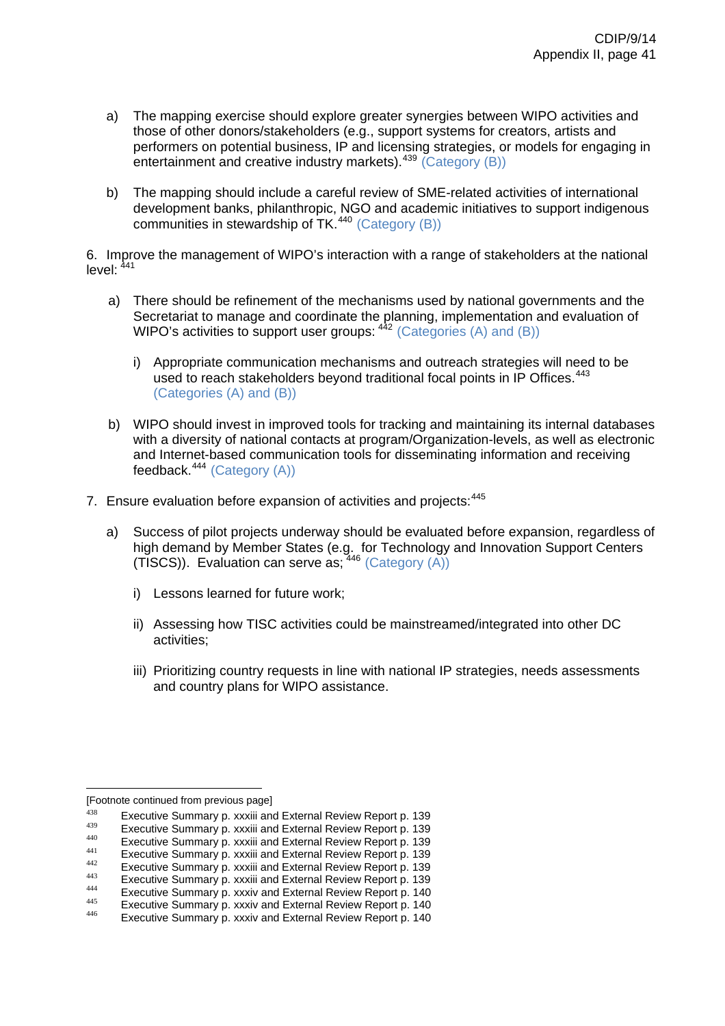- a) The mapping exercise should explore greater synergies between WIPO activities and those of other donors/stakeholders (e.g., support systems for creators, artists and performers on potential business, IP and licensing strategies, or models for engaging in entertainment and creative industry markets).<sup>[439](#page-78-0)</sup> (Category (B))
- b) The mapping should include a careful review of SME-related activities of international development banks, philanthropic, NGO and academic initiatives to support indigenous communities in stewardship of TK.[440](#page-78-1) (Category (B))

6. Improve the management of WIPO's interaction with a range of stakeholders at the national level:  $441$ 

- a) There should be refinement of the mechanisms used by national governments and the Secretariat to manage and coordinate the planning, implementation and evaluation of WIPO's activities to support user groups:  $442$  (Categories (A) and (B))
	- i) Appropriate communication mechanisms and outreach strategies will need to be used to reach stakeholders beyond traditional focal points in IP Offices.<sup>[443](#page-78-4)</sup> (Categories (A) and (B))
- b) WIPO should invest in improved tools for tracking and maintaining its internal databases with a diversity of national contacts at program/Organization-levels, as well as electronic and Internet-based communication tools for disseminating information and receiving feedback. $444$  (Category (A))
- 7. Ensure evaluation before expansion of activities and projects: [445](#page-78-6)
	- a) Success of pilot projects underway should be evaluated before expansion, regardless of high demand by Member States (e.g. for Technology and Innovation Support Centers (TISCS)). Evaluation can serve as;  $446$  (Category (A))
		- i) Lessons learned for future work;
		- ii) Assessing how TISC activities could be mainstreamed/integrated into other DC activities;
		- iii) Prioritizing country requests in line with national IP strategies, needs assessments and country plans for WIPO assistance.

 [Footnote continued from previous page]

<span id="page-78-0"></span><sup>&</sup>lt;sup>438</sup> Executive Summary p. xxxiii and External Review Report p. 139<br>Executive Summary p. xxxiii and External Review Report p. 139<br>Executive Summary p. xxxiii and External Review Report p. 139<br>Executive Summary p. xxxiii a

<span id="page-78-2"></span><span id="page-78-1"></span>

<span id="page-78-3"></span>

<span id="page-78-6"></span><span id="page-78-5"></span><span id="page-78-4"></span>

<span id="page-78-7"></span>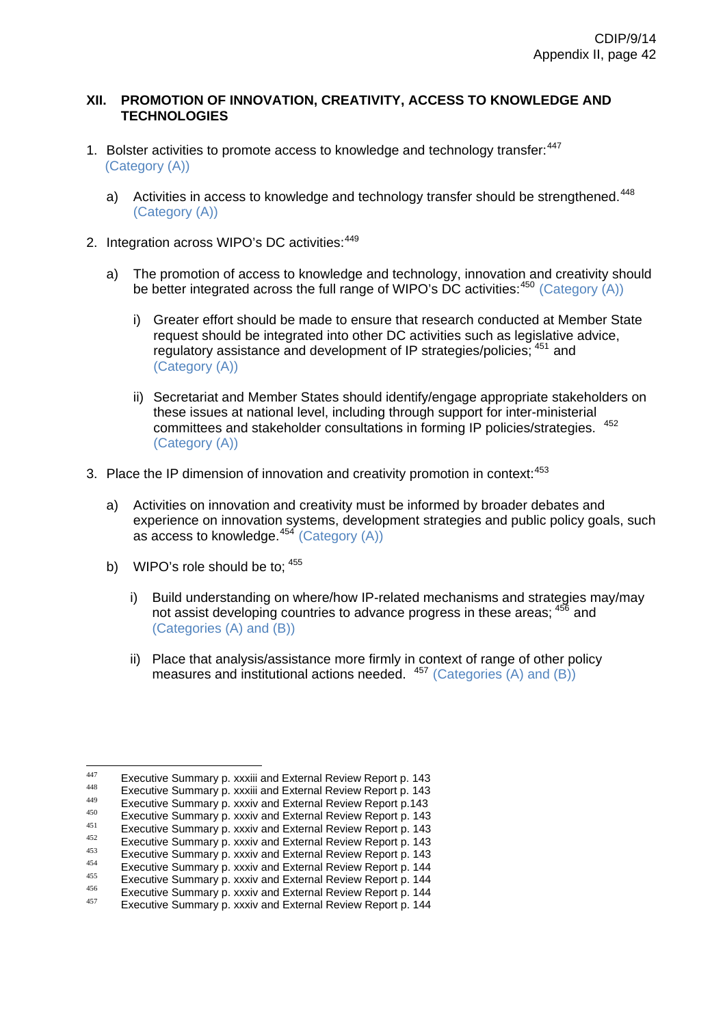# **XII. PROMOTION OF INNOVATION, CREATIVITY, ACCESS TO KNOWLEDGE AND TECHNOLOGIES**

- 1. Bolster activities to promote access to knowledge and technology transfer: <sup>[447](#page-79-0)</sup> (Category (A))
	- a) Activities in access to knowledge and technology transfer should be strengthened.<sup>[448](#page-79-1)</sup> (Category (A))
- 2. Integration across WIPO's DC activities:  $449$ 
	- a) The promotion of access to knowledge and technology, innovation and creativity should be better integrated across the full range of WIPO's DC activities:  $450$  (Category (A))
		- i) Greater effort should be made to ensure that research conducted at Member State request should be integrated into other DC activities such as legislative advice, regulatory assistance and development of IP strategies/policies; [451](#page-79-4) and (Category (A))
		- ii) Secretariat and Member States should identify/engage appropriate stakeholders on these issues at national level, including through support for inter-ministerial committees and stakeholder consultations in forming IP policies/strategies. [452](#page-79-5) (Category (A))
- 3. Place the IP dimension of innovation and creativity promotion in context:<sup>[453](#page-79-6)</sup>
	- a) Activities on innovation and creativity must be informed by broader debates and experience on innovation systems, development strategies and public policy goals, such as access to knowledge. $454$  (Category (A))
	- b) WIPO's role should be to;  $455$ 
		- i) Build understanding on where/how IP-related mechanisms and strategies may/may not assist developing countries to advance progress in these areas; <sup>[456](#page-79-9)</sup> and (Categories (A) and (B))
		- ii) Place that analysis/assistance more firmly in context of range of other policy measures and institutional actions needed. <sup>[457](#page-79-10)</sup> (Categories (A) and (B))

<span id="page-79-1"></span><span id="page-79-0"></span><sup>447</sup> 

<span id="page-79-2"></span>

<span id="page-79-4"></span><span id="page-79-3"></span>

Executive Summary p. xxxiii and External Review Report p. 143<br>Executive Summary p. xxxiii and External Review Report p. 143<br>Executive Summary p. xxxiv and External Review Report p. 143<br>Executive Summary p. xxxiv and Extern

<span id="page-79-5"></span>

<span id="page-79-6"></span>

<span id="page-79-9"></span><span id="page-79-8"></span><span id="page-79-7"></span>

<span id="page-79-10"></span>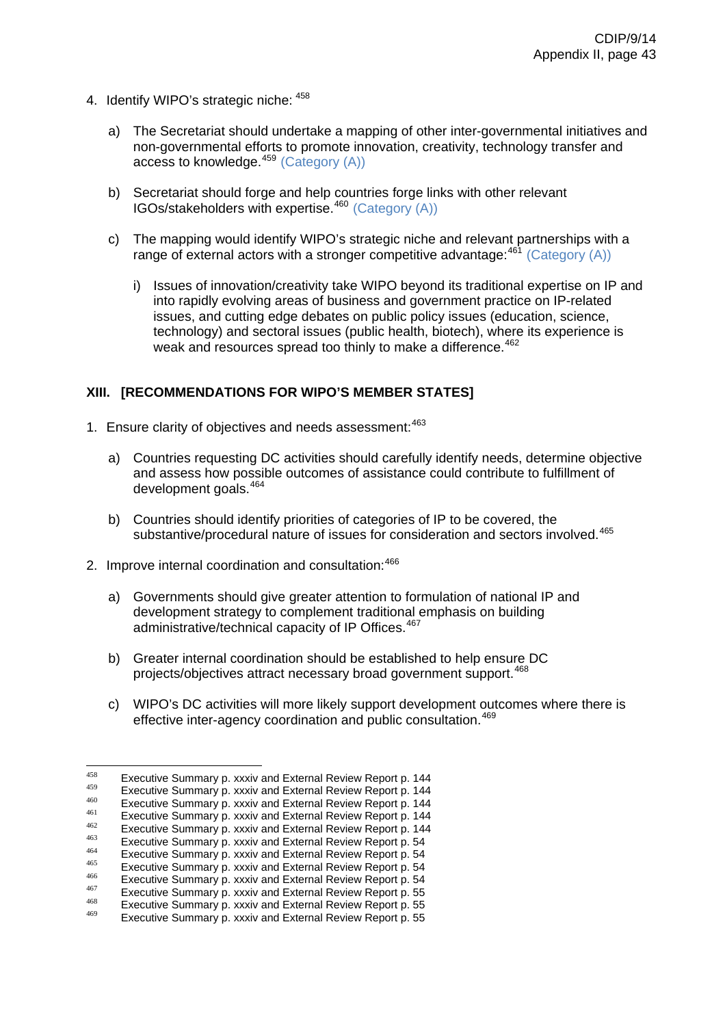- 4. Identify WIPO's strategic niche: [458](#page-80-0)
	- a) The Secretariat should undertake a mapping of other inter-governmental initiatives and non-governmental efforts to promote innovation, creativity, technology transfer and access to knowledge.<sup>[459](#page-80-1)</sup> (Category (A))
	- b) Secretariat should forge and help countries forge links with other relevant  $IGOs/stakeholders with exercise.<sup>460</sup> (Category (A))$  $IGOs/stakeholders with exercise.<sup>460</sup> (Category (A))$  $IGOs/stakeholders with exercise.<sup>460</sup> (Category (A))$
	- c) The mapping would identify WIPO's strategic niche and relevant partnerships with a range of external actors with a stronger competitive advantage:  $461$  (Category (A))
		- i) Issues of innovation/creativity take WIPO beyond its traditional expertise on IP and into rapidly evolving areas of business and government practice on IP-related issues, and cutting edge debates on public policy issues (education, science, technology) and sectoral issues (public health, biotech), where its experience is weak and resources spread too thinly to make a difference.<sup>[462](#page-80-4)</sup>

# **XIII. [RECOMMENDATIONS FOR WIPO'S MEMBER STATES]**

- 1. Ensure clarity of objectives and needs assessment: [463](#page-80-5)
	- a) Countries requesting DC activities should carefully identify needs, determine objective and assess how possible outcomes of assistance could contribute to fulfillment of development goals.[464](#page-80-6)
	- b) Countries should identify priorities of categories of IP to be covered, the substantive/procedural nature of issues for consideration and sectors involved.<sup>[465](#page-80-7)</sup>
- 2. Improve internal coordination and consultation: [466](#page-80-8)
	- a) Governments should give greater attention to formulation of national IP and development strategy to complement traditional emphasis on building administrative/technical capacity of IP Offices.<sup>[467](#page-80-9)</sup>
	- b) Greater internal coordination should be established to help ensure DC projects/objectives attract necessary broad government support.[468](#page-80-10)
	- c) WIPO's DC activities will more likely support development outcomes where there is effective inter-agency coordination and public consultation.<sup>[469](#page-80-11)</sup>

<span id="page-80-1"></span><span id="page-80-0"></span><sup>458</sup> 

<span id="page-80-2"></span>

<span id="page-80-4"></span><span id="page-80-3"></span>

<span id="page-80-5"></span>

Executive Summary p. xxxiv and External Review Report p. 144<br>
Executive Summary p. xxxiv and External Review Report p. 144<br>
Executive Summary p. xxxiv and External Review Report p. 144<br>
Executive Summary p. xxxiv and Exte

<span id="page-80-6"></span>

<span id="page-80-9"></span><span id="page-80-8"></span><span id="page-80-7"></span>

<span id="page-80-10"></span>

<span id="page-80-11"></span>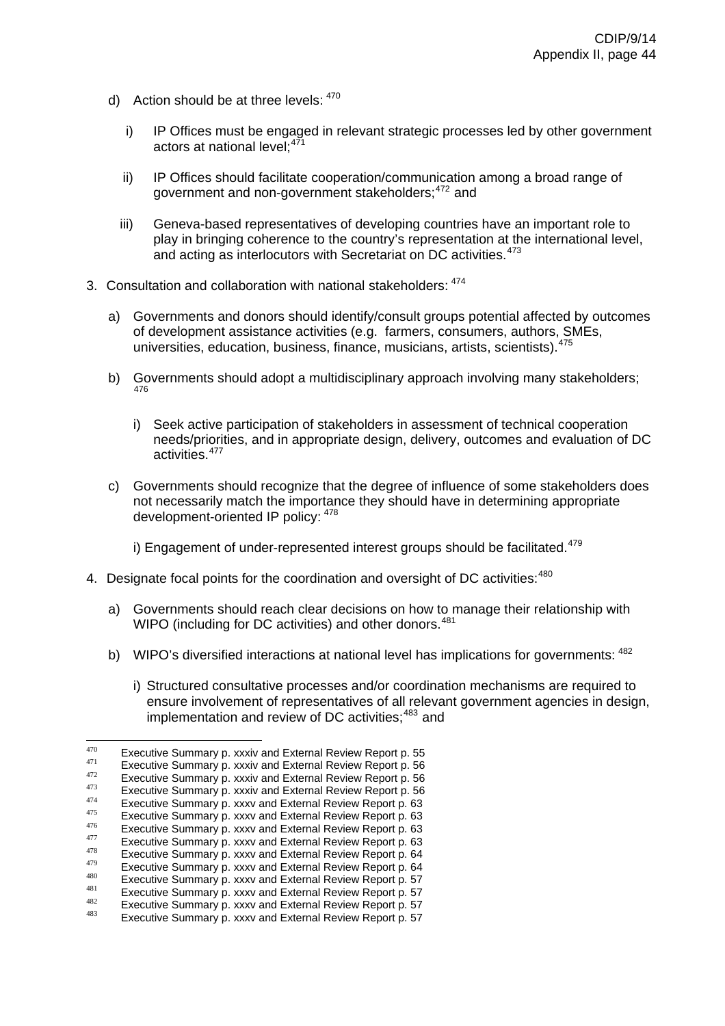- d) Action should be at three levels:  $470$ 
	- i) IP Offices must be engaged in relevant strategic processes led by other government actors at national level;<sup>47</sup>
	- ii) IP Offices should facilitate cooperation/communication among a broad range of government and non-government stakeholders: <sup>[472](#page-81-2)</sup> and
	- iii) Geneva-based representatives of developing countries have an important role to play in bringing coherence to the country's representation at the international level, and acting as interlocutors with Secretariat on DC activities.<sup>[473](#page-81-3)</sup>
- 3. Consultation and collaboration with national stakeholders: [474](#page-81-4)
	- a) Governments and donors should identify/consult groups potential affected by outcomes of development assistance activities (e.g. farmers, consumers, authors, SMEs, universities, education, business, finance, musicians, artists, scientists). [475](#page-81-5)
	- b) Governments should adopt a multidisciplinary approach involving many stakeholders; 476
		- i) needs/priorities, and in appropriate design, delivery, outcomes and evaluation of DC activities.<sup>477</sup> Seek active participation of stakeholders in assessment of technical cooperation
	- c) Governments should recognize that the degree of influence of some stakeholders does not necessarily match the importance they should have in determining appropriate development-oriented IP policy: <sup>478</sup>

i) Engagement of under-represented interest groups should be facilitated. $479$ 

- 4. Designate focal points for the coordination and oversight of DC activities:<sup>480</sup>
	- a) Governments should reach clear decisions on how to manage their relationship with WIPO (including for DC activities) and other donors.<sup>481</sup>
	- b) WIPO's diversified interactions at national level has implications for governments: <sup>482</sup>
		- ensure involvement of representatives of all relevant government agencies in design, implementation and review of DC activities; $483$  and i) Structured consultative processes and/or coordination mechanisms are required to

<span id="page-81-1"></span><span id="page-81-0"></span><sup>470</sup> 

Executive Summary p. xxxiv and External Review Report p. 55<br>
Executive Summary p. xxxiv and External Review Report p. 56<br>
Executive Summary p. xxxiv and External Review Report p. 56<br>
Executive Summary p. xxxiv and Externa

<span id="page-81-3"></span><span id="page-81-2"></span>

<span id="page-81-4"></span>

<span id="page-81-5"></span>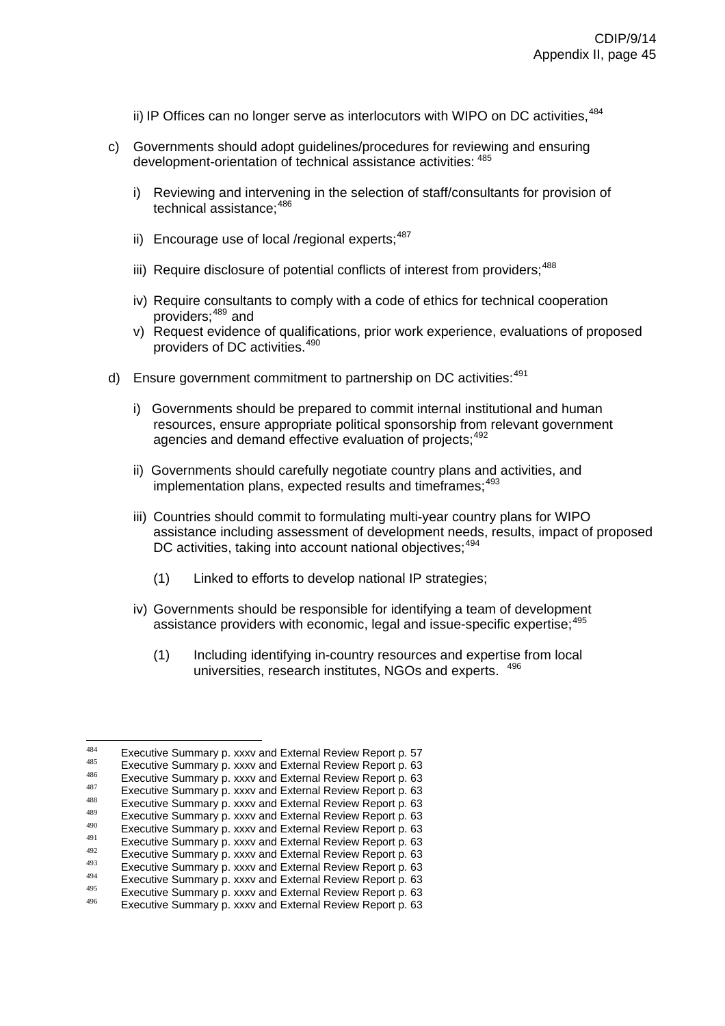- ii) IP Offices can no longer serve as interlocutors with WIPO on DC activities,  $484$
- c) Governments should adopt guidelines/procedures for reviewing and ensuring development-orientation of technical assistance activities: <sup>485</sup>
	- i) Reviewing and intervening in the selection of staff/consultants for provision of technical assistance: 486
	- ii) Encourage use of local /regional experts; $487$
	- iii) Require disclosure of potential conflicts of interest from providers;<sup>488</sup>
	- iv) Require consultants to comply with a code of ethics for technical cooperation providers;[489](#page-82-0) and
	- v) Request evidence of qualifications, prior work experience, evaluations of proposed providers of DC activities. 490
- d) Ensure government commitment to partnership on DC activities:<sup>491</sup>
	- i) Governments should be prepared to commit internal institutional and human resources, ensure appropriate political sponsorship from relevant government agencies and demand effective evaluation of projects; 492
	- ii) Governments should carefully negotiate country plans and activities, and implementation plans, expected results and timeframes:<sup>493</sup>
	- assistance including assessment of development needs, results, impact of proposed DC activities, taking into account national objectives; 494 iii) Countries should commit to formulating multi-year country plans for WIPO
		- (1) Linked to efforts to develop national IP strategies;
	- assistance providers with economic, legal and issue-specific expertise;<sup>495</sup> iv) Governments should be responsible for identifying a team of development
		- (1) Including identifying in-country resources and expertise from local universities, research institutes, NGOs and experts. <sup>496</sup>

<sup>484</sup> 

Executive Summary p. xxxv and External Review Report p. 57<br>
Executive Summary p. xxxv and External Review Report p. 63<br>
Executive Summary p. xxxv and External Review Report p. 63<br>
Executive Summary p. xxxv and External Re

<span id="page-82-0"></span>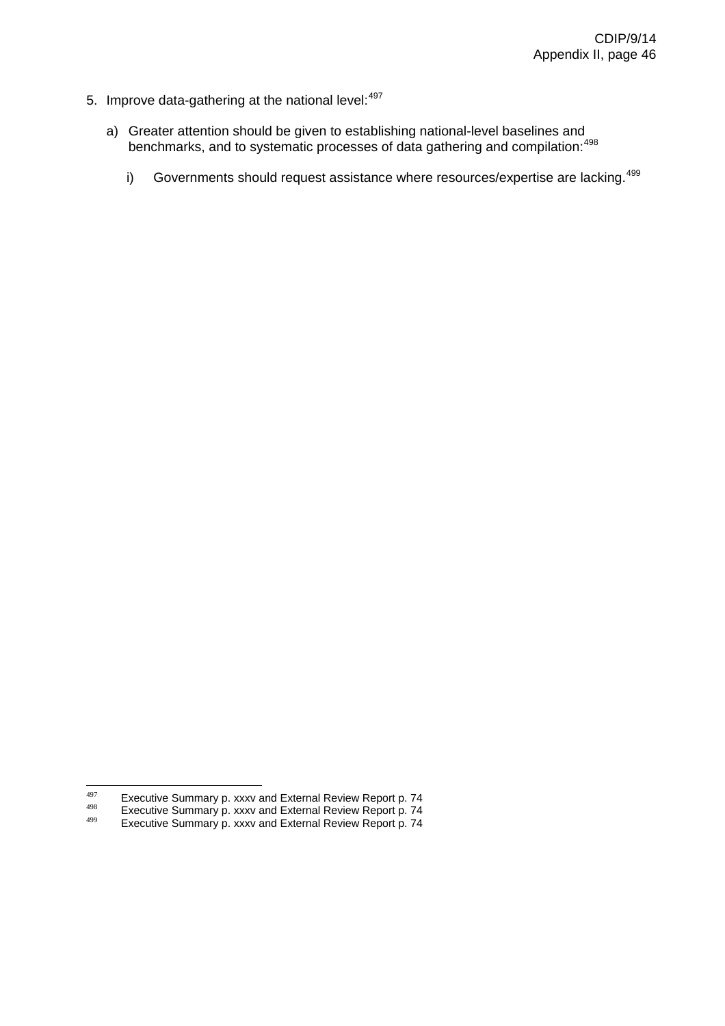- 5. Improve data-gathering at the national level:  $497$ 
	- a) Greater attention should be given to establishing national-level baselines and benchmarks, and to systematic processes of data gathering and compilation:<sup>[498](#page-83-1)</sup>
		- i) Governments should request assistance where resources/expertise are lacking.<sup>[499](#page-83-2)</sup>

<sup>497</sup> 

<span id="page-83-1"></span><span id="page-83-0"></span><sup>&</sup>lt;sup>497</sup> Executive Summary p. xxxv and External Review Report p. 74<br><sup>498</sup> Executive Summary p. xxxv and External Review Report p. 74<br>Executive Summary p. xxxv and External Review Report p. 74

<span id="page-83-2"></span>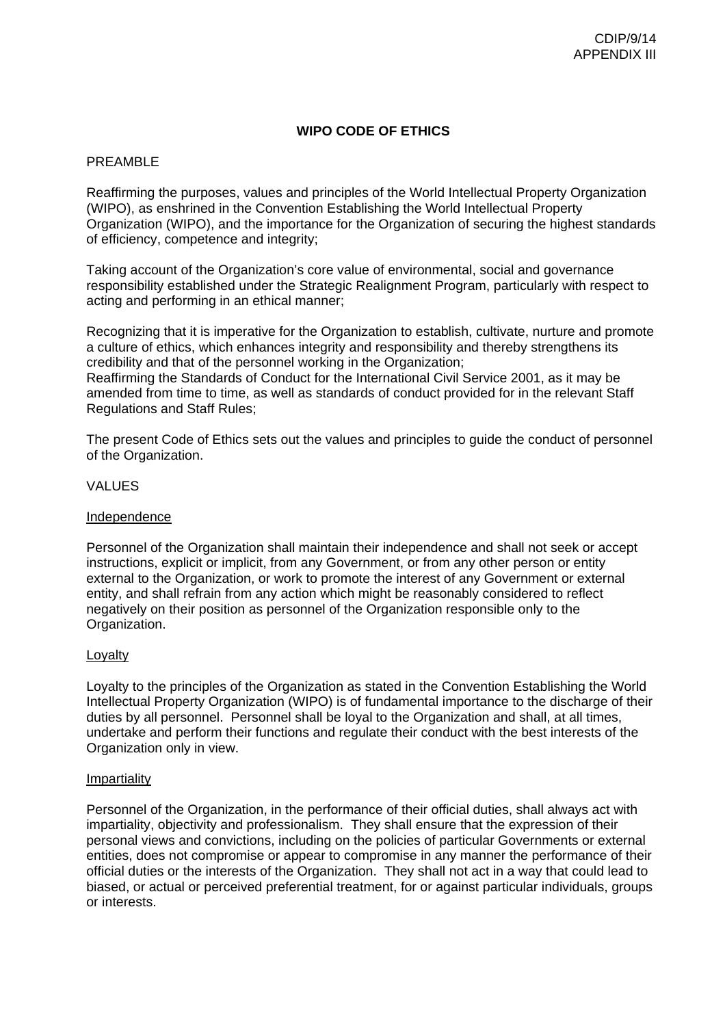# **WIPO CODE OF ETHICS**

# PREAMBLE

Reaffirming the purposes, values and principles of the World Intellectual Property Organization (WIPO), as enshrined in the Convention Establishing the World Intellectual Property Organization (WIPO), and the importance for the Organization of securing the highest standards of efficiency, competence and integrity;

Taking account of the Organization's core value of environmental, social and governance responsibility established under the Strategic Realignment Program, particularly with respect to acting and performing in an ethical manner;

Recognizing that it is imperative for the Organization to establish, cultivate, nurture and promote a culture of ethics, which enhances integrity and responsibility and thereby strengthens its credibility and that of the personnel working in the Organization; Reaffirming the Standards of Conduct for the International Civil Service 2001, as it may be amended from time to time, as well as standards of conduct provided for in the relevant Staff Regulations and Staff Rules;

The present Code of Ethics sets out the values and principles to guide the conduct of personnel of the Organization.

# VALUES

### Independence

Personnel of the Organization shall maintain their independence and shall not seek or accept instructions, explicit or implicit, from any Government, or from any other person or entity external to the Organization, or work to promote the interest of any Government or external entity, and shall refrain from any action which might be reasonably considered to reflect negatively on their position as personnel of the Organization responsible only to the Organization.

### Loyalty

Loyalty to the principles of the Organization as stated in the Convention Establishing the World Intellectual Property Organization (WIPO) is of fundamental importance to the discharge of their duties by all personnel. Personnel shall be loyal to the Organization and shall, at all times, undertake and perform their functions and regulate their conduct with the best interests of the Organization only in view.

### Impartiality

Personnel of the Organization, in the performance of their official duties, shall always act with impartiality, objectivity and professionalism. They shall ensure that the expression of their personal views and convictions, including on the policies of particular Governments or external entities, does not compromise or appear to compromise in any manner the performance of their official duties or the interests of the Organization. They shall not act in a way that could lead to biased, or actual or perceived preferential treatment, for or against particular individuals, groups or interests.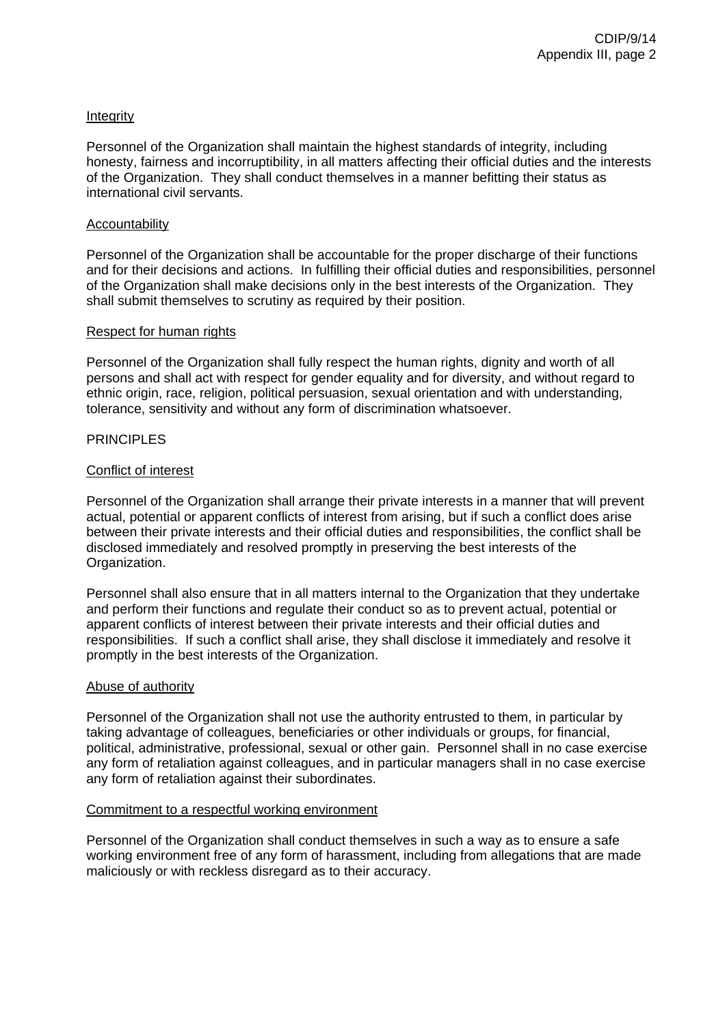# Integrity

Personnel of the Organization shall maintain the highest standards of integrity, including honesty, fairness and incorruptibility, in all matters affecting their official duties and the interests of the Organization. They shall conduct themselves in a manner befitting their status as international civil servants.

### Accountability

Personnel of the Organization shall be accountable for the proper discharge of their functions and for their decisions and actions. In fulfilling their official duties and responsibilities, personnel of the Organization shall make decisions only in the best interests of the Organization. They shall submit themselves to scrutiny as required by their position.

### Respect for human rights

Personnel of the Organization shall fully respect the human rights, dignity and worth of all persons and shall act with respect for gender equality and for diversity, and without regard to ethnic origin, race, religion, political persuasion, sexual orientation and with understanding, tolerance, sensitivity and without any form of discrimination whatsoever.

# PRINCIPI FS

# Conflict of interest

Personnel of the Organization shall arrange their private interests in a manner that will prevent actual, potential or apparent conflicts of interest from arising, but if such a conflict does arise between their private interests and their official duties and responsibilities, the conflict shall be disclosed immediately and resolved promptly in preserving the best interests of the Organization.

Personnel shall also ensure that in all matters internal to the Organization that they undertake and perform their functions and regulate their conduct so as to prevent actual, potential or apparent conflicts of interest between their private interests and their official duties and responsibilities. If such a conflict shall arise, they shall disclose it immediately and resolve it promptly in the best interests of the Organization.

### Abuse of authority

Personnel of the Organization shall not use the authority entrusted to them, in particular by taking advantage of colleagues, beneficiaries or other individuals or groups, for financial, political, administrative, professional, sexual or other gain. Personnel shall in no case exercise any form of retaliation against colleagues, and in particular managers shall in no case exercise any form of retaliation against their subordinates.

### Commitment to a respectful working environment

Personnel of the Organization shall conduct themselves in such a way as to ensure a safe working environment free of any form of harassment, including from allegations that are made maliciously or with reckless disregard as to their accuracy.